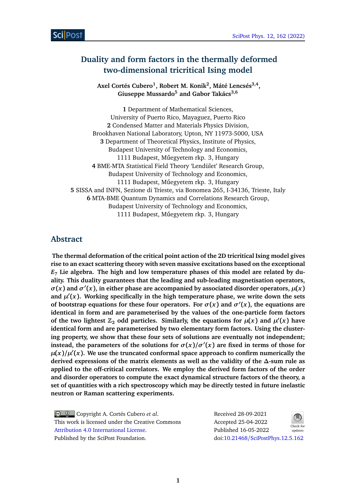# **Duality and form factors in the thermally deformed two-dimensional tricritical Ising model**

**Axel Cortés Cubero<sup>1</sup> , Robert M. Konik<sup>2</sup> , Máté Lencsés3,4 , Giuseppe Mussardo<sup>5</sup> and Gabor Takács3,6**

**1** Department of Mathematical Sciences, University of Puerto Rico, Mayaguez, Puerto Rico **2** Condensed Matter and Materials Physics Division, Brookhaven National Laboratory, Upton, NY 11973-5000, USA **3** Department of Theoretical Physics, Institute of Physics, Budapest University of Technology and Economics, 1111 Budapest, Műegyetem rkp. 3, Hungary **4** BME-MTA Statistical Field Theory 'Lendület' Research Group, Budapest University of Technology and Economics, 1111 Budapest, Műegyetem rkp. 3, Hungary **5** SISSA and INFN, Sezione di Trieste, via Bonomea 265, I-34136, Trieste, Italy **6** MTA-BME Quantum Dynamics and Correlations Research Group, Budapest University of Technology and Economics, 1111 Budapest, Műegyetem rkp. 3, Hungary

## **Abstract**

**The thermal deformation of the critical point action of the 2D tricritical Ising model gives rise to an exact scattering theory with seven massive excitations based on the exceptional** *E***<sup>7</sup> Lie algebra. The high and low temperature phases of this model are related by duality. This duality guarantees that the leading and sub-leading magnetisation operators,**  $\sigma(x)$  and  $\sigma'(x)$ , in either phase are accompanied by associated disorder operators,  $\mu(x)$ and  $\mu'(x)$ . Working specifically in the high temperature phase, we write down the sets **of bootstrap equations for these four operators. For**  $\sigma(x)$  **and**  $\sigma'(x)$ **, the equations are identical in form and are parameterised by the values of the one-particle form factors of the two lightest**  $\mathbb{Z}_2$  **odd particles. Similarly, the equations for**  $\mu(x)$  **and**  $\mu'(x)$  **have identical form and are parameterised by two elementary form factors. Using the clustering property, we show that these four sets of solutions are eventually not independent; instead, the parameters of the solutions for**  $\sigma(x)/\sigma'(x)$  **are fixed in terms of those for**  $\mu(x)/\mu'(x)$ . We use the truncated conformal space approach to confirm numerically the **derived expressions of the matrix elements as well as the validity of the** *∆***-sum rule as applied to the off-critical correlators. We employ the derived form factors of the order and disorder operators to compute the exact dynamical structure factors of the theory, a set of quantities with a rich spectroscopy which may be directly tested in future inelastic neutron or Raman scattering experiments.**

Copyright A. Cortés Cubero *et al*. This work is licensed under the Creative Commons [Attribution 4.0 International License.](http://creativecommons.org/licenses/by/4.0/) Published by the SciPost Foundation.

Received 28-09-2021 Accepted 25-04-2022 Published 16-05-2022 Check for updates doi:10.21468/[SciPostPhys.12.5.162](https://doi.org/10.21468/SciPostPhys.12.5.162)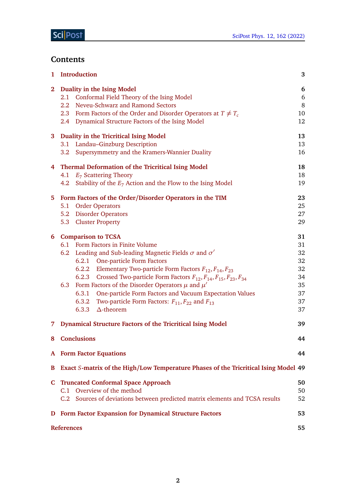# **Contents**

| 1            | <b>Introduction</b>                                                                                                                                                                                                                                                                                                                                                                                                                                                                                                                                                             | 3                                                        |
|--------------|---------------------------------------------------------------------------------------------------------------------------------------------------------------------------------------------------------------------------------------------------------------------------------------------------------------------------------------------------------------------------------------------------------------------------------------------------------------------------------------------------------------------------------------------------------------------------------|----------------------------------------------------------|
| $\mathbf{2}$ | Duality in the Ising Model<br>Conformal Field Theory of the Ising Model<br>2.1<br>Neveu-Schwarz and Ramond Sectors<br>2.2<br>2.3 Form Factors of the Order and Disorder Operators at $T \neq T_c$<br>2.4 Dynamical Structure Factors of the Ising Model                                                                                                                                                                                                                                                                                                                         | 6<br>6<br>8<br>10<br>12                                  |
|              | 3 Duality in the Tricritical Ising Model<br>3.1 Landau-Ginzburg Description<br>Supersymmetry and the Kramers-Wannier Duality<br>3.2                                                                                                                                                                                                                                                                                                                                                                                                                                             | 13<br>13<br>16                                           |
|              | 4 Thermal Deformation of the Tricritical Ising Model<br>4.1 $E_7$ Scattering Theory<br>4.2 Stability of the $E_7$ Action and the Flow to the Ising Model                                                                                                                                                                                                                                                                                                                                                                                                                        | 18<br>18<br>19                                           |
|              | 5 Form Factors of the Order/Disorder Operators in the TIM<br>5.1 Order Operators<br>5.2 Disorder Operators<br>5.3 Cluster Property                                                                                                                                                                                                                                                                                                                                                                                                                                              | 23<br>25<br>27<br>29                                     |
|              | 6 Comparison to TCSA<br>6.1 Form Factors in Finite Volume<br>6.2 Leading and Sub-leading Magnetic Fields $\sigma$ and $\sigma'$<br>6.2.1 One-particle Form Factors<br>6.2.2 Elementary Two-particle Form Factors $F_{12}$ , $F_{14}$ , $F_{23}$<br>6.2.3 Crossed Two-particle Form Factors $F_{12}$ , $F_{14}$ , $F_{15}$ , $F_{23}$ , $F_{34}$<br>6.3 Form Factors of the Disorder Operators $\mu$ and $\mu'$<br>6.3.1 One-particle Form Factors and Vacuum Expectation Values<br>6.3.2 Two-particle Form Factors: $F_{11}$ , $F_{22}$ and $F_{13}$<br>6.3.3 $\Delta$ -theorem | 31<br>31<br>32<br>32<br>32<br>34<br>35<br>37<br>37<br>37 |
| 7.           | <b>Dynamical Structure Factors of the Tricritical Ising Model</b>                                                                                                                                                                                                                                                                                                                                                                                                                                                                                                               | 39                                                       |
|              | 8 Conclusions                                                                                                                                                                                                                                                                                                                                                                                                                                                                                                                                                                   | 44                                                       |
|              | <b>A</b> Form Factor Equations                                                                                                                                                                                                                                                                                                                                                                                                                                                                                                                                                  | 44                                                       |
| B            | Exact S-matrix of the High/Low Temperature Phases of the Tricritical Ising Model 49                                                                                                                                                                                                                                                                                                                                                                                                                                                                                             |                                                          |
|              | <b>C</b> Truncated Conformal Space Approach<br>C.1 Overview of the method<br>C.2 Sources of deviations between predicted matrix elements and TCSA results                                                                                                                                                                                                                                                                                                                                                                                                                       | 50<br>50<br>52                                           |
|              | <b>D</b> Form Factor Expansion for Dynamical Structure Factors                                                                                                                                                                                                                                                                                                                                                                                                                                                                                                                  | 53                                                       |
|              | <b>References</b>                                                                                                                                                                                                                                                                                                                                                                                                                                                                                                                                                               | 55                                                       |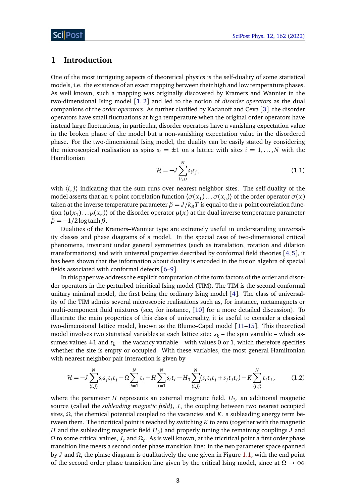## <span id="page-2-0"></span>**1 Introduction**

One of the most intriguing aspects of theoretical physics is the self-duality of some statistical models, i.e. the existence of an exact mapping between their high and low temperature phases. As well known, such a mapping was originally discovered by Kramers and Wannier in the two-dimensional Ising model [[1,](#page-54-0) [2](#page-54-1)] and led to the notion of *disorder operators* as the dual companions of the *order operators*. As further clarified by Kadanoff and Ceva [[3](#page-54-2)], the disorder operators have small fluctuations at high temperature when the original order operators have instead large fluctuations, in particular, disorder operators have a vanishing expectation value in the broken phase of the model but a non-vanishing expectation value in the disordered phase. For the two-dimensional Ising model, the duality can be easily stated by considering the microscopical realisation as spins  $s_i = \pm 1$  on a lattice with sites  $i = 1, ..., N$  with the Hamiltonian

$$
\mathcal{H} = -J \sum_{\langle i,j \rangle}^{N} s_i s_j, \qquad (1.1)
$$

with  $\langle i, j \rangle$  indicating that the sum runs over nearest neighbor sites. The self-duality of the model asserts that an *n*-point correlation function  $\langle \sigma(x_1) \dots \sigma(x_n) \rangle$  of the order operator  $\sigma(x)$ taken at the inverse temperature parameter  $\beta = J/k_B T$  is equal to the *n*-point correlation function  $\langle \mu(x_1) \dots \mu(x_n) \rangle$  of the disorder operator  $\mu(x)$  at the dual inverse temperature parameter  $\widetilde{\beta} = -1/2 \log \tanh \beta$ .

Dualities of the Kramers–Wannier type are extremely useful in understanding universality classes and phase diagrams of a model. In the special case of two-dimensional critical phenomena, invariant under general symmetries (such as translation, rotation and dilation transformations) and with universal properties described by conformal field theories [[4,](#page-54-3)[5](#page-54-4)], it has been shown that the information about duality is encoded in the fusion algebra of special fields associated with conformal defects [[6](#page-54-5)[–9](#page-54-6)].

In this paper we address the explicit computation of the form factors of the order and disorder operators in the perturbed tricritical Ising model (TIM). The TIM is the second conformal unitary minimal model, the first being the ordinary Ising model [[4](#page-54-3)]. The class of universality of the TIM admits several microscopic realisations such as, for instance, metamagnets or multi-component fluid mixtures (see, for instance, [[10](#page-54-7)] for a more detailed discussion). To illustrate the main properties of this class of universality, it is useful to consider a classical two-dimensional lattice model, known as the Blume–Capel model [[11](#page-54-8)[–15](#page-54-9)]. This theoretical model involves two statistical variables at each lattice site:  $s_k$  – the spin variable – which assumes values  $\pm 1$  and  $t_k$  – the vacancy variable – with values 0 or 1, which therefore specifies whether the site is empty or occupied. With these variables, the most general Hamiltonian with nearest neighbor pair interaction is given by

<span id="page-2-1"></span>
$$
\mathcal{H} = -J \sum_{\langle i,j \rangle}^{N} s_i s_j t_i t_j - \Omega \sum_{i=1}^{N} t_i - H \sum_{i=1}^{N} s_i t_i - H_3 \sum_{\langle i,j \rangle}^{N} (s_i t_i t_j + s_j t_j t_i) - K \sum_{\langle i,j \rangle}^{N} t_i t_j, \tag{1.2}
$$

where the parameter  $H$  represents an external magnetic field,  $H_3$ , an additional magnetic source (called the *subleading magnetic field*), *J*, the coupling between two nearest occupied sites,  $Ω$ , the chemical potential coupled to the vacancies and  $K$ , a subleading energy term between them. The tricritical point is reached by switching *K* to zero (together with the magnetic  $H$  and the subleading magnetic field  $H_3$ ) and properly tuning the remaining couplings  $J$  and *Ω* to some critical values, *J<sup>c</sup>* and *Ω<sup>c</sup>* . As is well known, at the tricritical point a first order phase transition line meets a second order phase transition line: in the two parameter space spanned by *J* and *Ω*, the phase diagram is qualitatively the one given in Figure [1.1,](#page-3-0) with the end point of the second order phase transition line given by the critical Ising model, since at *Ω* → ∞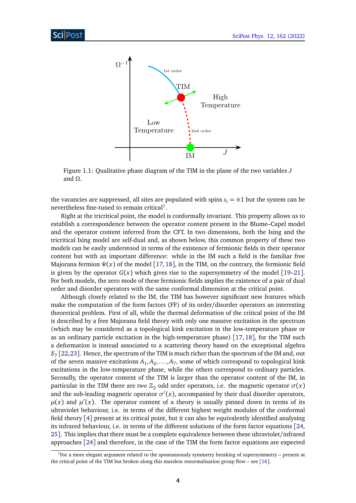<span id="page-3-0"></span>

Figure 1.1: Qualitative phase diagram of the TIM in the plane of the two variables *J* and *Ω*.

the vacancies are suppressed, all sites are populated with spins  $s_i = \pm 1$  but the system can be nevertheless fine-tuned to remain critical<sup>[1](#page-3-1)</sup>.

Right at the tricritical point, the model is conformally invariant. This property allows us to establish a correspondence between the operator content present in the Blume–Capel model and the operator content inferred from the CFT. In two dimensions, both the Ising and the tricritical Ising model are self-dual and, as shown below, this common property of these two models can be easily understood in terms of the existence of fermionic fields in their operator content but with an important difference: while in the IM such a field is the familiar free Majorana fermion *Ψ*(*x*) of the model [[17,](#page-54-10)[18](#page-54-11)], in the TIM, on the contrary, the fermionic field is given by the operator  $G(x)$  which gives rise to the supersymmetry of the model [[19](#page-55-0)[–21](#page-55-1)]. For both models, the zero mode of these fermionic fields implies the existence of a pair of dual order and disorder operators with the same conformal dimension at the critical point.

Although closely related to the IM, the TIM has however significant new features which make the computation of the form factors (FF) of its order/disorder operators an interesting theoretical problem. First of all, while the thermal deformation of the critical point of the IM is described by a free Majorana field theory with only one massive excitation in the spectrum (which may be considered as a topological kink excitation in the low-temperature phase or as an ordinary particle excitation in the high-temperature phase) [[17,](#page-54-10) [18](#page-54-11)], for the TIM such a deformation is instead associated to a scattering theory based on the exceptional algebra *E*7 [[22,](#page-55-2)[23](#page-55-3)]. Hence, the spectrum of the TIM is much richer than the spectrum of the IM and, out of the seven massive excitations  $A_1, A_2, \ldots, A_7$ , some of which correspond to topological kink excitations in the low-temperature phase, while the others correspond to ordinary particles. Secondly, the operator content of the TIM is larger than the operator content of the IM, in particular in the TIM there are *two*  $\mathbb{Z}_2$  odd order operators, i.e. the magnetic operator  $\sigma(x)$ and the sub-leading magnetic operator  $\sigma'(x)$ , accompanied by their dual disorder operators,  $\mu(x)$  and  $\mu'(x)$ . The operator content of a theory is usually pinned down in terms of its ultraviolet behaviour, i.e. in terms of the different highest weight modules of the conformal field theory [[4](#page-54-3)] present at its critical point, but it can also be equivalently identified analysing its infrared behaviour, i.e. in terms of the different solutions of the form factor equations [[24,](#page-55-4) [25](#page-55-5)]. This implies that there must be a complete equivalence between these ultraviolet/infrared approaches [[24](#page-55-4)] and therefore, in the case of the TIM the form factor equations are expected

<span id="page-3-1"></span> $1$ For a more elegant argument related to the spontaneously symmetry breaking of supersymmetry – present at the critical point of the TIM but broken along this massless renormalisation group flow – see [[16](#page-54-12)].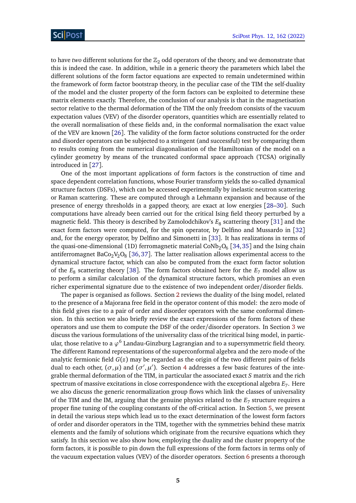to have *two* different solutions for the  $\mathbb{Z}_2$  odd operators of the theory, and we demonstrate that this is indeed the case. In addition, while in a generic theory the parameters which label the different solutions of the form factor equations are expected to remain undetermined within the framework of form factor bootstrap theory, in the peculiar case of the TIM the self-duality of the model and the cluster property of the form factors can be exploited to determine these matrix elements exactly. Therefore, the conclusion of our analysis is that in the magnetisation sector relative to the thermal deformation of the TIM the only freedom consists of the vacuum expectation values (VEV) of the disorder operators, quantities which are essentially related to the overall normalisation of these fields and, in the conformal normalisation the exact value of the VEV are known [[26](#page-55-6)]. The validity of the form factor solutions constructed for the order and disorder operators can be subjected to a stringent (and successful) test by comparing them to results coming from the numerical diagonalisation of the Hamiltonian of the model on a cylinder geometry by means of the truncated conformal space approach (TCSA) originally introduced in [[27](#page-55-7)].

One of the most important applications of form factors is the construction of time and space dependent correlation functions, whose Fourier transform yields the so-called dynamical structure factors (DSFs), which can be accessed experimentally by inelastic neutron scattering or Raman scattering. These are computed through a Lehmann expansion and because of the presence of energy thresholds in a gapped theory, are exact at low energies [[28](#page-55-8)[–30](#page-55-9)]. Such computations have already been carried out for the critical Ising field theory perturbed by a magnetic field. This theory is described by Zamolodchikov's  $E_8$  scattering theory [[31](#page-55-10)] and the exact form factors were computed, for the spin operator, by Delfino and Mussardo in [[32](#page-55-11)] and, for the energy operator, by Delfino and Simonetti in [[33](#page-55-12)]. It has realizations in terms of the quasi-one-dimensional (1D) ferromagnetic material CoNb $_{2} \mathrm{O}_{6}$  [[34,](#page-56-0) [35](#page-56-1)] and the Ising chain antiferromagnet BaCo $_2$ V $_2$ O $_8$  [[36,](#page-56-2)[37](#page-56-3)]. The latter realisation allows experimental access to the dynamical structure factor, which can also be computed from the exact form factor solution of the  $E_8$  scattering theory [[38](#page-56-4)]. The form factors obtained here for the  $E_7$  model allow us to perform a similar calculation of the dynamical structure factors, which promises an even richer experimental signature due to the existence of two independent order/disorder fields.

The paper is organised as follows. Section [2](#page-5-0) reviews the duality of the Ising model, related to the presence of a Majorana free field in the operator content of this model: the zero mode of this field gives rise to a pair of order and disorder operators with the same conformal dimension. In this section we also briefly review the exact expressions of the form factors of these operators and use them to compute the DSF of the order/disorder operators. In Section [3](#page-12-0) we discuss the various formulations of the universality class of the tricritical Ising model, in particular, those relative to a  $\varphi^6$  Landau-Ginzburg Lagrangian and to a supersymmetric field theory. The different Ramond representations of the superconformal algebra and the zero mode of the analytic fermionic field *G*(*z*) may be regarded as the origin of the two different pairs of fields dual to each other,  $(\sigma, \mu)$  and  $(\sigma', \mu')$ . Section [4](#page-17-0) addresses a few basic features of the integrable thermal deformation of the TIM, in particular the associated exact *S* matrix and the rich spectrum of massive excitations in close correspondence with the exceptional algebra  $E_7$ . Here we also discuss the generic renormalization group flows which link the classes of universality of the TIM and the IM, arguing that the genuine physics related to the  $E_7$  structure requires a proper fine tuning of the coupling constants of the off-critical action. In Section [5,](#page-22-0) we present in detail the various steps which lead us to the exact determination of the lowest form factors of order and disorder operators in the TIM, together with the symmetries behind these matrix elements and the family of solutions which originate from the recursive equations which they satisfy. In this section we also show how, employing the duality and the cluster property of the form factors, it is possible to pin down the full expressions of the form factors in terms only of the vacuum expectation values (VEV) of the disorder operators. Section [6](#page-30-0) presents a thorough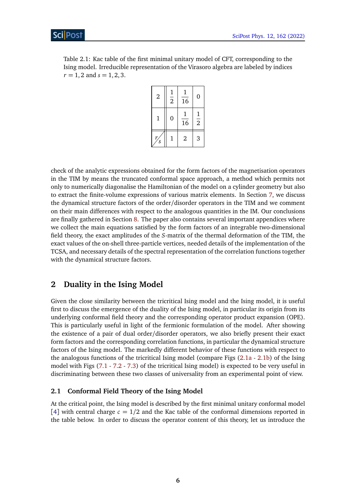Table 2.1: Kac table of the first minimal unitary model of CFT, corresponding to the Ising model. Irreducible representation of the Virasoro algebra are labeled by indices  $r = 1, 2$  and  $s = 1, 2, 3$ .

| $\overline{2}$    | $\frac{1}{2}$ | 16             | $\overline{0}$ |
|-------------------|---------------|----------------|----------------|
| 1                 | 0             | 16             | $\frac{1}{2}$  |
| $\mathcal{S}_{0}$ | 1             | $\overline{2}$ | 3              |

check of the analytic expressions obtained for the form factors of the magnetisation operators in the TIM by means the truncated conformal space approach, a method which permits not only to numerically diagonalise the Hamiltonian of the model on a cylinder geometry but also to extract the finite-volume expressions of various matrix elements. In Section [7,](#page-38-0) we discuss the dynamical structure factors of the order/disorder operators in the TIM and we comment on their main differences with respect to the analogous quantities in the IM. Our conclusions are finally gathered in Section [8.](#page-43-0) The paper also contains several important appendices where we collect the main equations satisfied by the form factors of an integrable two-dimensional field theory, the exact amplitudes of the *S*-matrix of the thermal deformation of the TIM, the exact values of the on-shell three-particle vertices, needed details of the implementation of the TCSA, and necessary details of the spectral representation of the correlation functions together with the dynamical structure factors.

## <span id="page-5-0"></span>**2 Duality in the Ising Model**

Given the close similarity between the tricritical Ising model and the Ising model, it is useful first to discuss the emergence of the duality of the Ising model, in particular its origin from its underlying conformal field theory and the corresponding operator product expansion (OPE). This is particularly useful in light of the fermionic formulation of the model. After showing the existence of a pair of dual order/disorder operators, we also briefly present their exact form factors and the corresponding correlation functions, in particular the dynamical structure factors of the Ising model. The markedly different behavior of these functions with respect to the analogous functions of the tricritical Ising model (compare Figs [\(2.1a](#page-12-2) - [2.1b\)](#page-12-2) of the Ising model with Figs [\(7.1](#page-41-0) - [7.2](#page-41-1) - [7.3\)](#page-42-0) of the tricritical Ising model) is expected to be very useful in discriminating between these two classes of universality from an experimental point of view.

## <span id="page-5-1"></span>**2.1 Conformal Field Theory of the Ising Model**

At the critical point, the Ising model is described by the first minimal unitary conformal model [[4](#page-54-3)] with central charge  $c = 1/2$  and the Kac table of the conformal dimensions reported in the table below. In order to discuss the operator content of this theory, let us introduce the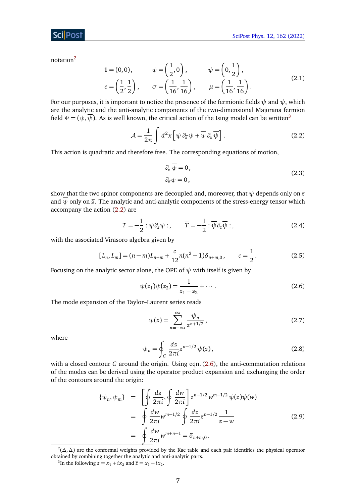notation[2](#page-6-0)

$$
1 = (0,0), \qquad \psi = \left(\frac{1}{2}, 0\right), \qquad \overline{\psi} = \left(0, \frac{1}{2}\right),
$$
  

$$
\epsilon = \left(\frac{1}{2}, \frac{1}{2}\right), \qquad \sigma = \left(\frac{1}{16}, \frac{1}{16}\right), \qquad \mu = \left(\frac{1}{16}, \frac{1}{16}\right).
$$
 (2.1)

For our purposes, it is important to notice the presence of the fermionic fields  $\psi$  and  $\overline{\psi}$ , which are the analytic and the anti-analytic components of the two-dimensional Majorana fermion field  $\Psi = (\psi, \overline{\psi})$ . As is well known, the critical action of the Ising model can be written<sup>[3](#page-6-1)</sup>

$$
\mathcal{A} = \frac{1}{2\pi} \int d^2x \left[ \psi \partial_{\overline{z}} \psi + \overline{\psi} \partial_z \overline{\psi} \right].
$$
 (2.2)

This action is quadratic and therefore free. The corresponding equations of motion,

<span id="page-6-2"></span>
$$
\partial_z \overline{\psi} = 0, \n\partial_{\overline{z}} \psi = 0,
$$
\n(2.3)

show that the two spinor components are decoupled and, moreover, that  $\psi$  depends only on  $z$ and  $\overline{\psi}$  only on  $\overline{z}$ . The analytic and anti-analytic components of the stress-energy tensor which accompany the action [\(2.2\)](#page-6-2) are

$$
T = -\frac{1}{2} : \psi \partial_z \psi : , \qquad \overline{T} = -\frac{1}{2} : \overline{\psi} \partial_{\overline{z}} \overline{\psi} : , \tag{2.4}
$$

with the associated Virasoro algebra given by

$$
[L_n, L_m] = (n-m)L_{n+m} + \frac{c}{12}n(n^2-1)\delta_{n+m,0}, \qquad c = \frac{1}{2}.
$$
 (2.5)

Focusing on the analytic sector alone, the OPE of  $\psi$  with itself is given by

<span id="page-6-3"></span>
$$
\psi(z_1)\psi(z_2) = \frac{1}{z_1 - z_2} + \cdots.
$$
\n(2.6)

The mode expansion of the Taylor–Laurent series reads

<span id="page-6-4"></span>
$$
\psi(z) = \sum_{n = -\infty}^{\infty} \frac{\psi_n}{z^{n+1/2}},
$$
\n(2.7)

where

$$
\psi_n = \oint_C \frac{dz}{2\pi i} z^{n-1/2} \psi(z), \qquad (2.8)
$$

with a closed contour *C* around the origin. Using eqn. [\(2.6\)](#page-6-3), the anti-commutation relations of the modes can be derived using the operator product expansion and exchanging the order of the contours around the origin:

$$
\{\psi_n, \psi_m\} = \left[\oint \frac{dz}{2\pi i}, \oint \frac{dw}{2\pi i}\right] z^{n-1/2} w^{m-1/2} \psi(z) \psi(w)
$$
  
\n
$$
= \oint \frac{dw}{2\pi i} w^{m-1/2} \oint \frac{dz}{2\pi i} z^{n-1/2} \frac{1}{z-w}
$$
  
\n
$$
= \oint \frac{dw}{2\pi i} w^{m+n-1} = \delta_{n+m,0}.
$$
\n(2.9)

<span id="page-6-1"></span><sup>3</sup>In the following  $z = x_1 + ix_2$  and  $\overline{z} = x_1 - ix_2$ .

<span id="page-6-0"></span><sup>2</sup> (*∆*,*∆*) are the conformal weights provided by the Kac table and each pair identifies the physical operator obtained by combining together the analytic and anti-analytic parts.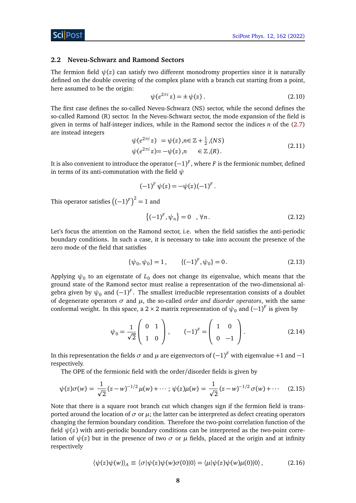#### <span id="page-7-0"></span>**2.2 Neveu-Schwarz and Ramond Sectors**

The fermion field  $\psi(z)$  can satisfy two different monodromy properties since it is naturally defined on the double covering of the complex plane with a branch cut starting from a point, here assumed to be the origin:

$$
\psi(e^{2\pi i}z) = \pm \psi(z) \tag{2.10}
$$

The first case defines the so-called Neveu-Schwarz (NS) sector, while the second defines the so-called Ramond (R) sector. In the Neveu-Schwarz sector, the mode expansion of the field is given in terms of half-integer indices, while in the Ramond sector the indices *n* of the [\(2.7\)](#page-6-4) are instead integers

$$
\psi(e^{2\pi i} z) = \psi(z), n \in \mathbb{Z} + \frac{1}{2}, (NS)
$$
  

$$
\psi(e^{2\pi i} z) = -\psi(z), n \in \mathbb{Z}, (R).
$$
 (2.11)

It is also convenient to introduce the operator  $(-1)^F$  , where  $F$  is the fermionic number, defined in terms of its anti-commutation with the field *ψ*

$$
(-1)^{F} \psi(z) = -\psi(z)(-1)^{F}.
$$

This operator satisfies  $\left((-1)^F\right)^2=1$  and

$$
\{(-1)^F, \psi_n\} = 0 \quad , \forall n. \tag{2.12}
$$

Let's focus the attention on the Ramond sector, i.e. when the field satisfies the anti-periodic boundary conditions. In such a case, it is necessary to take into account the presence of the zero mode of the field that satisfies

$$
\{\psi_0, \psi_0\} = 1, \qquad \{(-1)^F, \psi_0\} = 0. \tag{2.13}
$$

Applying  $\psi_0$  to an eigenstate of  $L_0$  does not change its eigenvalue, which means that the ground state of the Ramond sector must realise a representation of the two-dimensional algebra given by  $\psi_0$  and  $(-1)^F$ . The smallest irreducible representation consists of a doublet of degenerate operators *σ* and *µ*, the so-called *order and disorder operators*, with the same conformal weight. In this space, a 2 × 2 matrix representation of  $\psi_0$  and  $(-1)^F$  is given by

<span id="page-7-1"></span>
$$
\psi_0 = \frac{1}{\sqrt{2}} \begin{pmatrix} 0 & 1 \\ 1 & 0 \end{pmatrix}, \qquad (-1)^F = \begin{pmatrix} 1 & 0 \\ 0 & -1 \end{pmatrix}.
$$
 (2.14)

In this representation the fields  $\sigma$  and  $\mu$  are eigenvectors of  $(-1)^F$  with eigenvalue +1 and  $-1$ respectively.

The OPE of the fermionic field with the order/disorder fields is given by

$$
\psi(z)\sigma(w) = \frac{1}{\sqrt{2}}(z-w)^{-1/2}\mu(w) + \cdots; \psi(z)\mu(w) = \frac{1}{\sqrt{2}}(z-w)^{-1/2}\sigma(w) + \cdots \quad (2.15)
$$

Note that there is a square root branch cut which changes sign if the fermion field is transported around the location of  $\sigma$  or  $\mu$ ; the latter can be interpreted as defect creating operators changing the fermion boundary condition. Therefore the two-point correlation function of the field  $\psi(z)$  with anti-periodic boundary conditions can be interpreted as the two-point correlation of  $\psi(z)$  but in the presence of two  $\sigma$  or  $\mu$  fields, placed at the origin and at infinity respectively

$$
\langle \psi(z)\psi(w)\rangle_A \equiv \langle \sigma | \psi(z)\psi(w)\sigma(0) | 0 \rangle = \langle \mu | \psi(z)\psi(w)\mu(0) | 0 \rangle, \tag{2.16}
$$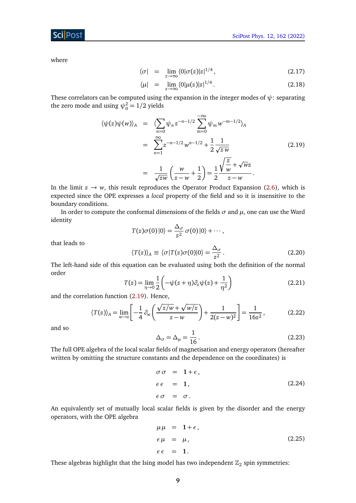## **ScilPost**

where

$$
\langle \sigma | = \lim_{z \to \infty} \langle 0 | \sigma(z) | z |^{1/4}, \qquad (2.17)
$$

$$
\langle \mu | = \lim_{z \to \infty} \langle 0 | \mu(z) | z |^{1/4} \,. \tag{2.18}
$$

These correlators can be computed using the expansion in the integer modes of *ψ*: separating the zero mode and using  $\psi_0^2 = 1/2$  yields

<span id="page-8-0"></span>
$$
\langle \psi(z)\psi(w)\rangle_A = \langle \sum_{n=0}^{\infty} \psi_n z^{-n-1/2} \sum_{m=0}^{-\infty} \psi_m w^{-m-1/2} \rangle_A
$$
  

$$
= \sum_{n=1}^{\infty} z^{-n-1/2} w^{n-1/2} + \frac{1}{2} \frac{1}{\sqrt{zw}}
$$
(2.19)  

$$
= \frac{1}{\sqrt{zw}} \left(\frac{w}{z-w} + \frac{1}{2}\right) = \frac{1}{2} \frac{\sqrt{\frac{z}{w}} + \sqrt{w}z}{z-w}.
$$

In the limit  $z \to w$ , this result reproduces the Operator Product Expansion [\(2.6\)](#page-6-3), which is expected since the OPE expresses a *local* property of the field and so it is insensitive to the boundary conditions.

In order to compute the conformal dimensions of the fields  $\sigma$  and  $\mu$ , one can use the Ward identity

$$
T(z)\sigma(0)|0\rangle = \frac{\Delta_{\sigma}}{z^2}\,\sigma(0)|0\rangle + \cdots,
$$

that leads to

$$
\langle T(z) \rangle_A \equiv \langle \sigma | T(z) \sigma(0) | 0 \rangle = \frac{\Delta_{\sigma}}{z^2} \,. \tag{2.20}
$$

The left-hand side of this equation can be evaluated using both the definition of the normal order

$$
T(z) = \lim_{\eta \to 0} \frac{1}{2} \left( -\psi(z+\eta)\partial_z \psi(z) + \frac{1}{\eta^2} \right)
$$
 (2.21)

and the correlation function [\(2.19\)](#page-8-0). Hence,

$$
\langle T(z) \rangle_A = \lim_{w \to z} \left[ -\frac{1}{4} \partial_w \left( \frac{\sqrt{z/w} + \sqrt{w/z}}{z - w} \right) + \frac{1}{2(z - w)^2} \right] = \frac{1}{16z^2}, \quad (2.22)
$$

and so

<span id="page-8-1"></span>
$$
\Delta_{\sigma} = \Delta_{\mu} = \frac{1}{16} \,. \tag{2.23}
$$

The full OPE algebra of the local scalar fields of magnetisation and energy operators (hereafter written by omitting the structure constants and the dependence on the coordinates) is

$$
\begin{aligned}\n\sigma \, \sigma &= 1 + \epsilon, \\
\epsilon \, \epsilon &= 1, \\
\epsilon \, \sigma &= \sigma.\n\end{aligned}\n\tag{2.24}
$$

An equivalently set of mutually local scalar fields is given by the disorder and the energy operators, with the OPE algebra

$$
\mu \mu = 1 + \epsilon,
$$
  
\n
$$
\epsilon \mu = \mu,
$$
  
\n
$$
\epsilon \epsilon = 1.
$$
\n(2.25)

These algebras highlight that the Ising model has two independent  $\mathbb{Z}_2$  spin symmetries: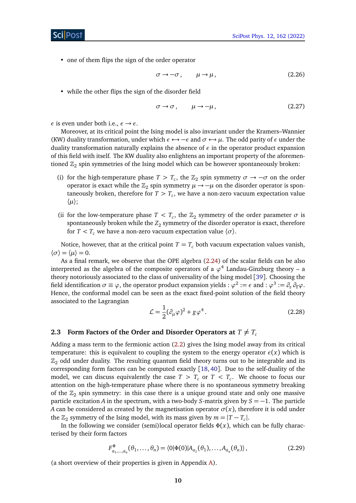• one of them flips the sign of the order operator

$$
\sigma \to -\sigma \,, \qquad \mu \to \mu \,, \tag{2.26}
$$

• while the other flips the sign of the disorder field

$$
\sigma \to \sigma, \qquad \mu \to -\mu, \tag{2.27}
$$

*ε* is even under both i.e.,  $\epsilon \rightarrow \epsilon$ .

Moreover, at its critical point the Ising model is also invariant under the Kramers–Wannier (KW) duality transformation, under which  $\epsilon \leftrightarrow -\epsilon$  and  $\sigma \leftrightarrow \mu$ . The odd parity of  $\epsilon$  under the duality transformation naturally explains the absence of *ε* in the operator product expansion of this field with itself. The KW duality also enlightens an important property of the aforementioned  $\mathbb{Z}_2$  spin symmetries of the Ising model which can be however spontaneously broken:

- (i) for the high-temperature phase  $T > T_c$ , the  $\mathbb{Z}_2$  spin symmetry  $\sigma \to -\sigma$  on the order operator is exact while the  $\mathbb{Z}_2$  spin symmetry  $\mu \to -\mu$  on the disorder operator is spontaneously broken, therefore for *T > T<sup>c</sup>* , we have a non-zero vacuum expectation value 〈*µ*〉;
- (ii for the low-temperature phase  $T < T_c$ , the  $\mathbb{Z}_2$  symmetry of the order parameter  $\sigma$  is spontaneously broken while the  $Z_2$  symmetry of the disorder operator is exact, therefore for  $T < T_c$  we have a non-zero vacuum expectation value  $\langle \sigma \rangle$ .

Notice, however, that at the critical point  $T = T_c$  both vacuum expectation values vanish,  $\langle \sigma \rangle = \langle \mu \rangle = 0.$ 

As a final remark, we observe that the OPE algebra [\(2.24\)](#page-8-1) of the scalar fields can be also interpreted as the algebra of the composite operators of a  $\varphi^4$  Landau-Ginzburg theory – a theory notoriously associated to the class of universality of the Ising model [[39](#page-56-5)]. Choosing the field identification  $\sigma \equiv \varphi$ , the operator product expansion yields :  $\varphi^2:=\epsilon$  and :  $\varphi^3:=\partial_z\,\partial_{\overline z}\varphi.$ Hence, the conformal model can be seen as the exact fixed-point solution of the field theory associated to the Lagrangian

$$
\mathcal{L} = \frac{1}{2} (\partial_{\mu} \varphi)^2 + g \varphi^4. \tag{2.28}
$$

#### <span id="page-9-0"></span>**2.3 Form Factors of the Order and Disorder Operators at**  $T \neq T_c$

Adding a mass term to the fermionic action [\(2.2\)](#page-6-2) gives the Ising model away from its critical temperature: this is equivalent to coupling the system to the energy operator  $\epsilon(x)$  which is  $\mathbb{Z}_2$  odd under duality. The resulting quantum field theory turns out to be integrable and its corresponding form factors can be computed exactly [[18,](#page-54-11) [40](#page-56-6)]. Due to the self-duality of the model, we can discuss equivalently the case  $T > T_c$  or  $T < T_c$ . We choose to focus our attention on the high-temperature phase where there is no spontaneous symmetry breaking of the  $\mathbb{Z}_2$  spin symmetry: in this case there is a unique ground state and only one massive particle excitation *A* in the spectrum, with a two-body *S*-matrix given by *S* = −1. The particle *A* can be considered as created by the magnetisation operator  $\sigma(x)$ , therefore it is odd under the  $\mathbb{Z}_2$  symmetry of the Ising model, with its mass given by  $m = |T - T_c|$ .

In the following we consider (semi)local operator fields  $\Phi(x)$ , which can be fully characterised by their form factors

$$
F_{a_1,...,a_n}^{\Phi}(\theta_1,...,\theta_n) = \langle 0|\Phi(0)|A_{a_1}(\theta_1),...,A_{a_n}(\theta_n)\rangle, \qquad (2.29)
$$

(a short overview of their properties is given in Appendix [A\)](#page-43-1).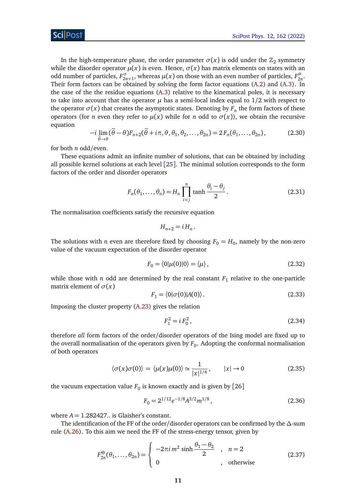In the high-temperature phase, the order parameter  $\sigma(x)$  is odd under the  $\mathbb{Z}_2$  symmetry while the disorder operator  $\mu(x)$  is even. Hence,  $\sigma(x)$  has matrix elements on states with an odd number of particles,  $F_{2n+1}^{\sigma}$ , whereas  $\mu(x)$  on those with an even number of particles,  $F_{2n}^{\mu}$ 2*n* . Their form factors can be obtained by solving the form factor equations [\(A.2\)](#page-44-0) and [\(A.3\)](#page-44-1). In the case of the the residue equations [\(A.3\)](#page-44-1) relative to the kinematical poles, it is necessary to take into account that the operator  $\mu$  has a semi-local index equal to  $1/2$  with respect to the operator  $\sigma(x)$  that creates the asymptotic states. Denoting by  $F_n$  the form factors of these operators (for *n* even they refer to  $\mu(x)$  while for *n* odd to  $\sigma(x)$ ), we obtain the recursive equation

$$
-i\lim_{\tilde{\theta}\to\theta}(\tilde{\theta}-\theta)F_{n+2}(\tilde{\theta}+i\pi,\theta,\theta_1,\theta_2,\ldots,\theta_{2n})=2F_n(\theta_1,\ldots,\theta_{2n}),
$$
 (2.30)

for both *n* odd/even.

These equations admit an infinite number of solutions, that can be obtained by including all possible kernel solutions at each level [[25](#page-55-5)]. The minimal solution corresponds to the form factors of the order and disorder operators

$$
F_n(\theta_1, \dots, \theta_n) = H_n \prod_{i < j}^n \tanh \frac{\theta_i - \theta_j}{2} \,. \tag{2.31}
$$

The normalisation coefficients satisfy the recursive equation

$$
H_{n+2}=iH_n.
$$

The solutions with *n* even are therefore fixed by choosing  $F_0 = H_0$ , namely by the non-zero value of the vacuum expectation of the disorder operator

$$
F_0 = \langle 0 | \mu(0) | 0 \rangle = \langle \mu \rangle, \tag{2.32}
$$

while those with  $n$  odd are determined by the real constant  $F_1$  relative to the one-particle matrix element of  $\sigma(x)$ 

$$
F_1 = \langle 0 | \sigma(0) | A(0) \rangle. \tag{2.33}
$$

Imposing the cluster property [\(A.23\)](#page-47-0) gives the relation

<span id="page-10-0"></span>
$$
F_1^2 = i F_0^2, \tag{2.34}
$$

therefore *all* form factors of the order/disorder operators of the Ising model are fixed up to the overall normalisation of the operators given by  $F_0.$  Adopting the conformal normalisation of both operators

$$
\langle \sigma(x)\sigma(0)\rangle = \langle \mu(x)\mu(0)\rangle \simeq \frac{1}{|x|^{1/4}}, \qquad |x| \to 0 \tag{2.35}
$$

the vacuum expectation value  $F_0$  is known exactly and is given by  $\left[ 26\right]$  $\left[ 26\right]$  $\left[ 26\right]$ 

$$
F_0 = 2^{1/12} e^{-1/8} A^{3/2} m^{1/8},\tag{2.36}
$$

where  $A = 1.282427$ .. is Glaisher's constant.

The identification of the FF of the order/disorder operators can be confirmed by the *∆*-sum rule [\(A.26\)](#page-48-1). To this aim we need the FF of the stress-energy tensor, given by

$$
F_{2n}^{\Theta}(\theta_1,\ldots,\theta_{2n}) = \begin{cases} -2\pi i m^2 \sinh \frac{\theta_1-\theta_2}{2} , & n=2\\ 0 , & \text{otherwise} \end{cases}
$$
 (2.37)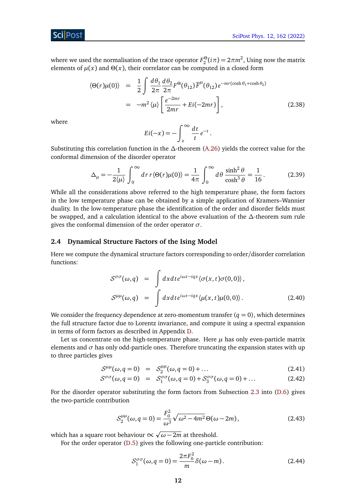### Sci Post

where we used the normalisation of the trace operator  $F_2^{\Theta}(i\pi) = 2\pi m^2$ , Using now the matrix elements of  $\mu(x)$  and  $\Theta(x)$ , their correlator can be computed in a closed form

$$
\langle \Theta(r)\mu(0) \rangle = \frac{1}{2} \int \frac{d\theta_1}{2\pi} \frac{d\theta_2}{2\pi} F^{\Theta}(\theta_{12}) \overline{F}^{\mu}(\theta_{12}) e^{-mr(\cosh \theta_1 + \cosh \theta_2)}
$$
  

$$
= -m^2 \langle \mu \rangle \left[ \frac{e^{-2mr}}{2mr} + Ei(-2mr) \right],
$$
 (2.38)

where

$$
Ei(-x) = -\int_x^{\infty} \frac{dt}{t} e^{-t}.
$$

Substituting this correlation function in the *∆*-theorem [\(A.26\)](#page-48-1) yields the correct value for the conformal dimension of the disorder operator

$$
\Delta_{\mu} = -\frac{1}{2\langle \mu \rangle} \int_0^{\infty} dr \, r \langle \Theta(r) \mu(0) \rangle = \frac{1}{4\pi} \int_0^{\infty} d\theta \, \frac{\sinh^2 \theta}{\cosh^3 \theta} = \frac{1}{16} \,. \tag{2.39}
$$

While all the considerations above referred to the high temperature phase, the form factors in the low temperature phase can be obtained by a simple application of Kramers–Wannier duality. In the low-temperature phase the identification of the order and disorder fields must be swapped, and a calculation identical to the above evaluation of the *∆*-theorem sum rule gives the conformal dimension of the order operator *σ*.

#### <span id="page-11-0"></span>**2.4 Dynamical Structure Factors of the Ising Model**

Here we compute the dynamical structure factors corresponding to order/disorder correlation functions:

$$
S^{\sigma\sigma}(\omega, q) = \int dx dt e^{i\omega t - iqx} \langle \sigma(x, t)\sigma(0, 0) \rangle,
$$
  
\n
$$
S^{\mu\mu}(\omega, q) = \int dx dt e^{i\omega t - iqx} \langle \mu(x, t)\mu(0, 0) \rangle.
$$
 (2.40)

We consider the frequency dependence at zero-momentum transfer  $(q = 0)$ , which determines the full structure factor due to Lorentz invariance, and compute it using a spectral expansion in terms of form factors as described in Appendix [D.](#page-52-0)

Let us concentrate on the high-temperature phase. Here  $\mu$  has only even-particle matrix elements and  $\sigma$  has only odd-particle ones. Therefore truncating the expansion states with up to three particles gives

$$
S^{\mu\mu}(\omega, q=0) = S_2^{\mu\mu}(\omega, q=0) + ... \qquad (2.41)
$$

$$
S^{\sigma\sigma}(\omega, q=0) = S_1^{\sigma\sigma}(\omega, q=0) + S_3^{\sigma\sigma}(\omega, q=0) + \dots \tag{2.42}
$$

For the disorder operator substituting the form factors from Subsection [2.3](#page-9-0) into [\(D.6\)](#page-53-1) gives the two-particle contribution

$$
S_2^{\mu\mu}(\omega, q=0) = \frac{F_0^2}{\omega^3} \sqrt{\omega^2 - 4m^2} \Theta(\omega - 2m),
$$
 (2.43)

which has a square root behaviour  $\infty$ *ω* − 2*m* at threshold.

For the order operator [\(D.5\)](#page-53-2) gives the following one-particle contribution:

$$
S_1^{\sigma\sigma}(\omega, q=0) = \frac{2\pi F_0^2}{m} \delta(\omega - m). \tag{2.44}
$$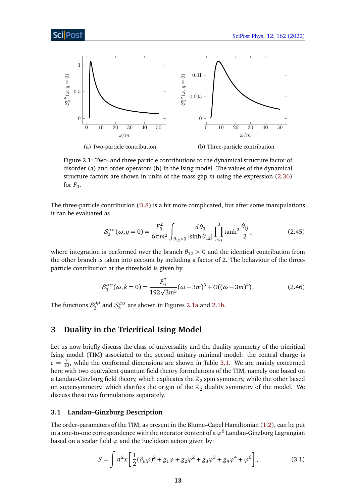<span id="page-12-2"></span>

Figure 2.1: Two- and three particle contributions to the dynamical structure factor of disorder (a) and order operators (b) in the Ising model. The values of the dynamical structure factors are shown in units of the mass gap *m* using the expression [\(2.36\)](#page-10-0) for  $F_0$ .

The three-particle contribution [\(D.8\)](#page-53-3) is a bit more complicated, but after some manipulations it can be evaluated as

$$
S_3^{\sigma\sigma}(\omega, q=0) = \frac{F_0^2}{6\pi m^2} \int_{\theta_{12}>0} \frac{d\theta_3}{|\sinh\theta_{12}|} \prod_{i (2.45)
$$

where integration is performed over the branch  $\theta_{12} > 0$  and the identical contribution from the other branch is taken into account by including a factor of 2. The behaviour of the threeparticle contribution at the threshold is given by

$$
S_3^{\sigma\sigma}(\omega, k=0) = \frac{F_0^2}{192\sqrt{3}m^5}(\omega - 3m)^3 + O((\omega - 3m)^4). \tag{2.46}
$$

The functions  $\mathcal{S}_2^{\mu\mu}$  $\frac{\mu\mu}{2}$  and  $\mathcal{S}_3^{\sigma\sigma}$  are shown in Figures [2.1a](#page-12-2) and [2.1b.](#page-12-2)

## <span id="page-12-0"></span>**3 Duality in the Tricritical Ising Model**

Let us now briefly discuss the class of universality and the duality symmetry of the tricritical Ising model (TIM) associated to the second unitary minimal model: the central charge is  $c = \frac{7}{10}$ , while the conformal dimensions are shown in Table [3.1.](#page-13-0) We are mainly concerned here with two equivalent quantum field theory formulations of the TIM, namely one based on a Landau-Ginzburg field theory, which explicates the  $\mathbb{Z}_2$  spin symmetry, while the other based on supersymmetry, which clarifies the origin of the  $\mathbb{Z}_2$  duality symmetry of the model. We discuss these two formulations separately.

#### <span id="page-12-1"></span>**3.1 Landau–Ginzburg Description**

The order-parameters of the TIM, as present in the Blume–Capel Hamiltonian [\(1.2\)](#page-2-1), can be put in a one-to-one correspondence with the operator content of a  $\varphi^6$  Landau-Ginzburg Lagrangian based on a scalar field  $\varphi$  and the Euclidean action given by:

<span id="page-12-3"></span>
$$
S = \int d^2x \left[ \frac{1}{2} (\partial_\mu \varphi)^2 + g_1 \varphi + g_2 \varphi^2 + g_3 \varphi^3 + g_4 \varphi^4 + \varphi^6 \right],
$$
 (3.1)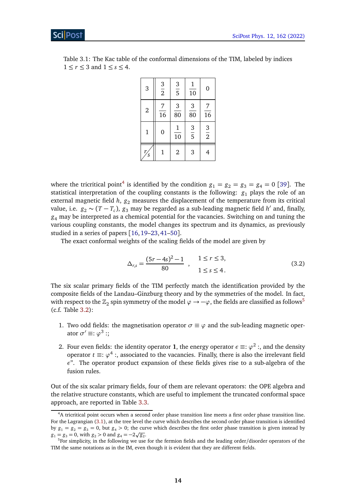| 3                      | $\frac{3}{2}$        | $\frac{3}{5}$                  | $\mathbf{1}$<br>$\frac{1}{10}$ | $\boldsymbol{0}$     |
|------------------------|----------------------|--------------------------------|--------------------------------|----------------------|
| $\overline{2}$         | 7<br>$\overline{16}$ | 3<br>$\frac{1}{80}$            | $\frac{3}{80}$                 | 7<br>$\overline{16}$ |
| $\mathbf 1$            | 0                    | $\mathbf{1}$<br>$\frac{1}{10}$ | $\frac{3}{5}$                  | $rac{3}{2}$          |
| r<br>$\mathcal{S}_{0}$ | 1                    | $\overline{2}$                 | 3                              |                      |

<span id="page-13-0"></span>Table 3.1: The Kac table of the conformal dimensions of the TIM, labeled by indices  $1 \leq r \leq 3$  and  $1 \leq s \leq 4$ .

where the tricritical point<sup>[4](#page-13-1)</sup> is identified by the condition  $g_1 = g_2 = g_3 = g_4 = 0$  [[39](#page-56-5)]. The statistical interpretation of the coupling constants is the following:  $g_1$  plays the role of an external magnetic field  $h$ ,  $g_2$  measures the displacement of the temperature from its critical value, i.e.  $g_2 \sim (T - T_c)$ ,  $g_3$  may be regarded as a sub-leading magnetic field *h'* and, finally, *g*<sup>4</sup> may be interpreted as a chemical potential for the vacancies. Switching on and tuning the various coupling constants, the model changes its spectrum and its dynamics, as previously studied in a series of papers [[16,](#page-54-12)[19](#page-55-0)[–23,](#page-55-3)[41–](#page-56-7)[50](#page-57-0)].

The exact conformal weights of the scaling fields of the model are given by

$$
\Delta_{r,s} = \frac{(5r - 4s)^2 - 1}{80} , \quad \frac{1 \le r \le 3,}{1 \le s \le 4}.
$$
\n(3.2)

The six scalar primary fields of the TIM perfectly match the identification provided by the composite fields of the Landau–Ginzburg theory and by the symmetries of the model. In fact, with respect to the  $\mathbb{Z}_2$  spin symmetry of the model  $\varphi \to -\varphi$ , the fields are classified as follows<sup>[5](#page-13-2)</sup> (c.f. Table [3.2\)](#page-14-0):

- 1. Two odd fields: the magnetisation operator  $\sigma \equiv \varphi$  and the sub-leading magnetic operator  $\sigma' \equiv : \varphi^3 :$
- 2. Four even fields: the identity operator 1, the energy operator  $\epsilon \equiv : \varphi^2 :$ , and the density operator  $t \equiv : \varphi^4 :$ , associated to the vacancies. Finally, there is also the irrelevant field *ε*". The operator product expansion of these fields gives rise to a sub-algebra of the fusion rules.

Out of the six scalar primary fields, four of them are relevant operators: the OPE algebra and the relative structure constants, which are useful to implement the truncated conformal space approach, are reported in Table [3.3.](#page-14-1)

<span id="page-13-1"></span><sup>4</sup>A tricritical point occurs when a second order phase transition line meets a first order phase transition line. For the Lagrangian [\(3.1\)](#page-12-3), at the tree level the curve which describes the second order phase transition is identified by  $g_1 = g_2 = g_3 = 0$ , but  $g_4 > 0$ ; the curve which describes the first order phase transition is given instead by  $g_1 = g_3 = 0$ , with  $g_2 > 0$  and  $g_4 = -2\sqrt{g_2}$ .

<span id="page-13-2"></span><sup>&</sup>lt;sup>5</sup>For simplicity, in the following we use for the fermion fields and the leading order/disorder operators of the TIM the same notations as in the IM, even though it is evident that they are different fields.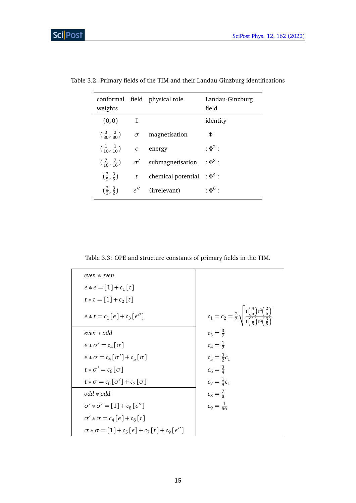| weights                                   |                | conformal field physical role     | Landau-Ginzburg<br>field |
|-------------------------------------------|----------------|-----------------------------------|--------------------------|
| (0, 0)                                    | $\blacksquare$ |                                   | identity                 |
| $\left(\frac{3}{80}, \frac{3}{80}\right)$ |                | $\sigma$ magnetisation            | Φ                        |
| $\left(\frac{1}{10},\frac{1}{10}\right)$  |                | $\epsilon$ energy                 | $:\Phi^2:$               |
| $(\frac{7}{16}, \frac{7}{16})$            |                | $\sigma'$ submagnetisation        | $:\Phi^3:$               |
| $(\frac{3}{5}, \frac{3}{5})$              |                | t chemical potential : $\Phi^4$ : |                          |
| $(\frac{3}{2}, \frac{3}{2})$              |                | $\epsilon''$ (irrelevant)         | : $\Phi^6$ :             |

<span id="page-14-0"></span>Table 3.2: Primary fields of the TIM and their Landau-Ginzburg identifications

Table 3.3: OPE and structure constants of primary fields in the TIM.

<span id="page-14-1"></span>

| $even * even$                                                         |                                                                                                                              |
|-----------------------------------------------------------------------|------------------------------------------------------------------------------------------------------------------------------|
| $\epsilon * \epsilon = [1] + c_1[t]$                                  |                                                                                                                              |
| $t * t = [1] + c_2[t]$                                                |                                                                                                                              |
| $\epsilon * t = c_1 [\epsilon] + c_3 [\epsilon'']$                    | $c_1 = c_2 = \frac{2}{3} \sqrt{\frac{\Gamma(\frac{4}{5}) \Gamma^3(\frac{2}{5})}{\Gamma(\frac{1}{5}) \Gamma^3(\frac{3}{5})}}$ |
| even * odd                                                            | $c_3 = \frac{3}{7}$                                                                                                          |
| $\epsilon * \sigma' = c_4 [\sigma]$                                   | $c_4 = \frac{1}{2}$                                                                                                          |
| $\epsilon * \sigma = c_4 [\sigma'] + c_5 [\sigma]$                    | $c_5 = \frac{3}{2}c_1$                                                                                                       |
| $t * \sigma' = c_6 [\sigma]$                                          | $c_6 = \frac{3}{4}$                                                                                                          |
| $t * \sigma = c_6 [\sigma'] + c_7 [\sigma]$                           | $c_7 = \frac{1}{4}c_1$                                                                                                       |
| $odd * odd$                                                           | $c_8 = \frac{7}{8}$                                                                                                          |
| $\sigma' * \sigma' = [1] + c_8 \left[\epsilon''\right]$               | $c_9 = \frac{1}{56}$                                                                                                         |
| $\sigma' * \sigma = c_4 [\epsilon] + c_6 [t]$                         |                                                                                                                              |
| $\sigma * \sigma = [1] + c_5 [\epsilon] + c_7 [t] + c_9 [\epsilon'']$ |                                                                                                                              |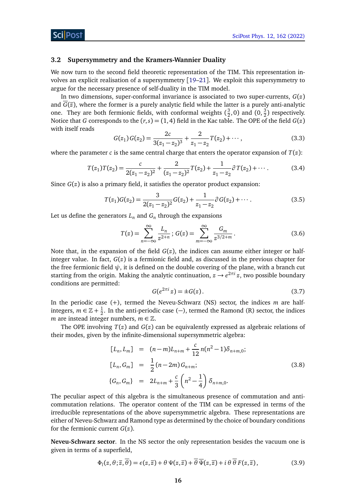#### <span id="page-15-0"></span>**3.2 Supersymmetry and the Kramers-Wannier Duality**

We now turn to the second field theoretic representation of the TIM. This representation involves an explicit realisation of a supersymmetry [[19](#page-55-0)[–21](#page-55-1)]. We exploit this supersymmetry to argue for the necessary presence of self-duality in the TIM model.

In two dimensions, super-conformal invariance is associated to two super-currents,  $G(z)$ and  $\overline{G}(\overline{z})$ , where the former is a purely analytic field while the latter is a purely anti-analytic one. They are both fermionic fields, with conformal weights  $(\frac{3}{2})$  $(\frac{3}{2}, 0)$  and  $(0, \frac{3}{2})$  respectively. Notice that *G* corresponds to the  $(r, s) = (1, 4)$  field in the Kac table. The OPE of the field  $G(z)$ with itself reads

$$
G(z_1)G(z_2) = \frac{2c}{3(z_1 - z_2)^3} + \frac{2}{z_1 - z_2}T(z_2) + \cdots,
$$
\n(3.3)

where the parameter *c* is the same central charge that enters the operator expansion of *T*(*z*):

$$
T(z_1)T(z_2) = \frac{c}{2(z_1 - z_2)^2} + \frac{2}{(z_1 - z_2)^2}T(z_2) + \frac{1}{z_1 - z_2}\partial T(z_2) + \cdots
$$
 (3.4)

Since  $G(z)$  is also a primary field, it satisfies the operator product expansion:

$$
T(z_1)G(z_2) = \frac{3}{2(z_1 - z_2)^2}G(z_2) + \frac{1}{z_1 - z_2}\partial G(z_2) + \cdots
$$
 (3.5)

Let us define the generators  $L_n$  and  $G_n$  through the expansions

$$
T(z) = \sum_{n = -\infty}^{\infty} \frac{L_n}{z^{2+n}}; \ G(z) = \sum_{m = -\infty}^{\infty} \frac{G_m}{z^{3/2+m}}.
$$
 (3.6)

Note that, in the expansion of the field  $G(z)$ , the indices can assume either integer or halfinteger value. In fact, *G*(*z*) is a fermionic field and, as discussed in the previous chapter for the free fermionic field  $\psi$ , it is defined on the double covering of the plane, with a branch cut starting from the origin. Making the analytic continuation, *z* → *e* 2*πi z*, two possible boundary conditions are permitted:

$$
G(e^{2\pi i}z) = \pm G(z). \tag{3.7}
$$

In the periodic case (+), termed the Neveu-Schwarz (NS) sector, the indices *m* are halfintegers,  $m \in \mathbb{Z} + \frac{1}{2}$  $\frac{1}{2}$ . In the anti-periodic case (-), termed the Ramond (R) sector, the indices *m* are instead integer numbers,  $m \in \mathbb{Z}$ .

The OPE involving *T*(*z*) and *G*(*z*) can be equivalently expressed as algebraic relations of their modes, given by the infinite-dimensional supersymmetric algebra:

<span id="page-15-1"></span>
$$
[L_n, L_m] = (n-m)L_{n+m} + \frac{c}{12}n(n^2 - 1)\delta_{n+m,0};
$$
  
\n
$$
[L_n, G_m] = \frac{1}{2}(n-2m)G_{n+m};
$$
  
\n
$$
\{G_n, G_m\} = 2L_{n+m} + \frac{c}{3}\left(n^2 - \frac{1}{4}\right)\delta_{n+m,0}.
$$
\n(3.8)

The peculiar aspect of this algebra is the simultaneous presence of commutation and anticommutation relations. The operator content of the TIM can be expressed in terms of the irreducible representations of the above supersymmetric algebra. These representations are either of Neveu-Schwarz and Ramond type as determined by the choice of boundary conditions for the fermionic current *G*(*z*).

**Neveu-Schwarz sector**. In the NS sector the only representation besides the vacuum one is given in terms of a superfield,

$$
\Phi_l(z,\theta;\overline{z},\theta) = \epsilon(z,\overline{z}) + \theta \Psi(z,\overline{z}) + \theta \overline{\Psi}(z,\overline{z}) + i \theta \theta F(z,\overline{z}),
$$
(3.9)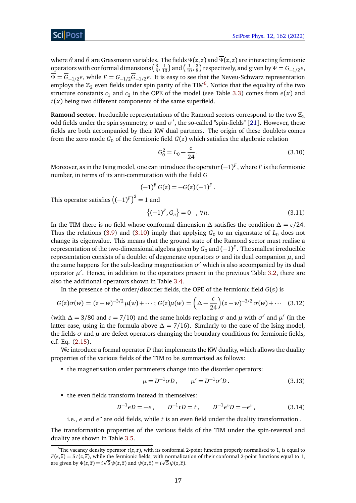where *θ* and *θ* are Grassmann variables. The fields *Ψ*(*z*, *z*) and *Ψ*(*z*, *z*) are interacting fermionic operators with conformal dimensions  $(\frac{3}{5})$  $\frac{3}{5}, \frac{1}{10}$  and  $\left(\frac{1}{10}, \frac{3}{5}\right)$  $(\frac{3}{5})$  respectively, and given by  $\Psi = G_{-1/2}\epsilon$ ,  $\overline{\Psi} = \overline{G}_{-1/2} \epsilon$ , while  $F = G_{-1/2} \overline{G}_{-1/2} \epsilon$ . It is easy to see that the Neveu-Schwarz representation employs the  $\mathbb{Z}_2$  even fields under spin parity of the TIM<sup>[6](#page-16-0)</sup>. Notice that the equality of the two structure constants  $c_1$  and  $c_2$  in the OPE of the model (see Table [3.3\)](#page-14-1) comes from  $\epsilon(x)$  and  $t(x)$  being two different components of the same superfield.

**Ramond sector.** Irreducible representations of the Ramond sectors correspond to the two  $\mathbb{Z}_2$ odd fields under the spin symmetry,  $\sigma$  and  $\sigma'$ , the so-called "spin-fields" [[21](#page-55-1)]. However, these fields are both accompanied by their KW dual partners. The origin of these doublets comes from the zero mode  $G_0$  of the fermionic field  $G(z)$  which satisfies the algebraic relation

<span id="page-16-1"></span>
$$
G_0^2 = L_0 - \frac{c}{24} \,. \tag{3.10}
$$

Moreover, as in the Ising model, one can introduce the operator(−1) *F* , where *F* is the fermionic number, in terms of its anti-commutation with the field *G*

$$
(-1)^F G(z) = -G(z)(-1)^F.
$$

This operator satisfies  $\left((-1)^F\right)^2=1$  and

$$
\{(-1)^F, G_n\} = 0 \quad , \forall n. \tag{3.11}
$$

In the TIM there is no field whose conformal dimension *∆* satisfies the condition *∆* = *c/*24. Thus the relations [\(3.9\)](#page-15-1) and [\(3.10\)](#page-16-1) imply that applying  $G_0$  to an eigenstate of  $L_0$  does not change its eigenvalue. This means that the ground state of the Ramond sector must realise a representation of the two-dimensional algebra given by  $G_0$  and  $(-1)^F.$  The smallest irreducible representation consists of a doublet of degenerate operators *σ* and its dual companion *µ*, and the same happens for the sub-leading magnetisation  $\sigma'$  which is also accompanied by its dual operator  $\mu'$ . Hence, in addition to the operators present in the previous Table [3.2,](#page-14-0) there are also the additional operators shown in Table [3.4.](#page-17-2)

In the presence of the order/disorder fields, the OPE of the fermionic field *G*(*z*) is

$$
G(z)\sigma(w) = (z-w)^{-3/2} \mu(w) + \cdots; G(z)\mu(w) = \left(\Delta - \frac{c}{24}\right) (z-w)^{-3/2} \sigma(w) + \cdots \quad (3.12)
$$

(with  $\Delta = 3/80$  and  $c = 7/10$ ) and the same holds replacing  $\sigma$  and  $\mu$  with  $\sigma'$  and  $\mu'$  (in the latter case, using in the formula above  $\Delta = 7/16$ ). Similarly to the case of the Ising model, the fields  $\sigma$  and  $\mu$  are defect operators changing the boundary conditions for fermionic fields, c.f. Eq. [\(2.15\)](#page-7-1).

We introduce a formal operator *D* that implements the KW duality, which allows the duality properties of the various fields of the TIM to be summarised as follows:

• the magnetisation order parameters change into the disorder operators:

$$
\mu = D^{-1} \sigma D, \qquad \mu' = D^{-1} \sigma' D. \tag{3.13}
$$

• the even fields transform instead in themselves:

$$
D^{-1}\epsilon D = -\epsilon, \qquad D^{-1}tD = t, \qquad D^{-1}\epsilon^{\prime\prime}D = -\epsilon^{\prime\prime}, \tag{3.14}
$$

i.e., *ε* and *ε*" are odd fields, while *t* is an even field under the duality transformation .

The transformation properties of the various fields of the TIM under the spin-reversal and duality are shown in Table [3.5.](#page-17-3)

<span id="page-16-0"></span><sup>&</sup>lt;sup>6</sup>The vacancy density operator  $t(z, \overline{z})$ , with its conformal 2-point function properly normalised to 1, is equal to  $F(z,\overline{z}) = 5t(z,\overline{z})$ , while the fermionic fields, with normalization of their conformal 2-point functions equal to 1, are given by  $\Psi(z,\overline{z}) = i\sqrt{5} \psi(z,\overline{z})$  and  $\psi(z,\overline{z}) = i\sqrt{5} \psi(z,\overline{z})$ .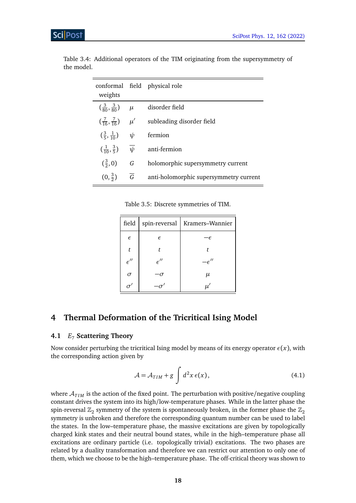| weights                                   |                   | conformal field physical role          |
|-------------------------------------------|-------------------|----------------------------------------|
|                                           |                   |                                        |
| $\left(\frac{3}{80}, \frac{3}{80}\right)$ | $\mu$             | disorder field                         |
| $\left(\frac{7}{16}, \frac{7}{16}\right)$ | $\mu'$            | subleading disorder field              |
| $(\frac{3}{5}, \frac{1}{10})$             | $\psi$            | fermion                                |
| $\left(\frac{1}{10}, \frac{3}{5}\right)$  | $\overline{\psi}$ | anti-fermion                           |
| $(\frac{3}{2},0)$                         | G                 | holomorphic supersymmetry current      |
| $(0, \frac{3}{2})$                        | $\overline{G}$    | anti-holomorphic supersymmetry current |

<span id="page-17-2"></span>Table 3.4: Additional operators of the TIM originating from the supersymmetry of the model.

Table 3.5: Discrete symmetries of TIM.

<span id="page-17-3"></span>

| field                     | spin-reversal             | Kramers-Wannier     |
|---------------------------|---------------------------|---------------------|
| $\epsilon$                | $\epsilon$                | -F                  |
| t                         | t                         | t                   |
| $\epsilon^{\prime\prime}$ | $\epsilon^{\prime\prime}$ | $^{\prime\prime}$   |
| $\sigma$                  | -05                       | μ                   |
|                           |                           | $\boldsymbol{\mu}'$ |

## <span id="page-17-0"></span>**4 Thermal Deformation of the Tricritical Ising Model**

### <span id="page-17-1"></span>**4.1** *E*<sup>7</sup> **Scattering Theory**

Now consider perturbing the tricritical Ising model by means of its energy operator  $\epsilon(x)$ , with the corresponding action given by

$$
\mathcal{A} = \mathcal{A}_{TIM} + g \int d^2x \,\epsilon(x), \tag{4.1}
$$

where  $A_{I/M}$  is the action of the fixed point. The perturbation with positive/negative coupling constant drives the system into its high/low-temperature phases. While in the latter phase the spin-reversal  $\mathbb{Z}_2$  symmetry of the system is spontaneously broken, in the former phase the  $\mathbb{Z}_2$ symmetry is unbroken and therefore the corresponding quantum number can be used to label the states. In the low–temperature phase, the massive excitations are given by topologically charged kink states and their neutral bound states, while in the high–temperature phase all excitations are ordinary particle (i.e. topologically trivial) excitations. The two phases are related by a duality transformation and therefore we can restrict our attention to only one of them, which we choose to be the high–temperature phase. The off-critical theory was shown to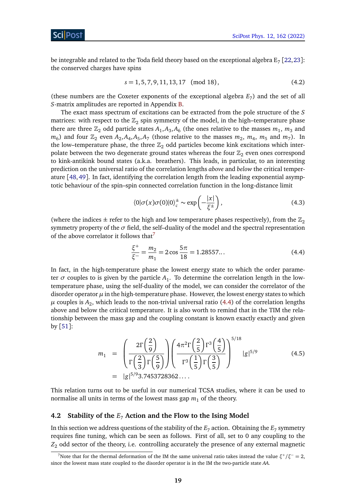be integrable and related to the Toda field theory based on the exceptional algebra  $\text{E}_7$  [[22,](#page-55-2)[23](#page-55-3)]: the conserved charges have spins

$$
s = 1, 5, 7, 9, 11, 13, 17 \pmod{18},\tag{4.2}
$$

(these numbers are the Coxeter exponents of the exceptional algebra  $E_7$ ) and the set of all *S*-matrix amplitudes are reported in Appendix [B.](#page-48-0)

The exact mass spectrum of excitations can be extracted from the pole structure of the *S* matrices: with respect to the  $\mathbb{Z}_2$  spin symmetry of the model, in the high-temperature phase there are three  $\mathbb{Z}_2$  odd particle states  $A_1$ ,  $A_3$ ,  $A_6$  (the ones relative to the masses  $m_1$ ,  $m_3$  and  $m_6$ ) and four  $\mathbb{Z}_2$  even  $A_2$ ,  $A_4$ ,  $A_5$ ,  $A_7$  (those relative to the masses  $m_2$ ,  $m_4$ ,  $m_5$  and  $m_7$ ). In the low–temperature phase, the three  $\mathbb{Z}_2$  odd particles become kink excitations which interpolate between the two degenerate ground states whereas the four  $\mathbb{Z}_2$  even ones correspond to kink-antikink bound states (a.k.a. breathers). This leads, in particular, to an interesting prediction on the universal ratio of the correlation lengths *above* and *below* the critical temperature [[48,](#page-56-8)[49](#page-56-9)]. In fact, identifying the correlation length from the leading exponential asymptotic behaviour of the spin–spin connected correlation function in the long-distance limit

$$
\langle 0|\sigma(x)\sigma(0)|0\rangle_c^{\pm} \sim \exp\left(-\frac{|x|}{\xi^{\pm}}\right),\tag{4.3}
$$

(where the indices  $\pm$  refer to the high and low temperature phases respectively), from the  $\mathbb{Z}_2$ symmetry property of the  $\sigma$  field, the self-duality of the model and the spectral representation of the above correlator it follows that  $\theta$ 

<span id="page-18-2"></span>
$$
\frac{\xi^{+}}{\xi^{-}} = \frac{m_2}{m_1} = 2\cos\frac{5\pi}{18} = 1.28557...
$$
 (4.4)

In fact, in the high-temperature phase the lowest energy state to which the order parameter  $\sigma$  couples to is given by the particle  $A_1$ . To determine the correlation length in the lowtemperature phase, using the self-duality of the model, we can consider the correlator of the disorder operator  $\mu$  in the high-temperature phase. However, the lowest energy states to which  $\mu$  couples is  $A_2$ , which leads to the non-trivial universal ratio [\(4.4\)](#page-18-2) of the correlation lengths above and below the critical temperature. It is also worth to remind that in the TIM the relationship between the mass gap and the coupling constant is known exactly exactly and given by  $\lceil 51 \rceil$  $\lceil 51 \rceil$  $\lceil 51 \rceil$ :

<span id="page-18-3"></span>
$$
m_1 = \left(\frac{2\Gamma\left(\frac{2}{9}\right)}{\Gamma\left(\frac{2}{3}\right)\Gamma\left(\frac{5}{9}\right)}\right) \left(\frac{4\pi^2\Gamma\left(\frac{2}{5}\right)\Gamma^3\left(\frac{4}{5}\right)}{\Gamma^3\left(\frac{1}{5}\right)\Gamma\left(\frac{3}{5}\right)}\right)^{5/18} |g|^{5/9}
$$
\n
$$
= |g|^{5/9} 3.7453728362\dots
$$
\n(4.5)

This relation turns out to be useful in our numerical TCSA studies, where it can be used to normalise all units in terms of the lowest mass gap  $m_1$  of the theory.

#### <span id="page-18-0"></span>**4.2 Stability of the** *E*<sup>7</sup> **Action and the Flow to the Ising Model**

In this section we address questions of the stability of the  $E_7$  action. Obtaining the  $E_7$  symmetry requires fine tuning, which can be seen as follows. First of all, set to 0 any coupling to the *Z*<sup>2</sup> odd sector of the theory, i.e. controlling accurately the presence of any external magnetic

<span id="page-18-1"></span><sup>&</sup>lt;sup>7</sup>Note that for the thermal deformation of the IM the same universal ratio takes instead the value  $\xi^+/\xi^- = 2$ , since the lowest mass state coupled to the disorder operator is in the IM the two-particle state *AA*.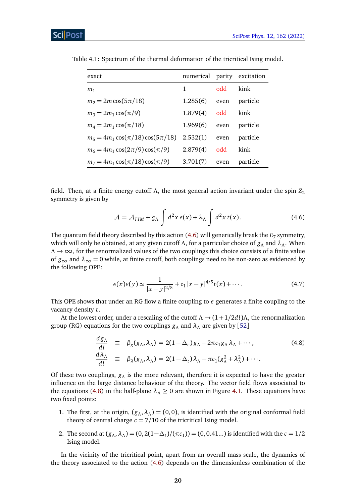| exact                                   | numerical parity excitation |            |          |
|-----------------------------------------|-----------------------------|------------|----------|
| m <sub>1</sub>                          | 1                           | <b>bbo</b> | kink     |
| $m_2 = 2m \cos(5\pi/18)$                | 1.285(6)                    | even       | particle |
| $m_3 = 2m_1 \cos(\pi/9)$                | 1.879(4)                    | odd        | kink     |
| $m_4 = 2m_1 \cos(\pi/18)$               | 1.969(6)                    | even       | particle |
| $m_5 = 4m_1 \cos(\pi/18) \cos(5\pi/18)$ | 2.532(1)                    | even       | particle |
| $m_6 = 4m_1 \cos(2\pi/9) \cos(\pi/9)$   | 2.879(4)                    | odd        | kink     |
| $m_7 = 4m_1 \cos(\pi/18) \cos(\pi/9)$   | 3.701(7)                    | even       | particle |

<span id="page-19-2"></span>Table 4.1: Spectrum of the thermal deformation of the tricritical Ising model.

field. Then, at a finite energy cutoff  $\Lambda$ , the most general action invariant under the spin  $Z_2$ symmetry is given by

<span id="page-19-0"></span>
$$
\mathcal{A} = \mathcal{A}_{TIM} + g_{\Lambda} \int d^2x \,\epsilon(x) + \lambda_{\Lambda} \int d^2x \,t(x). \tag{4.6}
$$

The quantum field theory described by this action  $(4.6)$  will generically break the  $E_7$  symmetry, which will only be obtained, at any given cutoff *Λ*, for a particular choice of *g<sup>Λ</sup>* and *λΛ*. When *Λ* → ∞, for the renormalized values of the two couplings this choice consists of a finite value of  $g_{\infty}$  and  $\lambda_{\infty} = 0$  while, at finite cutoff, both couplings need to be non-zero as evidenced by the following OPE:

$$
\epsilon(x)\epsilon(y) \simeq \frac{1}{|x-y|^{2/5}} + c_1 |x-y|^{4/5} t(x) + \cdots. \tag{4.7}
$$

This OPE shows that under an RG flow a finite coupling to *ε* generates a finite coupling to the vacancy density *t*.

At the lowest order, under a rescaling of the cutoff  $\Lambda \rightarrow (1+1/2d)$ *Λ*, the renormalization group (RG) equations for the two couplings *g<sup>Λ</sup>* and *λ<sup>Λ</sup>* are given by [[52](#page-57-2)]

<span id="page-19-1"></span>
$$
\frac{dg_{\Lambda}}{dl} \equiv \beta_{g}(g_{\Lambda}, \lambda_{\Lambda}) = 2(1 - \Delta_{\epsilon})g_{\Lambda} - 2\pi c_{1}g_{\Lambda}\lambda_{\Lambda} + \cdots, \n\frac{d\lambda_{\Lambda}}{dl} \equiv \beta_{\lambda}(g_{\Lambda}, \lambda_{\Lambda}) = 2(1 - \Delta_{t})\lambda_{\Lambda} - \pi c_{1}(g_{\Lambda}^{2} + \lambda_{\Lambda}^{2}) + \cdots.
$$
\n(4.8)

Of these two couplings, *g<sup>Λ</sup>* is the more relevant, therefore it is expected to have the greater influence on the large distance behaviour of the theory. The vector field flows associated to the equations [\(4.8\)](#page-19-1) in the half-plane  $\lambda_{\Lambda} \geq 0$  are shown in Figure [4.1.](#page-20-0) These equations have two fixed points:

- 1. The first, at the origin,  $(g_\Lambda, \lambda_\Lambda) = (0, 0)$ , is identified with the original conformal field theory of central charge  $c = 7/10$  of the tricritical Ising model.
- 2. The second at  $(g_A, \lambda_A) = (0, 2(1 \Delta_t)/(\pi c_1)) = (0, 0.41...)$  is identified with the  $c = 1/2$ Ising model.

In the vicinity of the tricritical point, apart from an overall mass scale, the dynamics of the theory associated to the action [\(4.6\)](#page-19-0) depends on the dimensionless combination of the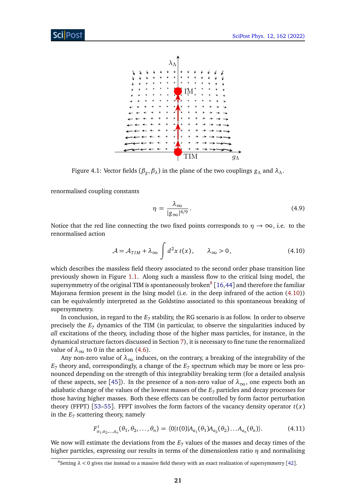<span id="page-20-0"></span>

Figure 4.1: Vector fields (*β<sup>g</sup>* ,*βλ*) in the plane of the two couplings *g<sup>Λ</sup>* and *λΛ*.

renormalised coupling constants

$$
\eta = \frac{\lambda_{\infty}}{|g_{\infty}|^{4/9}}.
$$
\n(4.9)

Notice that the red line connecting the two fixed points corresponds to  $\eta \to \infty$ , i.e. to the renormalised action

<span id="page-20-2"></span>
$$
\mathcal{A} = \mathcal{A}_{TIM} + \lambda_{\infty} \int d^2x \, t(x), \qquad \lambda_{\infty} > 0, \tag{4.10}
$$

which describes the massless field theory associated to the second order phase transition line previously shown in Figure [1.1.](#page-3-0) Along such a massless flow to the critical Ising model, the supersymmetry of the original TIM is spontaneously broken $^8$  $^8$  [[16,](#page-54-12)[44](#page-56-10)] and therefore the familiar Majorana fermion present in the Ising model (i.e. in the deep infrared of the action [\(4.10\)](#page-20-2)) can be equivalently interpreted as the Goldstino associated to this spontaneous breaking of supersymmetry.

In conclusion, in regard to the  $E_7$  stability, the RG scenario is as follow. In order to observe precisely the *E*<sup>7</sup> dynamics of the TIM (in particular, to observe the singularities induced by *all* excitations of the theory, including those of the higher mass particles, for instance, in the dynamical structure factors discussed in Section [7\)](#page-38-0), it is necessary to fine tune the renormalized value of  $\lambda_{\infty}$  to 0 in the action [\(4.6\)](#page-19-0).

Any non-zero value of  $\lambda_{\infty}$  induces, on the contrary, a breaking of the integrability of the  $E_7$  theory and, correspondingly, a change of the  $E_7$  spectrum which may be more or less pronounced depending on the strength of this integrability breaking term (for a detailed analysis of these aspects, see [[45](#page-56-11)]). In the presence of a non-zero value of  $\lambda_{\infty}$ , one expects both an adiabatic change of the values of the lowest masses of the *E*<sup>7</sup> particles and decay processes for those having higher masses. Both these effects can be controlled by form factor perturbation theory (FFPT) [[53](#page-57-3)[–55](#page-57-4)]. FFPT involves the form factors of the vacancy density operator  $t(x)$ in the  $E_7$  scattering theory, namely

$$
F_{a_1, a_2, \dots, a_n}^t(\theta_1, \theta_2, \dots, \theta_n) = \langle 0 | t(0) | A_{a_1}(\theta_1) A_{a_2}(\theta_2) \dots A_{a_n}(\theta_n) \rangle.
$$
 (4.11)

We now will estimate the deviations from the  $E<sub>7</sub>$  values of the masses and decay times of the higher particles, expressing our results in terms of the dimensionless ratio *η* and normalising

<span id="page-20-1"></span><sup>&</sup>lt;sup>8</sup>Setting  $\lambda$  < 0 gives rise instead to a massive field theory with an exact realization of supersymmetry [[42](#page-56-12)].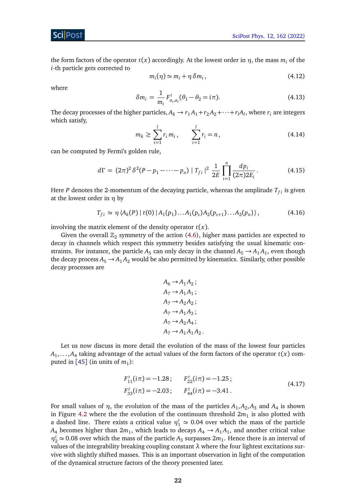the form factors of the operator *t*(*x*) accordingly. At the lowest order in *η*, the mass *m<sup>i</sup>* of the *i*-th particle gets corrected to

$$
m_i(\eta) \simeq m_i + \eta \, \delta m_i \,, \tag{4.12}
$$

where

$$
\delta m_i = \frac{1}{m_i} F_{a_i, a_i}^t (\theta_1 - \theta_2 = i\pi).
$$
 (4.13)

The decay processes of the higher particles,  $A_k \to r_1 A_1 + r_2 A_2 + \cdots + r_l A_l$ , where  $r_i$  are integers which satisfy,

$$
m_k \ge \sum_{i=1}^{l} r_i m_i, \qquad \sum_{i=1}^{l} r_i = n, \tag{4.14}
$$

can be computed by Fermi's golden rule,

$$
d\Gamma = (2\pi)^2 \delta^2 (P - p_1 - \dots - p_n) |T_{fi}|^2 \frac{1}{2E} \prod_{i=1}^n \frac{dp_i}{(2\pi)2E_i}.
$$
 (4.15)

Here *P* denotes the 2-momentum of the decaying particle, whereas the amplitude  $T_{fi}$  is given at the lowest order in *η* by

$$
T_{fi} \simeq \eta \langle A_k(P) | t(0) | A_1(p_1) \dots A_1(p_s) A_2(p_{s+1}) \dots A_2(p_n) \rangle, \tag{4.16}
$$

involving the matrix element of the density operator *t*(*x*).

Given the overall  $\mathbb{Z}_2$  symmetry of the action [\(4.6\)](#page-19-0), higher mass particles are expected to decay in channels which respect this symmetry besides satisfying the usual kinematic constraints. For instance, the particle  $A_5$  can only decay in the channel  $A_5 \rightarrow A_1 A_1$ , even though the decay process  $A_5 \rightarrow A_1 A_2$  would be also permitted by kinematics. Similarly, other possible decay processes are

$$
A_6 \rightarrow A_1 A_2 ;
$$
  
\n
$$
A_7 \rightarrow A_1 A_1 ;
$$
  
\n
$$
A_7 \rightarrow A_2 A_2 ;
$$
  
\n
$$
A_7 \rightarrow A_1 A_3 ;
$$
  
\n
$$
A_7 \rightarrow A_2 A_4 ;
$$
  
\n
$$
A_7 \rightarrow A_1 A_1 A_2
$$

Let us now discuss in more detail the evolution of the mass of the lowest four particles  $A_1,\ldots,A_4$  taking advantage of the actual values of the form factors of the operator  $t(x)$  computed in  $[45]$  $[45]$  $[45]$  (in units of  $m_1$ ):

$$
F_{11}^{t}(i\pi) = -1.28; \t F_{22}^{t}(i\pi) = -1.25; F_{33}^{t}(i\pi) = -2.03; \t F_{44}^{t}(i\pi) = -3.41.
$$
\n(4.17)

.

For small values of  $\eta$ , the evolution of the mass of the particles  $A_1, A_2, A_3$  and  $A_4$  is shown in Figure [4.2](#page-22-1) where the the evolution of the continuum threshold  $2m_1$  is also plotted with a dashed line. There exists a critical value  $\eta_1^c \simeq 0.04$  over which the mass of the particle  $A_4$  becomes higher than  $2m_1$ , which leads to decays  $A_4 \rightarrow A_1 A_1$ , and another critical value  $\eta_2^c \simeq 0.08$  over which the mass of the particle *A*<sub>3</sub> surpasses  $2m_1$ . Hence there is an interval of values of the integrability breaking coupling constant *λ* where the four lightest excitations survive with slightly shifted masses. This is an important observation in light of the computation of the dynamical structure factors of the theory presented later.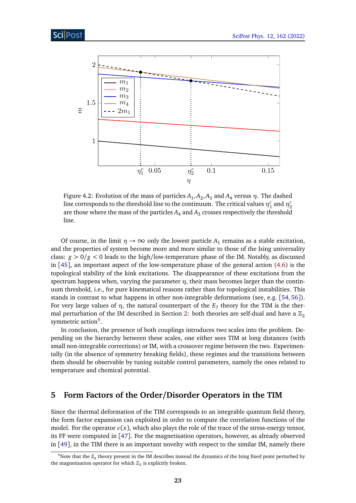<span id="page-22-1"></span>

Figure 4.2: Evolution of the mass of particles  $A_1, A_2, A_3$  and  $A_4$  versus  $\eta.$  The dashed line corresponds to the threshold line to the continuum. The critical values  $\eta_1^c$  and  $\eta_2^c$ are those where the mass of the particles  $A_4$  and  $A_3$  crosses respectively the threshold line.

Of course, in the limit  $\eta \to \infty$  only the lowest particle  $A_1$  remains as a stable excitation, and the properties of system become more and more similar to those of the Ising universality class: *g >* 0*/g <* 0 leads to the high/low-temperature phase of the IM. Notably, as discussed in [[45](#page-56-11)], an important aspect of the low-temperature phase of the general action [\(4.6\)](#page-19-0) is the topological stability of the kink excitations. The disappearance of these excitations from the spectrum happens when, varying the parameter  $\eta$ , their mass becomes larger than the continuum threshold, i.e., for pure kinematical reasons rather than for topological instabilities. This stands in contrast to what happens in other non-integrable deformations (see, e.g. [[54,](#page-57-5) [56](#page-57-6)]). For very large values of  $\eta$ , the natural counterpart of the  $E_7$  theory for the TIM is the ther-mal perturbation of the IM described in Section [2:](#page-5-0) both theories are self-dual and have a  $\mathbb{Z}_2$ symmetric action<sup>[9](#page-22-2)</sup>.

In conclusion, the presence of both couplings introduces two scales into the problem. Depending on the hierarchy between these scales, one either sees TIM at long distances (with small non-integrable corrections) or IM, with a crossover regime between the two. Experimentally (in the absence of symmetry breaking fields), these regimes and the transitions between them should be observable by tuning suitable control parameters, namely the ones related to temperature and chemical potential.

## <span id="page-22-0"></span>**5 Form Factors of the Order/Disorder Operators in the TIM**

Since the thermal deformation of the TIM corresponds to an integrable quantum field theory, the form factor expansion can exploited in order to compute the correlation functions of the model. For the operator  $\epsilon(x)$ , which also plays the role of the trace of the stress-energy tensor, its FF were computed in [[47](#page-56-13)]. For the magnetisation operators, however, as already observed in [[49](#page-56-9)], in the TIM there is an important novelty with respect to the similar IM, namely there

<span id="page-22-2"></span> $^9$ Note that the  $E_8$  theory present in the IM describes instead the dynamics of the Ising fixed point perturbed by the magnetisation operator for which  $\mathbb{Z}_2$  is explicitly broken.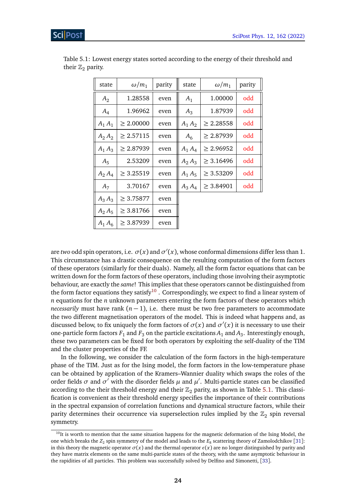| state     | $\omega/m_1$   | parity | state     | $\omega/m_1$   | parity |
|-----------|----------------|--------|-----------|----------------|--------|
| $A_2$     | 1.28558        | even   | $A_1$     | 1.00000        | odd    |
| $A_4$     | 1.96962        | even   | $A_3$     | 1.87939        | odd    |
| $A_1A_1$  | > 2.00000      | even   | $A_1 A_2$ | > 2.28558      | odd    |
| $A_2 A_2$ | > 2.57115      | even   | $A_6$     | > 2.87939      | odd    |
| $A_1 A_3$ | > 2.87939      | even   | $A_1 A_4$ | > 2.96952      | odd    |
| $A_5$     | 2.53209        | even   | $A_2 A_3$ | $\geq 3.16496$ | odd    |
| $A_2 A_4$ | $\geq 3.25519$ | even   | $A_1 A_5$ | $\geq 3.53209$ | odd    |
| $A_7$     | 3.70167        | even   | $A_3 A_4$ | $\geq 3.84901$ | odd    |
| $A_3 A_3$ | $\geq 3.75877$ | even   |           |                |        |
| $A_2 A_5$ | $\geq 3.81766$ | even   |           |                |        |
| $A_1 A_6$ | $\geq 3.87939$ | even   |           |                |        |

<span id="page-23-1"></span>Table 5.1: Lowest energy states sorted according to the energy of their threshold and their  $\mathbb{Z}_2$  parity.

are *two* odd spin operators, i.e.  $\sigma(x)$  and  $\sigma'(x)$ , whose conformal dimensions differ less than 1. This circumstance has a drastic consequence on the resulting computation of the form factors of these operators (similarly for their duals). Namely, all the form factor equations that can be written down for the form factors of these operators, including those involving their asymptotic behaviour, are exactly the *same*! This implies that these operators cannot be distinguished from the form factor equations they satisfy<sup>[10](#page-23-0)</sup>. Correspondingly, we expect to find a linear system of *n* equations for the *n* unknown parameters entering the form factors of these operators which *necessarily* must have rank  $(n - 1)$ , i.e. there must be two free parameters to accommodate the two different magnetisation operators of the model. This is indeed what happens and, as discussed below, to fix uniquely the form factors of  $\sigma(x)$  and  $\sigma'(x)$  it is necessary to use their one-particle form factors  $F_1$  and  $F_3$  on the particle excitations  $A_1$  and  $A_3$ . Interestingly enough, these two parameters can be fixed for both operators by exploiting the self-duality of the TIM and the cluster properties of the FF.

In the following, we consider the calculation of the form factors in the high-temperature phase of the TIM. Just as for the Ising model, the form factors in the low-temperature phase can be obtained by application of the Kramers–Wannier duality which swaps the roles of the order fields  $\sigma$  and  $\sigma'$  with the disorder fields  $\mu$  and  $\mu'$ . Multi-particle states can be classified according to the their threshold energy and their  $\mathbb{Z}_2$  parity, as shown in Table [5.1.](#page-23-1) This classification is convenient as their threshold energy specifies the importance of their contributions in the spectral expansion of correlation functions and dynamical structure factors, while their parity determines their occurrence via superselection rules implied by the  $\mathbb{Z}_2$  spin reversal symmetry.

<span id="page-23-0"></span> $10$ It is worth to mention that the same situation happens for the magnetic deformation of the Ising Model, the one which breaks the  $Z_2$  spin symmetry of the model and leads to the  $E_8$  scattering theory of Zamolodchikov [[31](#page-55-10)]: in this theory the magnetic operator  $\sigma(x)$  and the thermal operator  $\epsilon(x)$  are no longer distinguished by parity and they have matrix elements on the same multi-particle states of the theory, with the same asymptotic behaviour in the rapidities of all particles. This problem was successfully solved by Delfino and Simonetti, [[33](#page-55-12)].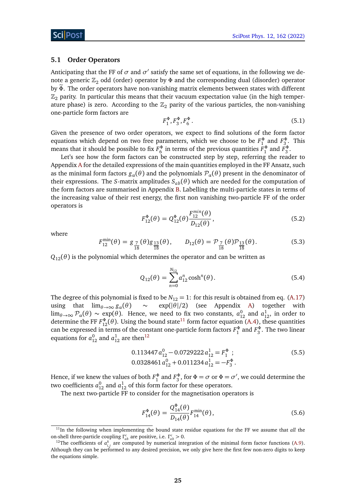#### <span id="page-24-0"></span>**5.1 Order Operators**

Anticipating that the FF of  $\sigma$  and  $\sigma'$  satisfy the same set of equations, in the following we denote a generic  $\mathbb{Z}_2$  odd (order) operator by Φ and the corresponding dual (disorder) operator by *<sup>Φ</sup>*e. The order operators have non-vanishing matrix elements between states with different  $\mathbb{Z}_2$  parity. In particular this means that their vacuum expectation value (in the high temperature phase) is zero. According to the  $\mathbb{Z}_2$  parity of the various particles, the non-vanishing one-particle form factors are

$$
F_1^{\Phi}, F_3^{\Phi}, F_6^{\Phi} \t\t(5.1)
$$

Given the presence of two order operators, we expect to find solutions of the form factor equations which depend on two free parameters, which we choose to be  $F_1^{\Phi}$  and  $F_3^{\Phi}$ . This means that it should be possible to fix  $F_6^{\Phi}$  in terms of the previous quantities  $F_1^{\Phi}$  and  $F_3^{\Phi}$ .

Let's see how the form factors can be constructed step by step, referring the reader to Appendix [A](#page-43-1) for the detailed expressions of the main quantities employed in the FF Ansatz, such as the minimal form factors  $g_\alpha(\theta)$  and the polynomials  $\mathcal{P}_\alpha(\theta)$  present in the denominator of their expressions. The *S*-matrix amplitudes  $S_{ab}(\theta)$  which are needed for the computation of the form factors are summarised in Appendix [B.](#page-48-0) Labelling the multi-particle states in terms of the increasing value of their rest energy, the first non vanishing two-particle FF of the order operators is

$$
F_{12}^{\Phi}(\theta) = Q_{12}^{\Phi}(\theta) \frac{F_{12}^{min}(\theta)}{D_{12}(\theta)},
$$
\n(5.2)

where

$$
F_{12}^{\min}(\theta) = g_{\frac{7}{18}}(\theta)g_{\frac{13}{18}}(\theta), \qquad D_{12}(\theta) = \mathcal{P}_{\frac{7}{18}}(\theta)\mathcal{P}_{\frac{13}{18}}(\theta). \tag{5.3}
$$

 $Q_{12}(\theta)$  is the polynomial which determines the operator and can be written as

$$
Q_{12}(\theta) = \sum_{n=0}^{N_{12}} a_{12}^n \cosh^n(\theta).
$$
 (5.4)

The degree of this polynomial is fixed to be  $N_{12} = 1$ : for this result is obtained from eq. [\(A.17\)](#page-46-0) using that  $\lim_{\theta \to \infty} g_\alpha(\theta) \sim \exp(|\theta|/2)$  (see Appendix [A\)](#page-43-1) together with lim<sub> $\theta\rightarrow\infty$ </sub>  $\mathcal{P}_{\alpha}(\theta)$  ∼ exp( $\theta$ ). Hence, we need to fix two constants,  $a_{12}^0$  and  $a_{12}^1$ , in order to determine the FF  $F_{12}^{\Phi}(\theta)$ . Using the bound state<sup>[11](#page-24-1)</sup> form factor equation [\(A.4\)](#page-44-2), these quantities can be expressed in terms of the constant one-particle form factors  $F_1^{\Phi}$  and  $F_3^{\Phi}$ . The two linear equations for  $a_{12}^0$  $a_{12}^0$  $a_{12}^0$  and  $a_{12}^1$  are then<sup>12</sup>

<span id="page-24-4"></span>
$$
0.113447 a_{12}^{0} - 0.0729222 a_{12}^{1} = F_{1}^{\Phi} ; \t\t(5.5)
$$
  

$$
0.0328461 a_{12}^{0} + 0.011234 a_{12}^{1} = -F_{3}^{\Phi} .
$$

Hence, if we knew the values of both  $F_1^{\Phi}$  and  $F_3^{\Phi}$ , for  $\Phi = \sigma$  or  $\Phi = \sigma'$ , we could determine the two coefficients  $a_{12}^0$  and  $a_{12}^1$  of this form factor for these operators.

The next two-particle FF to consider for the magnetisation operators is

<span id="page-24-3"></span>
$$
F_{14}^{\Phi}(\theta) = \frac{Q_{14}^{\Phi}(\theta)}{D_{14}(\theta)} F_{14}^{\min}(\theta),
$$
\n(5.6)

<span id="page-24-1"></span><sup>11</sup>In the following when implementing the bound state residue equations for the FF we assume that *all* the on-shell three-particle coupling  $\Gamma^c_{ab}$  are positive, i.e.  $\Gamma^c_{ab} > 0$ .

<span id="page-24-2"></span><sup>&</sup>lt;sup>12</sup>The coefficients of  $a_{i,j}^k$  are computed by numerical integration of the minimal form factor functions [\(A.9\)](#page-45-0). Although they can be performed to any desired precision, we only give here the first few non-zero digits to keep the equations simple.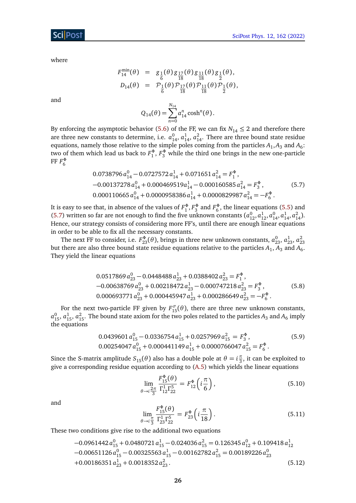where

<span id="page-25-0"></span>
$$
F_{14}^{\min}(\theta) = g_{\frac{1}{6}}(\theta) g_{\frac{17}{18}}(\theta) g_{\frac{11}{18}}(\theta) g_{\frac{1}{2}}(\theta),
$$
  
\n
$$
D_{14}(\theta) = P_{\frac{1}{6}}(\theta) P_{\frac{17}{18}}(\theta) P_{\frac{11}{18}}(\theta) P_{\frac{1}{2}}(\theta),
$$

and

$$
Q_{14}(\theta) = \sum_{n=0}^{N_{14}} a_{14}^n \cosh^n(\theta).
$$

By enforcing the asymptotic behavior [\(5.6\)](#page-24-3) of the FF, we can fix  $N_{14} \leq 2$  and therefore there are three new constants to determine, i.e.  $a_{14}^0$ ,  $a_{14}^1$ ,  $a_{14}^2$ . There are three bound state residue equations, namely those relative to the simple poles coming from the particles  $A_1$ , $A_3$  and  $A_6$ : two of them which lead us back to  $F_1^{\Phi}$ ,  $F_3^{\Phi}$  while the third one brings in the new one-particle  $\mathop{\mathrm{FF}}\nolimits F_{6}^{\Phi}$ 

$$
0.0738796 a_{14}^0 - 0.0727572 a_{14}^1 + 0.071651 a_{14}^2 = F_1^{\Phi},
$$
  
\n
$$
-0.00137278 a_{14}^0 + 0.000469519 a_{14}^1 - 0.000160585 a_{14}^2 = F_3^{\Phi},
$$
  
\n
$$
0.000110665 a_{14}^0 + 0.0000958386 a_{14}^1 + 0.0000829987 a_{14}^2 = -F_6^{\Phi}.
$$
  
\n(5.7)

It is easy to see that, in absence of the values of  $F_1^{\Phi}, F_3^{\Phi}$  and  $F_6^{\Phi}$ , the linear equations [\(5.5\)](#page-24-4) and [\(5.7\)](#page-25-0) written so far are not enough to find the five unknown constants  $(a_{12}^0, a_{12}^1, a_{14}^0, a_{14}^1, a_{14}^2)$ . Hence, our strategy consists of considering more FF's, until there are enough linear equations in order to be able to fix all the necessary constants.

The next FF to consider, i.e.  $F_{23}^{\Phi}(\theta)$ , brings in three new unknown constants,  $a_{23}^0$ ,  $a_{23}^1$ ,  $a_{23}^2$ <br>but there are also three bound state residue equations relative to the particles  $A_1$ ,  $A_3$  and  $A_6$ . They yield the linear equations

$$
0.0517869 a_{23}^0 - 0.0448488 a_{23}^1 + 0.0388402 a_{23}^2 = F_1^{\Phi},
$$
  
-0.00638769 a\_{23}^0 + 0.00218472 a\_{23}^1 - 0.000747218 a\_{23}^2 = F\_3^{\Phi}, (5.8)  
0.000693771 a\_{23}^0 + 0.000445947 a\_{23}^1 + 0.000286649 a\_{23}^2 = -F\_6^{\Phi}.

For the next two-particle FF given by  $F_{15}^{\sigma}(\theta)$ , there are three new unknown constants,  $a_{15}^0$ ,  $a_{15}^1$ ,  $a_{15}^2$ . The bound state axiom for the two poles related to the particles  $A_3$  and  $A_6$  imply the equations

$$
0.0439601 a_{15}^0 - 0.0336754 a_{15}^1 + 0.0257969 a_{15}^2 = F_3^{\Phi},
$$
\n
$$
0.00254047 a_{15}^0 + 0.000441149 a_{15}^1 + 0.0000766047 a_{15}^2 = F_6^{\Phi}.
$$
\n
$$
(5.9)
$$

Since the S-matrix amplitude  $S_{15}(\theta)$  also has a double pole at  $\theta = i\frac{\pi}{3}$  $\frac{\pi}{3}$ , it can be exploited to give a corresponding residue equation according to [\(A.5\)](#page-44-3) which yields the linear equations

$$
\lim_{\theta \to i \frac{2\pi}{3}} \frac{F_{15}^{\Phi}(\theta)}{\Gamma_{12}^{1} \Gamma_{22}^{5}} = F_{12}^{\Phi} \left( i \frac{\pi}{6} \right), \tag{5.10}
$$

and

$$
\lim_{\theta \to i\frac{\pi}{3}} \frac{F_{15}^{\Phi}(\theta)}{\Gamma_{23}^{1} \Gamma_{22}^{5}} = F_{23}^{\Phi} \left( i \frac{\pi}{18} \right). \tag{5.11}
$$

These two conditions give rise to the additional two equations

$$
-0.0961442 a_{15}^0 + 0.0480721 a_{15}^1 - 0.024036 a_{15}^2 = 0.126345 a_{12}^0 + 0.109418 a_{12}^1
$$
  
\n
$$
-0.00651126 a_{15}^0 - 0.00325563 a_{15}^1 - 0.00162782 a_{15}^2 = 0.00189226 a_{23}^0
$$
  
\n
$$
+0.00186351 a_{23}^1 + 0.0018352 a_{23}^2.
$$
 (5.12)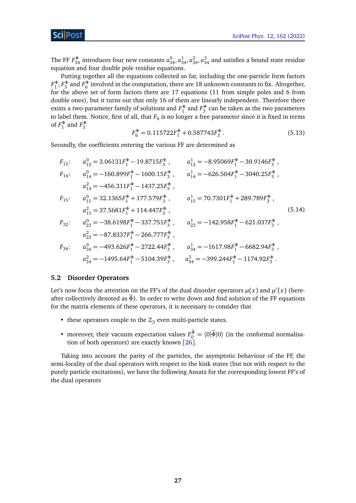ScilPos<sup>.</sup>

The FF  $F_{34}^{\Phi}$  introduces four new constants  $a_{34}^0, a_{34}^1, a_{34}^2, a_{34}^3$  and satisfies a bound state residue equation and four double pole residue equations.

Putting together all the equations collected so far, including the one-particle form factors  $F_1^\Phi, F_3^\Phi$  and  $F_6^\Phi$  involved in the computation, there are 18 unknown constants to fix. Altogether, for the above set of form factors there are 17 equations (11 from simple poles and 6 from double ones), but it turns out that only 16 of them are linearly independent. Therefore there exists a two-parameter family of solutions and  $F_1^{\Phi}$  and  $F_3^{\Phi}$  can be taken as the two parameters to label them. Notice, first of all, that  $F_6$  is no longer a free parameter since it is fixed in terms of  $F_1^{\Phi}$  and  $F_3^{\Phi}$ 

$$
F_6^{\Phi} = 0.115722F_1^{\Phi} + 0.587743F_3^{\Phi}.
$$
 (5.13)

Secondly, the coefficients entering the various FF are determined as

$$
F_{12}: \t a_{12}^{0} = 3.06131F_{1}^{\Phi} - 19.8715F_{3}^{\Phi}, \t a_{12}^{1} = -8.95069F_{1}^{\Phi} - 30.9146F_{3}^{\Phi},
$$
  
\n
$$
F_{14}: \t a_{14}^{0} = -160.899F_{1}^{\Phi} - 1600.15F_{3}^{\Phi}, \t a_{14}^{1} = -626.504F_{1}^{\Phi} - 3040.25F_{3}^{\Phi},
$$
  
\n
$$
a_{14}^{2} = -456.311F_{1}^{\Phi} - 1437.25F_{3}^{\Phi}, \t a_{15}^{1} = 70.7301F_{1}^{\Phi} + 289.789F_{3}^{\Phi},
$$
  
\n
$$
F_{15}: \t a_{15}^{0} = 32.1365F_{1}^{\Phi} + 177.579F_{3}^{\Phi}, \t a_{15}^{1} = 70.7301F_{1}^{\Phi} + 289.789F_{3}^{\Phi},
$$
  
\n
$$
a_{15}^{2} = 37.5681F_{1}^{\Phi} + 114.447F_{3}^{\Phi}, \t a_{23}^{1} = -142.958F_{1}^{\Phi} - 621.037F_{3}^{\Phi},
$$
  
\n
$$
a_{23}^{2} = -87.8337F_{1}^{\Phi} - 266.777F_{3}^{\Phi}, \t a_{34}^{1} = -1617.98F_{1}^{\Phi} - 6682.94F_{3}^{\Phi},
$$
  
\n
$$
a_{34}^{0} = -493.626F_{1}^{\Phi} - 2722.44F_{3}^{\Phi}, \t a_{34}^{1} = -1617.98F_{1}^{\Phi} - 6682.94F_{3}^{\Phi},
$$
  
\n
$$
a_{34}^{2} = -1495.64F_{1}^{\Phi} - 5104.39F_{3}^{\Phi}, \t a_{34}^{3}
$$

#### <span id="page-26-0"></span>**5.2 Disorder Operators**

Let's now focus the attention on the FF's of the dual disorder operators  $\mu(x)$  and  $\mu'(x)$  (hereafter collectively denoted as  $\widetilde{\Phi}$ ). In order to write down and find solution of the FF equations for the matrix elements of these operators, it is necessary to consider that

- these operators couple to the  $\mathbb{Z}_2$  even multi-particle states.
- moreover, their vacuum expectation values  $F_0^{\Phi} = \langle 0 | \tilde{\Phi} | 0 \rangle$  (in the conformal normalisation of both operators) are exactly known [[26](#page-55-6)].

Taking into account the parity of the particles, the asymptotic behaviour of the FF, the semi-locality of the dual operators with respect to the kink states (but not with respect to the purely particle excitations), we have the following Ansatz for the corresponding lowest FF's of the dual operators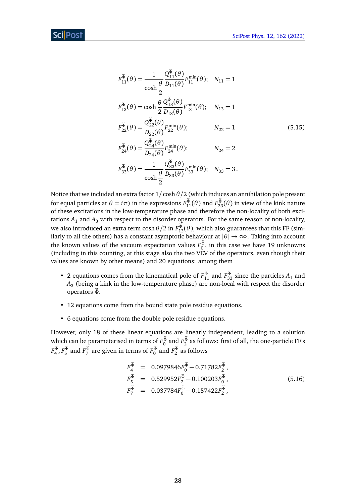<span id="page-27-0"></span>
$$
F_{11}^{\tilde{\Phi}}(\theta) = \frac{1}{\cosh \frac{\theta}{2}} \frac{Q_{11}^{\Phi}(\theta)}{D_{11}(\theta)} F_{11}^{\min}(\theta); \quad N_{11} = 1
$$
  
\n
$$
F_{13}^{\tilde{\Phi}}(\theta) = \cosh \frac{\theta}{2} \frac{Q_{13}^{\tilde{\Phi}}(\theta)}{D_{13}(\theta)} F_{13}^{\min}(\theta); \quad N_{13} = 1
$$
  
\n
$$
F_{22}^{\tilde{\Phi}}(\theta) = \frac{Q_{22}^{\tilde{\Phi}}(\theta)}{D_{22}(\theta)} F_{22}^{\min}(\theta); \qquad N_{22} = 1
$$
  
\n
$$
F_{24}^{\tilde{\Phi}}(\theta) = \frac{Q_{24}^{\tilde{\Phi}}(\theta)}{D_{24}(\theta)} F_{24}^{\min}(\theta); \qquad N_{24} = 2
$$
  
\n
$$
F_{33}^{\tilde{\Phi}}(\theta) = \frac{1}{\cosh \frac{\theta}{2}} \frac{Q_{33}^{\tilde{\Phi}}(\theta)}{D_{33}(\theta)} F_{33}^{\min}(\theta); \quad N_{33} = 3.
$$
  
\n(5.15)

Notice that we included an extra factor 1*/* cosh*θ /*2 (which induces an annihilation pole present for equal particles at  $θ = iπ$ ) in the expressions  $F_{11}^{\Phi}(\theta)$  and  $F_{33}^{\Phi}(\theta)$  in view of the kink nature of these excitations in the low-temperature phase and therefore the non-locality of both excitations  $A_1$  and  $A_3$  with respect to the disorder operators. For the same reason of non-locality, we also introduced an extra term  $\cosh \theta/2$  in  $F^\Phi_{13}(\theta)$ , which also guarantees that this FF (similarly to all the others) has a constant asymptotic behaviour at  $|\theta| \to \infty$ . Taking into account the known values of the vacuum expectation values  $F_0^{\Phi}$ , in this case we have 19 unknowns (including in this counting, at this stage also the two VEV of the operators, even though their values are known by other means) and 20 equations: among them

- 2 equations comes from the kinematical pole of  $F_{11}^{\Phi}$  and  $F_{33}^{\Phi}$  since the particles  $A_1$  and *A*3 (being a kink in the low-temperature phase) are non-local with respect the disorder operators *<sup>Φ</sup>*e.
- 12 equations come from the bound state pole residue equations.
- 6 equations come from the double pole residue equations.

However, only 18 of these linear equations are linearly independent, leading to a solution which can be parameterised in terms of  $F_0^{\Phi}$  and  $F_2^{\Phi}$  as follows: first of all, the one-particle FF's  $F_4^{\Phi}, F_5^{\Phi}$  and  $F_7^{\Phi}$  are given in terms of  $F_0^{\Phi}$  and  $F_2^{\Phi}$  as follows

$$
F_4^{\tilde{\Phi}} = 0.0979846 F_0^{\tilde{\Phi}} - 0.71782 F_2^{\tilde{\Phi}},
$$
  
\n
$$
F_5^{\tilde{\Phi}} = 0.529952 F_2^{\tilde{\Phi}} - 0.100203 F_0^{\tilde{\Phi}},
$$
  
\n
$$
F_7^{\tilde{\Phi}} = 0.037784 F_0^{\tilde{\Phi}} - 0.157422 F_2^{\tilde{\Phi}},
$$
\n(5.16)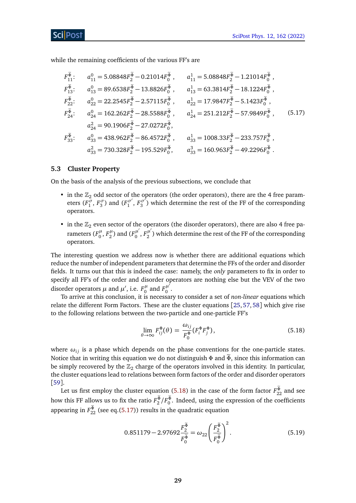while the remaining coefficients of the various FF's are

<span id="page-28-2"></span>
$$
F_{11}^{\Phi}: \t a_{11}^{0} = 5.08848F_{2}^{\Phi} - 0.21014F_{0}^{\Phi}, \t a_{11}^{1} = 5.08848F_{2}^{\Phi} - 1.21014F_{0}^{\Phi},
$$
  
\n
$$
F_{13}^{\Phi}: \t a_{13}^{0} = 89.6538F_{2}^{\Phi} - 13.8826F_{0}^{\Phi}, \t a_{13}^{1} = 63.3814F_{2}^{\Phi} - 18.1224F_{0}^{\Phi},
$$
  
\n
$$
F_{22}^{\Phi}: \t a_{22}^{0} = 22.2545F_{2}^{\Phi} - 2.57115F_{0}^{\Phi}, \t a_{22}^{1} = 17.9847F_{2}^{\Phi} - 5.1423F_{0}^{\Phi},
$$
  
\n
$$
F_{24}^{\Phi}: \t a_{24}^{0} = 162.262F_{2}^{\Phi} - 28.5588F_{0}^{\Phi}, \t a_{24}^{1} = 251.212F_{2}^{\Phi} - 57.9849F_{0}^{\Phi},
$$
  
\n
$$
F_{33}^{\Phi}: \t a_{33}^{0} = 438.962F_{2}^{\Phi} - 86.4572F_{0}^{\Phi}, \t a_{33}^{1} = 1008.33F_{2}^{\Phi} - 233.757F_{0}^{\Phi},
$$
  
\n
$$
a_{33}^{2} = 730.328F_{2}^{\Phi} - 195.529F_{0}^{\Phi}, \t a_{33}^{3} = 160.963F_{2}^{\Phi} - 49.2296F_{0}^{\Phi}.
$$

#### <span id="page-28-0"></span>**5.3 Cluster Property**

On the basis of the analysis of the previous subsections, we conclude that

- in the  $\mathbb{Z}_2$  odd sector of the operators (the order operators), there are the 4 free parameters  $(F_1^{\sigma}, F_3^{\sigma})$  and  $(F_1^{\sigma'}$  $T_1^{\sigma'}$ ,  $F_3^{\sigma'}$  $\binom{\sigma}{3}$  which determine the rest of the FF of the corresponding operators.
- in the  $\mathbb{Z}_2$  even sector of the operators (the disorder operators), there are also 4 free parameters ( $F_0^{\mu}$  $T_0^{\mu}$ ,  $F_2^{\mu}$  $\binom{\mu}{2}$  and  $\binom{F_0^{\mu'}}{2}$  $F_0^{\mu'}, F_2^{\mu'}$  $\frac{\mu}{2}$  ) which determine the rest of the FF of the corresponding operators.

The interesting question we address now is whether there are additional equations which reduce the number of independent parameters that determine the FFs of the order and disorder fields. It turns out that this is indeed the case: namely, the *only* parameters to fix in order to specify all FF's of the order and disorder operators are nothing else but the VEV of the two disorder operators  $\mu$  and  $\mu'$ , i.e.  $F_0^{\mu}$  $F_0^{\mu}$  and  $F_0^{\mu'}$  $\begin{array}{c} \mu \0 \end{array}$ 

To arrive at this conclusion, it is necessary to consider a set of *non-linear* equations which relate the different Form Factors. These are the cluster equations [[25,](#page-55-5) [57,](#page-57-7) [58](#page-57-8)] which give rise to the following relations between the two-particle and one-particle FF's

<span id="page-28-1"></span>
$$
\lim_{\theta \to \infty} F_{ij}^{\Phi}(\theta) = \frac{\omega_{ij}}{F_0^{\Phi}} (F_i^{\Phi} F_j^{\Phi}), \tag{5.18}
$$

where  $\omega_{ij}$  is a phase which depends on the phase conventions for the one-particle states. Notice that in writing this equation we do not distinguish  $\Phi$  and  $\tilde{\Phi}$ , since this information can be simply recovered by the  $\mathbb{Z}_2$  charge of the operators involved in this identity. In particular, the cluster equations lead to relations between form factors of the order and disorder operators [[59](#page-57-9)].

Let us first employ the cluster equation [\(5.18\)](#page-28-1) in the case of the form factor  $F_{22}^{\Phi}$  and see how this FF allows us to fix the ratio  $F_2^{\Phi}/F_0^{\Phi}$ . Indeed, using the expression of the coefficients appearing in  $F_{22}^{\Phi}$  (see eq.[\(5.17\)](#page-28-2)) results in the quadratic equation

$$
0.851179 - 2.97692 \frac{F_2^{\tilde{\Phi}}}{F_0^{\tilde{\Phi}}} = \omega_{22} \left( \frac{F_2^{\tilde{\Phi}}}{F_0^{\tilde{\Phi}}} \right)^2.
$$
 (5.19)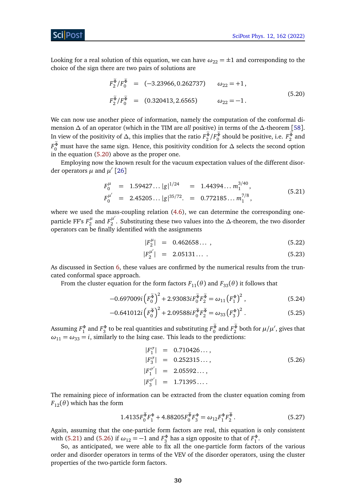Looking for a real solution of this equation, we can have  $\omega_{22} = \pm 1$  and corresponding to the choice of the sign there are two pairs of solutions are

<span id="page-29-0"></span>
$$
F_2^{\Phi}/F_0^{\Phi} = (-3.23966, 0.262737) \qquad \omega_{22} = +1,
$$
  
\n
$$
F_2^{\tilde{\Phi}}/F_0^{\tilde{\Phi}} = (0.320413, 2.6565) \qquad \omega_{22} = -1.
$$
\n(5.20)

We can now use another piece of information, namely the computation of the conformal dimension *∆* of an operator (which in the TIM are *all* positive) in terms of the *∆*-theorem [[58](#page-57-8)]. In view of the positivity of  $\Delta$ , this implies that the ratio  $F_2^{\Phi}/F_0^{\Phi}$  should be positive, i.e.  $F_2^{\Phi}$  and *F*<sub>0</sub><sup>®</sup> must have the same sign. Hence, this positivity condition for *∆* selects the second option in the equation [\(5.20\)](#page-29-0) above as the proper one.

Employing now the known result for the vacuum expectation values of the different disorder operators  $\mu$  and  $\mu'$  [[26](#page-55-6)]

<span id="page-29-1"></span>
$$
F_0^{\mu} = 1.59427... |g|^{1/24} = 1.44394... m_1^{3/40},
$$
  
\n
$$
F_0^{\mu'} = 2.45205... |g|^{35/72}. = 0.772185... m_1^{7/8},
$$
\n(5.21)

where we used the mass-coupling relation [\(4.6\)](#page-18-3), we can determine the corresponding oneparticle FF's  $F_2^{\mu}$  $E_2^{\mu}$  and  $F_2^{\mu'}$ 2 . Substituting these two values into the *∆*-theorem, the two disorder operators can be finally identified with the assignments

$$
|F_2^{\mu}| = 0.462658... \t{5.22}
$$

$$
|F_2^{\mu'}| = 2.05131\ldots \tag{5.23}
$$

As discussed in Section [6,](#page-30-0) these values are confirmed by the numerical results from the truncated conformal space approach.

From the cluster equation for the form factors  $F_{11}(\theta)$  and  $F_{33}(\theta)$  it follows that

$$
-0.697009i\left(F_0^{\tilde{\Phi}}\right)^2 + 2.93083iF_0^{\tilde{\Phi}}F_2^{\tilde{\Phi}} = \omega_{11}\left(F_1^{\Phi}\right)^2,\tag{5.24}
$$

$$
-0.641012i\left(F_0^{\tilde{\Phi}}\right)^2 + 2.09588iF_0^{\tilde{\Phi}}F_2^{\tilde{\Phi}} = \omega_{33}\left(F_3^{\Phi}\right)^2. \tag{5.25}
$$

Assuming  $F_1^{\Phi}$  and  $F_3^{\Phi}$  to be real quantities and substituting  $F_0^{\widetilde{\Phi}}$  and  $F_2^{\widetilde{\Phi}}$  both for  $\mu/\mu'$ , gives that  $\omega_{11} = \omega_{33} = i$ , similarly to the Ising case. This leads to the predictions:

<span id="page-29-2"></span>
$$
|F_1^{\sigma}| = 0.710426...,
$$
  
\n
$$
|F_3^{\sigma}| = 0.252315...,
$$
  
\n
$$
|F_1^{\sigma'}| = 2.05592...,
$$
  
\n
$$
|F_3^{\sigma'}| = 1.71395....
$$
  
\n(5.26)

The remaining piece of information can be extracted from the cluster equation coming from  $F_{12}(\theta)$  which has the form

$$
1.4135F_0^{\tilde{\Phi}}F_1^{\Phi} + 4.88205F_0^{\tilde{\Phi}}F_3^{\Phi} = \omega_{12}F_1^{\Phi}F_2^{\tilde{\Phi}}.
$$
 (5.27)

Again, assuming that the one-particle form factors are real, this equation is only consistent with [\(5.21\)](#page-29-1) and [\(5.26\)](#page-29-2) if  $\omega_{12} = -1$  and  $F_3^{\Phi}$  has a sign opposite to that of  $F_1^{\Phi}$ .

So, as anticipated, we were able to fix all the one-particle form factors of the various order and disorder operators in terms of the VEV of the disorder operators, using the cluster properties of the two-particle form factors.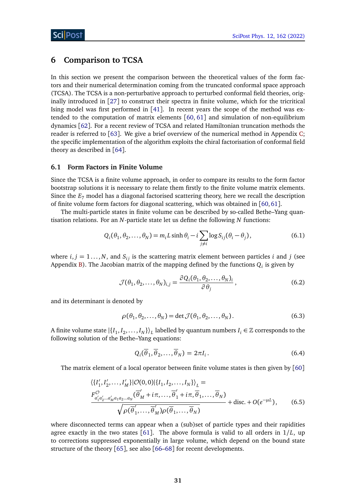## <span id="page-30-0"></span>**6 Comparison to TCSA**

In this section we present the comparison between the theoretical values of the form factors and their numerical determination coming from the truncated conformal space approach (TCSA). The TCSA is a non-perturbative approach to perturbed conformal field theories, originally introduced in [[27](#page-55-7)] to construct their spectra in finite volume, which for the tricritical Ising model was first performed in [[41](#page-56-7)]. In recent years the scope of the method was extended to the computation of matrix elements  $[60, 61]$  $[60, 61]$  $[60, 61]$  $[60, 61]$  $[60, 61]$  and simulation of non-equilibrium dynamics [[62](#page-57-12)]. For a recent review of TCSA and related Hamiltonian truncation methods the reader is referred to [[63](#page-57-13)]. We give a brief overview of the numerical method in Appendix [C;](#page-49-0) the specific implementation of the algorithm exploits the chiral factorisation of conformal field theory as described in [[64](#page-57-14)].

#### <span id="page-30-1"></span>**6.1 Form Factors in Finite Volume**

Since the TCSA is a finite volume approach, in order to compare its results to the form factor bootstrap solutions it is necessary to relate them firstly to the finite volume matrix elements. Since the *E*<sup>7</sup> model has a diagonal factorised scattering theory, here we recall the description of finite volume form factors for diagonal scattering, which was obtained in  $[60,61]$  $[60,61]$  $[60,61]$  $[60,61]$ .

The multi-particle states in finite volume can be described by so-called Bethe–Yang quantisation relations. For an *N*-particle state let us define the following *N* functions:

$$
Q_i(\theta_1, \theta_2, \dots, \theta_N) = m_i L \sinh \theta_i - i \sum_{j \neq i} \log S_{ij}(\theta_i - \theta_j), \qquad (6.1)
$$

where  $i, j = 1, \ldots, N$ , and  $S_{ij}$  is the scattering matrix element between particles *i* and *j* (see Appendix [B\)](#page-48-0). The Jacobian matrix of the mapping defined by the functions  $Q_i$  is given by

$$
\mathcal{J}(\theta_1, \theta_2, \dots, \theta_N)_{i,j} = \frac{\partial Q_i(\theta_1, \theta_2, \dots, \theta_N)_i}{\partial \theta_j},
$$
\n(6.2)

and its determinant is denoted by

$$
\rho(\theta_1, \theta_2, \dots, \theta_N) = \det \mathcal{J}(\theta_1, \theta_2, \dots, \theta_N).
$$
\n(6.3)

A finite volume state  $|\{I_1, I_2, \ldots, I_N\}\rangle_L$  labelled by quantum numbers  $I_i \in \mathbb{Z}$  corresponds to the following solution of the Bethe–Yang equations:

$$
Q_i(\overline{\theta}_1, \overline{\theta}_2, \dots, \overline{\theta}_N) = 2\pi I_i.
$$
\n(6.4)

The matrix element of a local operator between finite volume states is then given by [[60](#page-57-10)]

<span id="page-30-2"></span>
$$
\langle \{I'_1, I'_2, \dots, I'_M\} | \mathcal{O}(0,0) | \{I_1, I_2, \dots, I_N\} \rangle_L =
$$
  

$$
\frac{F^{\mathcal{O}}_{a'_1 a'_2 \dots a'_M a_1 a_2 \dots a_N} (\overline{\theta}'_M + i\pi, \dots, \overline{\theta}'_1 + i\pi, \overline{\theta}_1, \dots, \overline{\theta}_N)}{\sqrt{\rho(\overline{\theta}'_1, \dots, \overline{\theta}'_M)\rho(\overline{\theta}_1, \dots, \overline{\theta}_N)}} + \text{disc.} + O(e^{-\mu L}), \qquad (6.5)
$$

where disconnected terms can appear when a (sub)set of particle types and their rapidities agree exactly in the two states [[61](#page-57-11)]. The above formula is valid to all orders in 1*/L*, up to corrections suppressed exponentially in large volume, which depend on the bound state structure of the theory [[65](#page-58-0)], see also [[66](#page-58-1)[–68](#page-58-2)] for recent developments.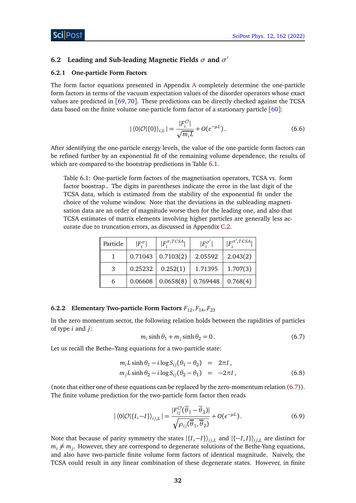## <span id="page-31-0"></span>**6.2 Leading and Sub-leading Magnetic Fields** *σ* **and** *σ* 0

#### <span id="page-31-1"></span>**6.2.1 One-particle Form Factors**

The form factor equations presented in Appendix [A](#page-43-1) completely determine the one-particle form factors in terms of the vacuum expectation values of the disorder operators whose exact values are predicted in [[69,](#page-58-3) [70](#page-58-4)]. These predictions can be directly checked against the TCSA data based on the finite volume one-particle form factor of a stationary particle  $\lceil 60 \rceil$  $\lceil 60 \rceil$  $\lceil 60 \rceil$ :

$$
|\langle 0|\mathcal{O}|\{0\}\rangle_{i,L}| = \frac{|F_i^{\mathcal{O}}|}{\sqrt{m_i L}} + O(e^{-\mu L}).\tag{6.6}
$$

After identifying the one-particle energy levels, the value of the one-particle form factors can be refined further by an exponential fit of the remaining volume dependence, the results of which are compared to the bootstrap predictions in Table [6.1.](#page-31-3)

<span id="page-31-3"></span>Table 6.1: One-particle form factors of the magnetisation operators, TCSA vs. form factor boostrap.. The digits in parentheses indicate the error in the last digit of the TCSA data, which is estimated from the stability of the exponential fit under the choice of the volume window. Note that the deviations in the subleading magnetisation data are an order of magnitude worse then for the leading one, and also that TCSA estimates of matrix elements involving higher particles are generally less accurate due to truncation errors, as discussed in Appendix [C.2.](#page-51-0)

| Particle | $ F^{\sigma}_i $ | $ F_{i}^{\sigma, TCSA} $ | $ F^{\sigma'} $ | $\mathsf{F}^{\sigma',T\widetilde{CSA_1}}$ |
|----------|------------------|--------------------------|-----------------|-------------------------------------------|
|          | 0.71043          | 0.7103(2)                | 2.05592         | 2.043(2)                                  |
| 3        | 0.25232          | 0.252(1)                 | 1.71395         | 1.707(3)                                  |
| 6        | 0.06608          | 0.0658(8)                | 0.769448        | 0.768(4)                                  |

#### <span id="page-31-2"></span>**6.2.2 Elementary Two-particle Form Factors**  $F_{12}$ ,  $F_{14}$ ,  $F_{23}$

<span id="page-31-4"></span>In the zero momentum sector, the following relation holds between the rapidities of particles of type *i* and *j*:

<span id="page-31-5"></span>
$$
m_i \sinh \theta_1 + m_j \sinh \theta_2 = 0. \tag{6.7}
$$

Let us recall the Bethe–Yang equations for a two-particle state:

<span id="page-31-6"></span>
$$
m_i L \sinh \theta_1 - i \log S_{ij} (\theta_1 - \theta_2) = 2\pi I,
$$
  
\n
$$
m_j L \sinh \theta_2 - i \log S_{ij} (\theta_2 - \theta_1) = -2\pi I,
$$
\n(6.8)

(note that either one of these equations can be replaced by the zero-momentum relation [\(6.7\)](#page-31-4)). The finite volume prediction for the two-particle form factor then reads

$$
|\langle 0|\mathcal{O}|\{I,-I\}\rangle_{ij,L}| = \frac{|F_{ij}^{\mathcal{O}}(\overline{\theta}_1 - \overline{\theta}_2)|}{\sqrt{\rho_{ij}(\overline{\theta}_1, \overline{\theta}_2)}} + O(e^{-\mu L}).
$$
\n(6.9)

Note that because of parity symmetry the states  $\frac{1}{I}$ ,  $-I$ } $\frac{1}{I}$ , and  $\frac{1}{I}$ ,  $I$ , are distinct for  $m_i \neq m_j$ . However, they are correspond to degenerate solutions of the Bethe-Yang equations, and also have two-particle finite volume form factors of identical magnitude. Naively, the TCSA could result in any linear combination of these degenerate states. However, in finite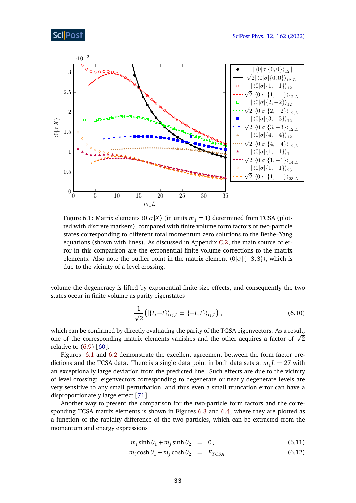<span id="page-32-0"></span>

Figure 6.1: Matrix elements  $\langle 0 | \sigma | X \rangle$  (in units  $m_1 = 1$ ) determined from TCSA (plotted with discrete markers), compared with finite volume form factors of two-particle states corresponding to different total momentum zero solutions to the Bethe–Yang equations (shown with lines). As discussed in Appendix [C.2,](#page-51-0) the main source of error in this comparison are the exponential finite volume corrections to the matrix elements. Also note the outlier point in the matrix element  $\langle 0|\sigma|{-3,3}\rangle$ , which is due to the vicinity of a level crossing.

volume the degeneracy is lifted by exponential finite size effects, and consequently the two states occur in finite volume as parity eigenstates

$$
\frac{1}{\sqrt{2}}\left(|\{I, -I\}\rangle_{ij,L} \pm |\{-I, I\}\rangle_{ij,L}\right),\tag{6.10}
$$

which can be confirmed by directly evaluating the parity of the TCSA eigenvectors. As a result, which can be confirmed by directly evaluating the parity of the TCSA eigenvectors. As a result,<br>one of the corresponding matrix elements vanishes and the other acquires a factor of  $\sqrt{2}$ relative to  $(6.9)$  [[60](#page-57-10)].

Figures [6.1](#page-32-0) and [6.2](#page-33-1) demonstrate the excellent agreement between the form factor predictions and the TCSA data. There is a single data point in both data sets at  $m_1 L = 27$  with an exceptionally large deviation from the predicted line. Such effects are due to the vicinity of level crossing: eigenvectors corresponding to degenerate or nearly degenerate levels are very sensitive to any small perturbation, and thus even a small truncation error can have a disproportionately large effect [[71](#page-58-5)].

Another way to present the comparison for the two-particle form factors and the corresponding TCSA matrix elements is shown in Figures [6.3](#page-34-1) and [6.4,](#page-35-0) where they are plotted as a function of the rapidity difference of the two particles, which can be extracted from the momentum and energy expressions

$$
m_i \sinh \theta_1 + m_j \sinh \theta_2 = 0, \qquad (6.11)
$$

$$
m_i \cosh \theta_1 + m_j \cosh \theta_2 = E_{TCSA}, \qquad (6.12)
$$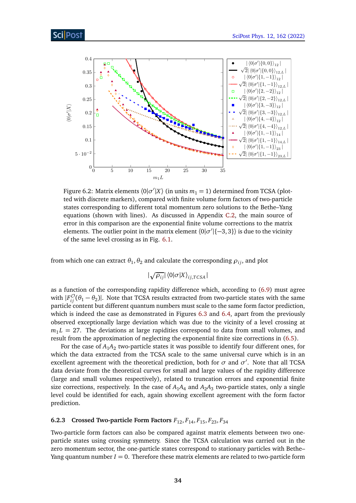<span id="page-33-1"></span>

Figure 6.2: Matrix elements  $\langle 0 | \sigma' | X \rangle$  (in units  $m_1 = 1$ ) determined from TCSA (plotted with discrete markers), compared with finite volume form factors of two-particle states corresponding to different total momentum zero solutions to the Bethe–Yang equations (shown with lines). As discussed in Appendix [C.2,](#page-51-0) the main source of error in this comparison are the exponential finite volume corrections to the matrix elements. The outlier point in the matrix element  $\langle 0 | \sigma' | \{-3, 3\} \rangle$  is due to the vicinity of the same level crossing as in Fig. [6.1.](#page-32-0)

from which one can extract  $\theta_1, \theta_2$  and calculate the corresponding  $\rho_{ij}$ , and plot

 $|\sqrt{\rho_{ij}}| \langle 0|\sigma|X\rangle_{ij, TCSA}|$ 

as a function of the corresponding rapidity difference which, according to [\(6.9\)](#page-31-5) must agree with  $|F_{ij}^{\mathcal{O}}(\theta_1 - \theta_2)|$ . Note that TCSA results extracted from two-particle states with the same particle content but different quantum numbers must scale to the same form factor prediction, which is indeed the case as demonstrated in Figures [6.3](#page-34-1) and [6.4,](#page-35-0) apart from the previously observed exceptionally large deviation which was due to the vicinity of a level crossing at  $m_1 L = 27$ . The deviations at large rapidities correspond to data from small volumes, and result from the approximation of neglecting the exponential finite size corrections in [\(6.5\)](#page-30-2).

For the case of  $A_1A_2$  two-particle states it was possible to identify four different ones, for which the data extracted from the TCSA scale to the same universal curve which is in an excellent agreement with the theoretical prediction, both for  $\sigma$  and  $\sigma'$ . Note that all TCSA data deviate from the theoretical curves for small and large values of the rapidity difference (large and small volumes respectively), related to truncation errors and exponential finite size corrections, respectively. In the case of  $A_1A_4$  and  $A_2A_3$  two-particle states, only a single level could be identified for each, again showing excellent agreement with the form factor prediction.

### <span id="page-33-0"></span>**6.2.3 Crossed Two-particle Form Factors**  $F_{12}$ ,  $F_{14}$ ,  $F_{15}$ ,  $F_{23}$ ,  $F_{34}$

Two-particle form factors can also be compared against matrix elements between two oneparticle states using crossing symmetry. Since the TCSA calculation was carried out in the zero momentum sector, the one-particle states correspond to stationary particles with Bethe– Yang quantum number  $I = 0$ . Therefore these matrix elements are related to two-particle form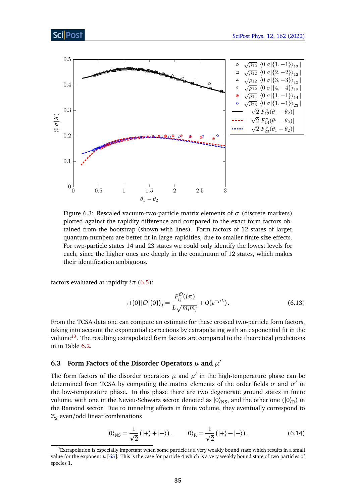<span id="page-34-1"></span>

Figure 6.3: Rescaled vacuum-two-particle matrix elements of  $\sigma$  (discrete markers) plotted against the rapidity difference and compared to the exact form factors obtained from the bootstrap (shown with lines). Form factors of 12 states of larger quantum numbers are better fit in large rapidities, due to smaller finite size effects. For twp-particle states 14 and 23 states we could only identify the lowest levels for each, since the higher ones are deeply in the continuum of 12 states, which makes their identification ambiguous.

factors evaluated at rapidity  $i\pi$  [\(6.5\)](#page-30-2):

ScilPos

$$
{}_{i}\langle\{0\}|\mathcal{O}|\{0\}\rangle_{j} = \frac{F_{ij}^{\mathcal{O}}(i\pi)}{L\sqrt{m_{i}m_{j}}} + O(e^{-\mu L}).
$$
\n(6.13)

From the TCSA data one can compute an estimate for these crossed two-particle form factors, taking into account the exponential corrections by extrapolating with an exponential fit in the volume<sup>[13](#page-34-2)</sup>. The resulting extrapolated form factors are compared to the theoretical predictions in in Table [6.2.](#page-36-3)

## <span id="page-34-0"></span>**6.3** Form Factors of the Disorder Operators  $\mu$  and  $\mu'$

The form factors of the disorder operators  $\mu$  and  $\mu'$  in the high-temperature phase can be determined from TCSA by computing the matrix elements of the order fields  $\sigma$  and  $\sigma'$  in the low-temperature phase. In this phase there are two degenerate ground states in finite volume, with one in the Neveu-Schwarz sector, denoted as  $|0\rangle_{NS}$ , and the other one  $(|0\rangle_{R})$  in the Ramond sector. Due to tunneling effects in finite volume, they eventually correspond to  $\mathbb{Z}_2$  even/odd linear combinations

<span id="page-34-3"></span>
$$
|0\rangle_{\rm NS} = \frac{1}{\sqrt{2}}(|+\rangle + |-\rangle), \qquad |0\rangle_{\rm R} = \frac{1}{\sqrt{2}}(|+\rangle - |-\rangle), \tag{6.14}
$$

<span id="page-34-2"></span> $13$ Extrapolation is especially important when some particle is a very weakly bound state which results in a small value for the exponent  $\mu$  [[65](#page-58-0)]. This is the case for particle 4 which is a very weakly bound state of two particles of species 1.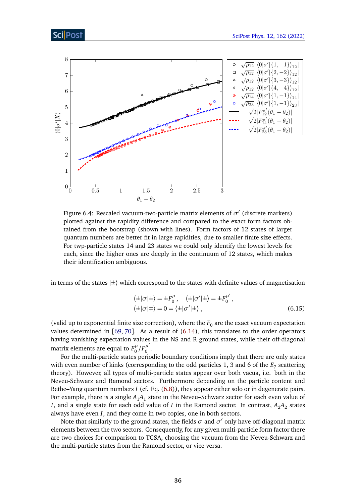<span id="page-35-0"></span>

Figure 6.4: Rescaled vacuum-two-particle matrix elements of  $\sigma'$  (discrete markers) plotted against the rapidity difference and compared to the exact form factors obtained from the bootstrap (shown with lines). Form factors of 12 states of larger quantum numbers are better fit in large rapidities, due to smaller finite size effects. For twp-particle states 14 and 23 states we could only identify the lowest levels for each, since the higher ones are deeply in the continuum of 12 states, which makes their identification ambiguous.

in terms of the states  $|\pm\rangle$  which correspond to the states with definite values of magnetisation

$$
\langle \pm | \sigma | \pm \rangle = \pm F_0^{\mu}, \quad \langle \pm | \sigma' | \pm \rangle = \pm F_0^{\mu'},
$$
  

$$
\langle \pm | \sigma | \mp \rangle = 0 = \langle \pm | \sigma' | \pm \rangle,
$$
 (6.15)

(valid up to exponential finite size correction), where the  $F_0$  are the exact vacuum expectation values determined in  $[69, 70]$  $[69, 70]$  $[69, 70]$  $[69, 70]$  $[69, 70]$ . As a result of  $(6.14)$ , this translates to the order operators having vanishing expectation values in the NS and R ground states, while their off-diagonal matrix elements are equal to  $F^{\mu}_{0}$  $\int_0^\mu/F_0^{\mu'}$  $\begin{array}{c} \mu \0 \end{array}$ 

For the multi-particle states periodic boundary conditions imply that there are only states with even number of kinks (corresponding to the odd particles 1, 3 and 6 of the  $E_7$  scattering theory). However, all types of multi-particle states appear over both vacua, i.e. both in the Neveu-Schwarz and Ramond sectors. Furthermore depending on the particle content and Bethe–Yang quantum numbers *I* (cf. Eq. [\(6.8\)](#page-31-6)), they appear either solo or in degenerate pairs. For example, there is a single  $A_1A_1$  state in the Neveu–Schwarz sector for each even value of *I*, and a single state for each odd value of *I* in the Ramond sector. In contrast,  $A_2A_2$  states always have even *I*, and they come in two copies, one in both sectors.

Note that similarly to the ground states, the fields *σ* and *σ* <sup>0</sup> only have off-diagonal matrix elements between the two sectors. Consequently, for any given multi-particle form factor there are two choices for comparison to TCSA, choosing the vacuum from the Neveu-Schwarz and the multi-particle states from the Ramond sector, or vice versa.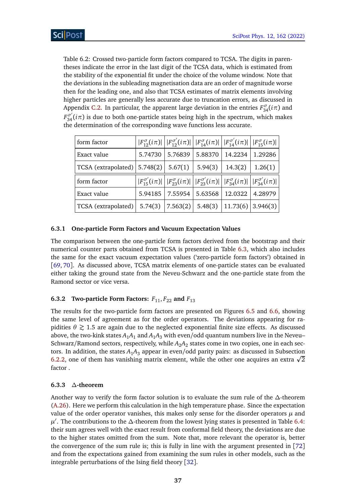<span id="page-36-3"></span>Table 6.2: Crossed two-particle form factors compared to TCSA. The digits in parentheses indicate the error in the last digit of the TCSA data, which is estimated from the stability of the exponential fit under the choice of the volume window. Note that the deviations in the subleading magnetisation data are an order of magnitude worse then for the leading one, and also that TCSA estimates of matrix elements involving higher particles are generally less accurate due to truncation errors, as discussed in Appendix [C.2.](#page-51-0) In particular, the apparent large deviation in the entries  $F_{34}^{\sigma}(i\pi)$  and  $F_{34}^{\sigma'}(i\pi)$  is due to both one-particle states being high in the spectrum, which makes the determination of the corresponding wave functions less accurate.

| form factor                      |         | $ F_{12}^{\sigma}(i\pi)   F_{12}^{\sigma'}(i\pi)   F_{14}^{\sigma}(i\pi)   F_{14}^{\sigma'}(i\pi)   F_{15}^{\sigma}(i\pi)   $ |                 |         |                                                                                                                                                                                        |
|----------------------------------|---------|-------------------------------------------------------------------------------------------------------------------------------|-----------------|---------|----------------------------------------------------------------------------------------------------------------------------------------------------------------------------------------|
| Exact value                      | 5.74730 | 5.76839                                                                                                                       | 5.88370         | 14.2234 | 1.29286                                                                                                                                                                                |
| $TCSA$ (extrapolated)   5.748(2) |         | 5.67(1)                                                                                                                       | 5.94(3)         | 14.3(2) | 1.26(1)                                                                                                                                                                                |
| form factor                      |         |                                                                                                                               |                 |         |                                                                                                                                                                                        |
|                                  |         |                                                                                                                               |                 |         | $\left F_{15}^{\sigma'}(i\pi)\right \left F_{23}^{\sigma}(i\pi)\right \left F_{23}^{\sigma'}(i\pi)\right \left F_{34}^{\sigma}(i\pi)\right \left F_{34}^{\sigma'}(i\pi)\right \right $ |
| Exact value                      | 5.94185 |                                                                                                                               | 7.55954 5.63568 | 12.0322 | 4.28979                                                                                                                                                                                |

### <span id="page-36-0"></span>**6.3.1 One-particle Form Factors and Vacuum Expectation Values**

The comparison between the one-particle form factors derived from the bootstrap and their numerical counter parts obtained from TCSA is presented in Table [6.3,](#page-37-0) which also includes the same for the exact vacuum expectation values ('zero-particle form factors') obtained in [[69,](#page-58-3) [70](#page-58-4)]. As discussed above, TCSA matrix elements of one-particle states can be evaluated either taking the ground state from the Neveu-Schwarz and the one-particle state from the Ramond sector or vice versa.

## <span id="page-36-1"></span>**6.3.2** Two-particle Form Factors:  $F_{11}$ ,  $F_{22}$  and  $F_{13}$

The results for the two-particle form factors are presented on Figures [6.5](#page-38-1) and [6.6,](#page-39-0) showing the same level of agreement as for the order operators. The deviations appearing for rapidities  $\theta \gtrsim 1.5$  are again due to the neglected exponential finite size effects. As discussed above, the two-kink states  $A_1A_1$  and  $A_1A_3$  with even/odd quantum numbers live in the Neveu– Schwarz/Ramond sectors, respectively, while  $A_2A_2$  states come in two copies, one in each sectors. In addition, the states  $A_1A_3$  appear in even/odd parity pairs: as discussed in Subsection tors. In addition, the states  $A_1A_3$  appear in even/odd parity pairs: as discussed in Subsection<br>[6.2.2,](#page-31-2) one of them has vanishing matrix element, while the other one acquires an extra  $\sqrt{2}$ factor .

## <span id="page-36-2"></span>**6.3.3** *∆***-theorem**

Another way to verify the form factor solution is to evaluate the sum rule of the *∆*-theorem [\(A.26\)](#page-48-1). Here we perform this calculation in the high temperature phase. Since the expectation value of the order operator vanishes, this makes only sense for the disorder operators  $\mu$  and *µ* 0 . The contributions to the *∆*-theorem from the lowest lying states is presented in Table [6.4:](#page-37-1) their sum agrees well with the exact result from conformal field theory, the deviations are due to the higher states omitted from the sum. Note that, more relevant the operator is, better the convergence of the sum rule is; this is fully in line with the argument presented in [[72](#page-58-6)] and from the expectations gained from examining the sum rules in other models, such as the integrable perturbations of the Ising field theory [[32](#page-55-11)].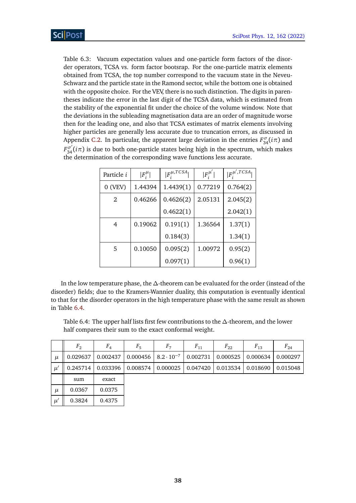<span id="page-37-0"></span>Table 6.3: Vacuum expectation values and one-particle form factors of the disorder operators, TCSA vs. form factor bootsrap. For the one-particle matrix elements obtained from TCSA, the top number correspond to the vacuum state in the Neveu-Schwarz and the particle state in the Ramond sector, while the bottom one is obtained with the opposite choice. For the VEV, there is no such distinction. The digits in parentheses indicate the error in the last digit of the TCSA data, which is estimated from the stability of the exponential fit under the choice of the volume window. Note that the deviations in the subleading magnetisation data are an order of magnitude worse then for the leading one, and also that TCSA estimates of matrix elements involving higher particles are generally less accurate due to truncation errors, as discussed in Appendix [C.2.](#page-51-0) In particular, the apparent large deviation in the entries  $F_{34}^{\sigma}(i\pi)$  and  $F_{34}^{\sigma'}(i\pi)$  is due to both one-particle states being high in the spectrum, which makes the determination of the corresponding wave functions less accurate.

| Particle <i>i</i> | $ F_i^{\mu} $ | $ F_i^{\mu, TCSA} $ | $ F_i^{\mu'} $ | $ F_i^{\mu',TCSA} $ |
|-------------------|---------------|---------------------|----------------|---------------------|
| $0$ (VEV)         | 1.44394       | 1.4439(1)           | 0.77219        | 0.764(2)            |
| 2                 | 0.46266       | 0.4626(2)           | 2.05131        | 2.045(2)            |
|                   |               | 0.4622(1)           |                | 2.042(1)            |
| 4                 | 0.19062       | 0.191(1)            | 1.36564        | 1.37(1)             |
|                   |               | 0.184(3)            |                | 1.34(1)             |
| .5                | 0.10050       | 0.095(2)            | 1.00972        | 0.95(2)             |
|                   |               | 0.097(1)            |                | 0.96(1)             |

In the low temperature phase, the *∆*-theorem can be evaluated for the order (instead of the disorder) fields; due to the Kramers-Wannier duality, this computation is eventually identical to that for the disorder operators in the high temperature phase with the same result as shown in Table [6.4.](#page-37-1)

<span id="page-37-1"></span>Table 6.4: The upper half lists first few contributions to the *∆*-theorem, and the lower half compares their sum to the exact conformal weight.

|       | F <sub>2</sub> | $F_4$    | $F_5$    | F <sub>7</sub>                              | $F_{11}$ | $F_{22}$ | $F_{13}$             | $F_{24}$ |
|-------|----------------|----------|----------|---------------------------------------------|----------|----------|----------------------|----------|
| $\mu$ | 0.029637       | 0.002437 |          | $0.000456$   $8.2 \cdot 10^{-7}$   0.002731 |          | 0.000525 | 0.000634             | 0.000297 |
| $\mu$ | 0.245714       | 0.033396 | 0.008574 | 0.000025                                    | 0.047420 | 0.013534 | $\mid 0.018690 \mid$ | 0.015048 |
|       | sum            | exact    |          |                                             |          |          |                      |          |
| $\mu$ | 0.0367         | 0.0375   |          |                                             |          |          |                      |          |
| $\mu$ | 0.3824         | 0.4375   |          |                                             |          |          |                      |          |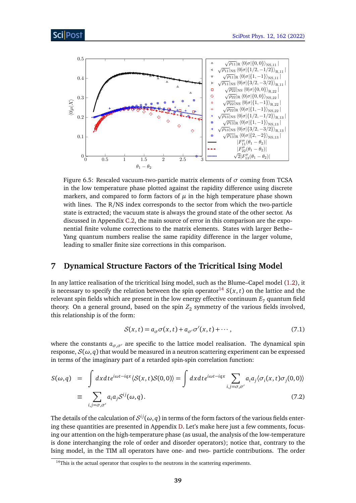<span id="page-38-1"></span>

Figure 6.5: Rescaled vacuum-two-particle matrix elements of *σ* coming from TCSA in the low temperature phase plotted against the rapidity difference using discrete markers, and compared to form factors of  $\mu$  in the high temperature phase shown with lines. The R/NS index corresponds to the sector from which the two-particle state is extracted; the vacuum state is always the ground state of the other sector. As discussed in Appendix [C.2,](#page-51-0) the main source of error in this comparison are the exponential finite volume corrections to the matrix elements. States with larger Bethe– Yang quantum numbers realise the same rapidity difference in the larger volume, leading to smaller finite size corrections in this comparison.

## <span id="page-38-0"></span>**7 Dynamical Structure Factors of the Tricritical Ising Model**

In any lattice realisation of the tricritical Ising model, such as the Blume–Capel model [\(1.2\)](#page-2-1), it is necessary to specify the relation between the spin operator<sup>[14](#page-38-2)</sup>  $S(x, t)$  on the lattice and the relevant spin fields which are present in the low energy effective continuum  $E<sub>7</sub>$  quantum field theory. On a general ground, based on the spin  $Z_2$  symmetry of the various fields involved, this relationship is of the form:

$$
S(x,t) = a_{\sigma}\sigma(x,t) + a_{\sigma'}\sigma'(x,t) + \cdots, \qquad (7.1)
$$

where the constants  $a_{\sigma,\sigma'}$  are specific to the lattice model realisation. The dynamical spin response,  $S(\omega, q)$  that would be measured in a neutron scattering experiment can be expressed in terms of the imaginary part of a retarded spin-spin correlation function:

$$
S(\omega, q) = \int dx dt e^{i\omega t - iqx} \langle S(x, t)S(0, 0) \rangle = \int dx dt e^{i\omega t - iqx} \sum_{i, j = \sigma, \sigma'} a_i a_j \langle \sigma_i(x, t) \sigma_j(0, 0) \rangle
$$
  

$$
\equiv \sum_{i, j = \sigma, \sigma'} a_i a_j S^{ij}(\omega, q).
$$
 (7.2)

The details of the calculation of  $\mathcal{S}^{ij}(\omega,q)$  in terms of the form factors of the various fields entering these quantities are presented in Appendix [D.](#page-52-0) Let's make here just a few comments, focusing our attention on the high-temperature phase (as usual, the analysis of the low-temperature is done interchanging the role of order and disorder operators); notice that, contrary to the Ising model, in the TIM all operators have one- and two- particle contributions. The order

<span id="page-38-2"></span> $14$ This is the actual operator that couples to the neutrons in the scattering experiments.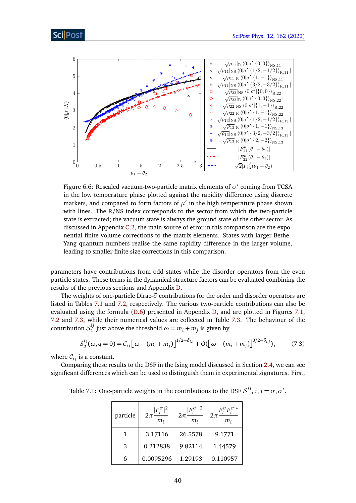<span id="page-39-0"></span>

Figure 6.6: Rescaled vacuum-two-particle matrix elements of  $\sigma'$  coming from TCSA in the low temperature phase plotted against the rapidity difference using discrete markers, and compared to form factors of  $\mu'$  in the high temperature phase shown with lines. The R/NS index corresponds to the sector from which the two-particle state is extracted; the vacuum state is always the ground state of the other sector. As discussed in Appendix [C.2,](#page-51-0) the main source of error in this comparison are the exponential finite volume corrections to the matrix elements. States with larger Bethe– Yang quantum numbers realise the same rapidity difference in the larger volume, leading to smaller finite size corrections in this comparison.

parameters have contributions from odd states while the disorder operators from the even particle states. These terms in the dynamical structure factors can be evaluated combining the results of the previous sections and Appendix [D.](#page-52-0)

The weights of one-particle Dirac-*δ* contributions for the order and disorder operators are listed in Tables [7.1](#page-39-1) and [7.2,](#page-40-0) respectively. The various two-particle contributions can also be evaluated using the formula [\(D.6\)](#page-53-1) presented in Appendix [D,](#page-52-0) and are plotted in Figures [7.1,](#page-41-0) [7.2](#page-41-1) and [7.3,](#page-42-0) while their numerical values are collected in Table [7.3.](#page-42-1) The behaviour of the contribution  $\mathcal{S}_2^{ij}$  $\omega_2^{(l)}$  just above the threshold  $\omega = m_i + m_j$  is given by

$$
S_2^{ij}(\omega, q=0) = C_{ij} \left[ \omega - (m_i + m_j) \right]^{1/2 - \delta_{i,j}} + O(\left[ \omega - (m_i + m_j) \right]^{3/2 - \delta_{i,j}}), \tag{7.3}
$$

where  $C_{ij}$  is a constant.

Comparing these results to the DSF in the Ising model discussed in Section [2.4,](#page-11-0) we can see significant differences which can be used to distinguish them in experimental signatures. First,

<span id="page-39-1"></span>Table 7.1: One-particle weights in the contributions to the DSF  $S^{ij}$ ,  $i, j = \sigma, \sigma'$ .

| particle | F<br>$2\pi$<br>$m_i$ | $\mathsf{I} F^{\sigma'}_\cdot$<br>$2\pi$<br>$m_i$ | $F^{\sigma}_{:}F^{\sigma'\ast}_{:}$<br>m, |
|----------|----------------------|---------------------------------------------------|-------------------------------------------|
|          | 3.17116              | 26.5578                                           | 9.1771                                    |
| 3        | 0.212838             | 9.82114                                           | 1.44579                                   |
| 6        | 0.0095296            | 1.29193                                           | 0.110957                                  |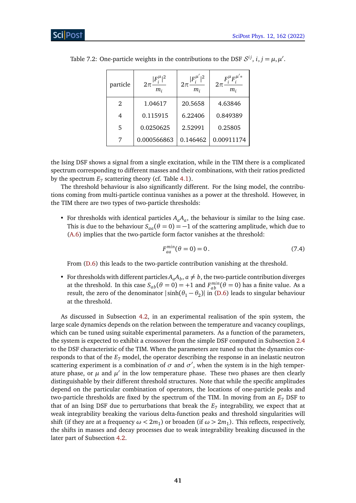|              | particle | $2\pi\frac{ F_i^\mu ^2}{\mu}$<br>$m_i$ | $2\pi \frac{ F_i^{\mu'} ^2}{\mu}$<br>$m_i$ | $2\pi \frac{F_i^{\mu}F_i^{\mu^{\prime}*}}{2\pi}$<br>$m_i$ |
|--------------|----------|----------------------------------------|--------------------------------------------|-----------------------------------------------------------|
| 1.04617<br>2 |          | 20.5658                                | 4.63846                                    |                                                           |
|              | 4        | 0.115915                               |                                            | 0.849389                                                  |
|              | 5        | 0.0250625                              | 2.52991                                    | 0.25805                                                   |
|              |          | 0.000566863                            | 0.146462                                   | 0.00911174                                                |

<span id="page-40-0"></span>Table 7.2: One-particle weights in the contributions to the DSF  $S^{ij}$ ,  $i, j = \mu, \mu'$ .

the Ising DSF shows a signal from a single excitation, while in the TIM there is a complicated spectrum corresponding to different masses and their combinations, with their ratios predicted by the spectrum  $E_7$  scattering theory (cf. Table [4.1\)](#page-19-2).

The threshold behaviour is also significantly different. For the Ising model, the contributions coming from multi-particle continua vanishes as a power at the threshold. However, in the TIM there are two types of two-particle thresholds:

• For thresholds with identical particles  $A_aA_a$ , the behaviour is similar to the Ising case. This is due to the behaviour  $S_{aa}(\theta = 0) = -1$  of the scattering amplitude, which due to [\(A.6\)](#page-44-4) implies that the two-particle form factor vanishes at the threshold:

$$
F_{aa}^{min}(\theta = 0) = 0.
$$
 (7.4)

From [\(D.6\)](#page-53-1) this leads to the two-particle contribution vanishing at the threshold.

• For thresholds with different particles  $A_aA_b$ ,  $a \neq b$ , the two-particle contribution diverges at the threshold. In this case  $S_{ab}(\theta = 0) = +1$  and  $F_{ab}^{min}(\theta = 0)$  has a finite value. As a result, the zero of the denominator  $|\sinh(\theta_1 - \theta_2)|$  in [\(D.6\)](#page-53-1) leads to singular behaviour at the threshold.

As discussed in Subsection [4.2,](#page-18-0) in an experimental realisation of the spin system, the large scale dynamics depends on the relation between the temperature and vacancy couplings, which can be tuned using suitable experimental parameters. As a function of the parameters, the system is expected to exhibit a crossover from the simple DSF computed in Subsection [2.4](#page-11-0) to the DSF characteristic of the TIM. When the parameters are tuned so that the dynamics corresponds to that of the *E*<sup>7</sup> model, the operator describing the response in an inelastic neutron scattering experiment is a combination of  $\sigma$  and  $\sigma'$ , when the system is in the high temperature phase, or  $\mu$  and  $\mu'$  in the low temperature phase. These two phases are then clearly distinguishable by their different threshold structures. Note that while the specific amplitudes depend on the particular combination of operators, the locations of one-particle peaks and two-particle thresholds are fixed by the spectrum of the TIM. In moving from an *E*<sup>7</sup> DSF to that of an Ising DSF due to perturbations that break the  $E_7$  integrability, we expect that at weak integrability breaking the various delta-function peaks and threshold singularities will shift (if they are at a frequency  $\omega < 2m_1$ ) or broaden (if  $\omega > 2m_1$ ). This reflects, respectively, the shifts in masses and decay processes due to weak integrability breaking discussed in the later part of Subsection [4.2.](#page-18-0)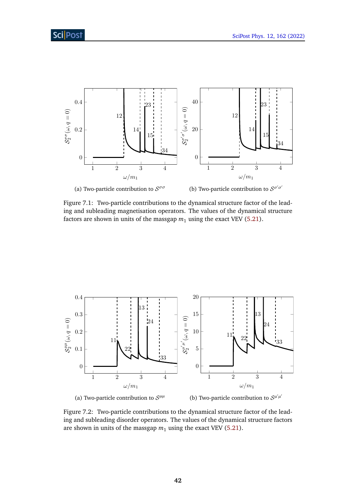<span id="page-41-0"></span>

Figure 7.1: Two-particle contributions to the dynamical structure factor of the leading and subleading magnetisation operators. The values of the dynamical structure factors are shown in units of the massgap  $m_1$  using the exact VEV [\(5.21\)](#page-29-1).

<span id="page-41-1"></span>

(a) Two-particle contribution to  $S^{\mu\mu}$ (b) Two-particle contribution to  $S^{\mu'\mu'}$ 

Figure 7.2: Two-particle contributions to the dynamical structure factor of the leading and subleading disorder operators. The values of the dynamical structure factors are shown in units of the massgap  $m_1$  using the exact VEV [\(5.21\)](#page-29-1).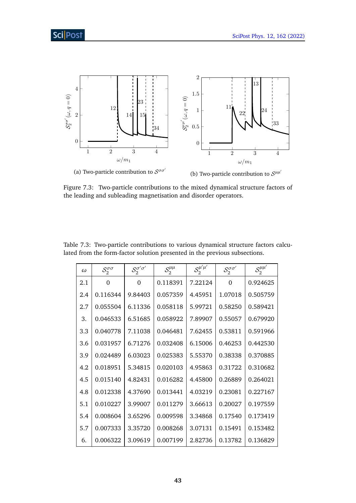<span id="page-42-0"></span>

Figure 7.3: Two-particle contributions to the mixed dynamical structure factors of the leading and subleading magnetisation and disorder operators.

| $\omega$ | $S_2^{\sigma\sigma}$ | $\mathcal{S}^{\sigma'\sigma'}_{2}$<br>$S_2^{\mu\mu}$ |          | $\mathcal{S}^{\mu'\mu'}_{2}$ | $S_2^{\sigma\sigma'}$ | $\mathcal{S}^{\mu\mu'}_{2}$ |
|----------|----------------------|------------------------------------------------------|----------|------------------------------|-----------------------|-----------------------------|
| 2.1      | $\Omega$             | 0                                                    | 0.118391 | 7.22124                      | $\Omega$              | 0.924625                    |
| 2.4      | 0.116344             | 9.84403                                              | 0.057359 | 4.45951                      | 1.07018               | 0.505759                    |
| 2.7      | 0.055504             | 6.11336                                              | 0.058118 | 5.99721                      | 0.58250               | 0.589421                    |
| 3.       | 0.046533             | 6.51685                                              | 0.058922 | 7.89907                      | 0.55057               | 0.679920                    |
| 3.3      | 0.040778             | 7.11038                                              | 0.046481 | 7.62455                      | 0.53811               | 0.591966                    |
| 3.6      | 0.031957             | 6.71276                                              | 0.032408 | 6.15006                      | 0.46253               | 0.442530                    |
| 3.9      | 0.024489             | 6.03023                                              | 0.025383 | 5.55370                      | 0.38338               | 0.370885                    |
| 4.2      | 0.018951             | 5.34815                                              | 0.020103 | 4.95863                      | 0.31722               | 0.310682                    |
| 4.5      | 0.015140             | 4.82431                                              | 0.016282 | 4.45800                      | 0.26889               | 0.264021                    |
| 4.8      | 0.012338             | 4.37690                                              | 0.013441 | 4.03219                      | 0.23081               | 0.227167                    |
| 5.1      | 0.010227             | 3.99007                                              | 0.011279 | 3.66613                      | 0.20027               | 0.197559                    |
| 5.4      | 0.008604             | 3.65296                                              | 0.009598 | 3.34868                      | 0.17540               | 0.173419                    |
| 5.7      | 0.007333             | 3.35720                                              | 0.008268 | 3.07131                      | 0.15491               | 0.153482                    |
| 6.       | 0.006322             | 3.09619                                              | 0.007199 | 2.82736                      | 0.13782               | 0.136829                    |

<span id="page-42-1"></span>Table 7.3: Two-particle contributions to various dynamical structure factors calculated from the form-factor solution presented in the previous subsections.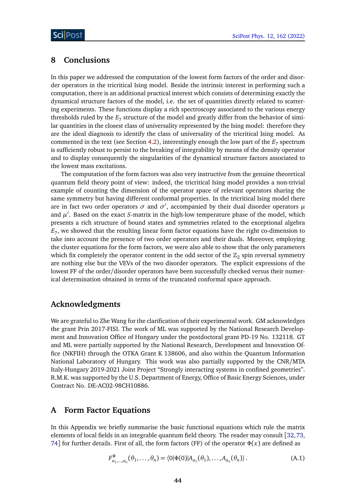## <span id="page-43-0"></span>**8 Conclusions**

In this paper we addressed the computation of the lowest form factors of the order and disorder operators in the tricritical Ising model. Beside the intrinsic interest in performing such a computation, there is an additional practical interest which consists of determining exactly the dynamical structure factors of the model, i.e. the set of quantities directly related to scattering experiments. These functions display a rich spectroscopy associated to the various energy thresholds ruled by the  $E_7$  structure of the model and greatly differ from the behavior of similar quantities in the closest class of universality represented by the Ising model: therefore they are the ideal diagnosis to identify the class of universality of the tricritical Ising model. As commented in the text (see Section [4.2\)](#page-18-0), interestingly enough the low part of the  $E_7$  spectrum is sufficiently robust to persist to the breaking of integrability by means of the density operator and to display consequently the singularities of the dynamical structure factors associated to the lowest mass excitations.

The computation of the form factors was also very instructive from the genuine theoretical quantum field theory point of view: indeed, the tricritical Ising model provides a non-trivial example of counting the dimension of the operator space of relevant operators sharing the same symmetry but having different conformal properties. In the tricritical Ising model there are in fact two order operators  $\sigma$  and  $\sigma'$ , accompanied by their dual disorder operators  $\mu$ and  $\mu'$ . Based on the exact *S*-matrix in the high-low temperature phase of the model, which presents a rich structure of bound states and symmetries related to the exceptional algebra *E*7 , we showed that the resulting linear form factor equations have the right co-dimension to take into account the presence of two order operators and their duals. Moreover, employing the cluster equations for the form factors, we were also able to show that the only parameters which fix completely the operator content in the odd sector of the  $\mathbb{Z}_2$  spin reversal symmetry are nothing else but the VEVs of the two disorder operators. The explicit expressions of the lowest FF of the order/disorder operators have been successfully checked versus their numerical determination obtained in terms of the truncated conformal space approach.

## **Acknowledgments**

We are grateful to Zhe Wang for the clarification of their experimental work. GM acknowledges the grant Prin 2017-FISI. The work of ML was supported by the National Research Development and Innovation Office of Hungary under the postdoctoral grant PD-19 No. 132118. GT and ML were partially supported by the National Research, Development and Innovation Office (NKFIH) through the OTKA Grant K 138606, and also within the Quantum Information National Laboratory of Hungary. This work was also partially supported by the CNR/MTA Italy-Hungary 2019-2021 Joint Project "Strongly interacting systems in confined geometries". R.M.K. was supported by the U.S. Department of Energy, Office of Basic Energy Sciences, under Contract No. DE-AC02-98CH10886.

## <span id="page-43-1"></span>**A Form Factor Equations**

In this Appendix we briefly summarise the basic functional equations which rule the matrix elements of local fields in an integrable quantum field theory. The reader may consult [[32,](#page-55-11)[73,](#page-58-7) [74](#page-58-8)] for further details. First of all, the form factors (FF) of the operator *Φ*(*x*) are defined as

$$
F_{a_1,\ldots,a_n}^{\Phi}(\theta_1,\ldots,\theta_n) = \langle 0|\Phi(0)|A_{a_1}(\theta_1),\ldots,A_{a_n}(\theta_n)\rangle.
$$
 (A.1)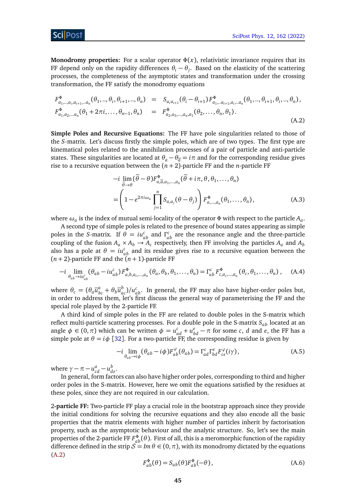## ScilPos<sup>.</sup>

**Monodromy properties:** For a scalar operator  $\Phi(x)$ , relativistic invariance requires that its FF depend only on the rapidity differences  $\theta_i - \theta_j$ . Based on the elasticity of the scattering processes, the completeness of the asymptotic states and transformation under the crossing transformation, the FF satisfy the monodromy equations

$$
F_{a_1,\ldots,a_i,a_{i+1},\ldots,a_n}^{\Phi}(\theta_1,\ldots,\theta_i,\theta_{i+1},\ldots,\theta_n) = S_{a_i a_{i+1}}(\theta_i - \theta_{i+1}) F_{a_1,\ldots,a_{i+1},a_i,\ldots,a_n}^{\Phi}(\theta_1,\ldots,\theta_{i+1},\theta_i,\ldots,\theta_n),
$$
  
\n
$$
F_{a_1,a_2,\ldots,a_n}^{\Phi}(\theta_1 + 2\pi i,\ldots,\theta_{n-1},\theta_n) = F_{a_2,a_3,\ldots,a_n,a_1}^{\Phi}(\theta_2,\ldots,\theta_n,\theta_1).
$$
\n(A.2)

**Simple Poles and Recursive Equations:** The FF have pole singularities related to those of the *S*-matrix. Let's discuss firstly the simple poles, which are of two types. The first type are kinematical poles related to the annihilation processes of a pair of particle and anti-particle states. These singularities are located at  $\theta_a - \theta_{\overline{a}} = i\pi$  and for the corresponding residue gives rise to a recursive equation between the (*n* + 2)-particle FF and the *n*-particle FF

<span id="page-44-2"></span><span id="page-44-1"></span><span id="page-44-0"></span>
$$
-i \lim_{\widetilde{\theta} \to \theta} (\widetilde{\theta} - \theta) F_{a, \overline{a}, a_1, \dots, a_n}^{\Phi} (\widetilde{\theta} + i\pi, \theta, \theta_1, \dots, \theta_n)
$$
  
= 
$$
\left( 1 - e^{2\pi i \omega_a} \prod_{j=1}^n S_{a, a_j} (\theta - \theta_j) \right) F_{a, \dots, a_n}^{\Phi} (\theta_1, \dots, \theta_n),
$$
 (A.3)

where  $\omega_a$  is the index of mutual semi-locality of the operator  $\Phi$  with respect to the particle  $A_a.$ 

A second type of simple poles is related to the presence of bound states appearing as simple poles in the *S*-matrix. If  $\theta = i u_{ab}^c$  and  $\Gamma_{ab}^c$  are the resonance angle and the three-particle coupling of the fusion  $A_a \times A_b \to A_c$  respectively, then FF involving the particles  $A_a$  and  $A_b$ also has a pole at  $\theta = i u_{ab}^c$  and its residue gives rise to a recursive equation between the  $(n+2)$ -particle FF and the  $(n+1)$ -particle FF

$$
-i \lim_{\theta_{ab}\to i\mu_{ab}^c} (\theta_{ab} - i\mu_{ab}^c) F_{a,b,a_i,\dots,a_n}^{\Phi} (\theta_a, \theta_b, \theta_1, \dots, \theta_n) = \Gamma_{ab}^c F_{c,a_i,\dots,a_n}^{\Phi} (\theta_c, \theta_1, \dots, \theta_n), \quad (A.4)
$$

where  $\theta_c = (\theta_a \overline{u}_{bc}^a + \theta_b \overline{u}_{ac}^b)/u_{ab}^c$ . In general, the FF may also have higher-order poles but, in order to address them, let's first discuss the general way of parameterising the FF and the special role played by the 2-particle FF.

A third kind of simple poles in the FF are related to double poles in the S-matrix which reflect multi-particle scattering processes. For a double pole in the S-matrix *Sab* located at an angle  $\phi \in (0, \pi)$  which can be written  $\phi = u_{ad}^c + u_{bd}^e - \pi$  for some *c*, *d* and *e*, the FF has a simple pole at  $\theta = i\phi$  [[32](#page-55-11)]. For a two-particle FF, the corresponding residue is given by

<span id="page-44-3"></span>
$$
-i\lim_{\theta_{ab}\to i\phi}(\theta_{ab}-i\phi)F_{ab}^{\varphi}(\theta_{ab})=\Gamma_{ad}^{c}\Gamma_{bd}^{e}F_{ce}^{\varphi}(i\gamma),
$$
\n(A.5)

where  $\gamma - \pi - u_{cd}^a - u_{de}^b$ .

In general, form factors can also have higher order poles, corresponding to third and higher order poles in the S-matrix. However, here we omit the equations satisfied by the residues at these poles, since they are not required in our calculation.

<span id="page-44-4"></span>2**-particle FF:** Two-particle FF play a crucial role in the bootstrap approach since they provide the initial conditions for solving the recursive equations and they also encode all the basic properties that the matrix elements with higher number of particles inherit by factorisation property, such as the asymptotic behaviour and the analytic structure. So, let's see the main properties of the 2-particle FF  $F^{\Phi}_{ab}(\theta)$ . First of all, this is a meromorphic function of the rapidity difference defined in the strip  $\mathcal{S} = Im \theta \in (0, \pi)$ , with its monodromy dictated by the equations [\(A.2\)](#page-44-0)

$$
F_{ab}^{\Phi}(\theta) = S_{ab}(\theta) F_{ab}^{\Phi}(-\theta), \qquad (A.6)
$$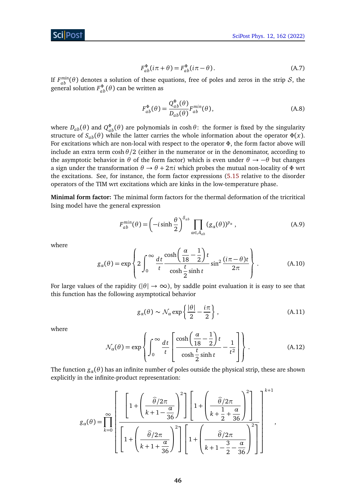

$$
F_{ab}^{\Phi}(i\pi + \theta) = F_{ab}^{\Phi}(i\pi - \theta).
$$
 (A.7)

If  $F_{ab}^{min}(\theta)$  denotes a solution of these equations, free of poles and zeros in the strip S, the general solution  $F_{ab}^{\Phi}(\theta)$  can be written as

<span id="page-45-1"></span>
$$
F_{ab}^{\Phi}(\theta) = \frac{Q_{ab}^{\Phi}(\theta)}{D_{ab}(\theta)} F_{ab}^{min}(\theta),
$$
 (A.8)

where  $D_{ab}(\theta)$  and  $Q_{ab}^{\Phi}(\theta)$  are polynomials in cosh  $\theta$ : the former is fixed by the singularity structure of  $S_{ab}(\theta)$  while the latter carries the whole information about the operator  $\Phi(x)$ . For excitations which are non-local with respect to the operator *Φ*, the form factor above will include an extra term cosh*θ /*2 (either in the numerator or in the denominator, according to the asymptotic behavior in  $\theta$  of the form factor) which is even under  $\theta \rightarrow -\theta$  but changes a sign under the transformation  $\theta \to \theta + 2\pi i$  which probes the mutual non-locality of  $\Phi$  wrt the excitations. See, for instance, the form factor expressions [\(5.15](#page-27-0) relative to the disorder operators of the TIM wrt excitations which are kinks in the low-temperature phase.

**Minimal form factor:** The minimal form factors for the thermal deformation of the tricritical Ising model have the general expression

<span id="page-45-0"></span>
$$
F_{ab}^{min}(\theta) = \left(-i\sinh\frac{\theta}{2}\right)^{\delta_{ab}} \prod_{\alpha \in \mathcal{A}_{ab}} (g_{\alpha}(\theta))^{p_{\alpha}}, \tag{A.9}
$$

where

$$
g_{\alpha}(\theta) = \exp\left\{2\int_0^\infty \frac{dt}{t} \frac{\cosh\left(\frac{\alpha}{18} - \frac{1}{2}\right)t}{\cosh\frac{t}{2}\sinh t} \sin^2\frac{(i\pi - \theta)t}{2\pi}\right\}.
$$
 (A.10)

For large values of the rapidity ( $|\theta| \to \infty$ ), by saddle point evaluation it is easy to see that this function has the following asymptotical behavior

<span id="page-45-2"></span>
$$
g_{\alpha}(\theta) \sim \mathcal{N}_{\alpha} \exp\left\{ \frac{|\theta|}{2} - \frac{i\pi}{2} \right\},\tag{A.11}
$$

,

where

$$
\mathcal{N}_\alpha(\theta) = \exp\left\{ \int_0^\infty \frac{dt}{t} \left[ \frac{\cosh\left(\frac{\alpha}{18} - \frac{1}{2}\right)t}{\cosh\frac{t}{2}\sinh t} - \frac{1}{t^2} \right] \right\}.
$$
\n(A.12)

The function  $g_a(\theta)$  has an infinite number of poles outside the physical strip, these are shown explicitly in the infinite-product representation:

$$
g_{\alpha}(\theta) = \prod_{k=0}^{\infty} \left[ \frac{\left[1 + \left(\frac{\widehat{\theta}/2\pi}{k+1 - \frac{\alpha}{36}}\right)^{2}\right] \left[1 + \left(\frac{\widehat{\theta}/2\pi}{k + \frac{1}{2} + \frac{\alpha}{36}}\right)^{2}\right]}{\left[1 + \left(\frac{\widehat{\theta}/2\pi}{k + 1 + \frac{\alpha}{36}}\right)^{2}\right] \left[1 + \left(\frac{\widehat{\theta}/2\pi}{k + 1 - \frac{3}{2} - \frac{\alpha}{36}}\right)^{2}\right]}\right]^{k+1}
$$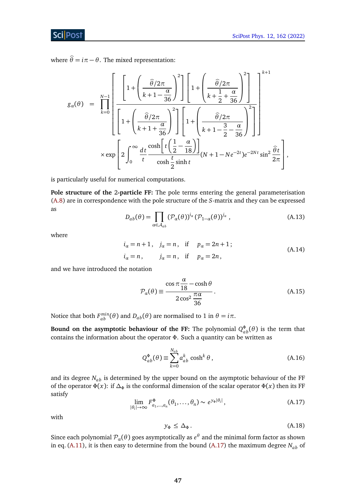where  $\hat{\theta} = i\pi - \theta$ . The mixed representation:

$$
g_{\alpha}(\theta) = \prod_{k=0}^{N-1} \left[ 1 + \left( \frac{\widehat{\theta}/2\pi}{k+1-\frac{\alpha}{36}} \right)^2 \right] \left[ 1 + \left( \frac{\widehat{\theta}/2\pi}{k+\frac{1}{2}+\frac{\alpha}{36}} \right)^2 \right] \left[ 1 + \left( \frac{\widehat{\theta}/2\pi}{k+1-\frac{\alpha}{2}-\frac{\alpha}{36}} \right)^2 \right] \left[ 1 + \left( \frac{\widehat{\theta}/2\pi}{k+1-\frac{3}{2}-\frac{\alpha}{36}} \right)^2 \right] \right]^{k+1}
$$

$$
\times \exp \left[ 2 \int_0^\infty \frac{dt}{t} \frac{\cosh \left[ t \left( \frac{1}{2} - \frac{\alpha}{18} \right) \right]}{\cosh \frac{t}{2} \sinh t} (N+1-Ne^{-2t})e^{-2Nt} \sin^2 \frac{\widehat{\theta}t}{2\pi} \right],
$$

is particularly useful for numerical computations.

**Pole structure of the** 2**-particle FF:** The pole terms entering the general parameterisation [\(A.8\)](#page-45-1) are in correspondence with the pole structure of the *S*-matrix and they can be expressed as

$$
D_{ab}(\theta) = \prod_{\alpha \in \mathcal{A}_{ab}} (\mathcal{P}_{\alpha}(\theta))^{i_{\alpha}} (\mathcal{P}_{1-\alpha}(\theta))^{j_{\alpha}}, \qquad (A.13)
$$

where

$$
i_a = n + 1
$$
,  $j_a = n$ , if  $p_a = 2n + 1$ ;  
\n $i_a = n$ ,  $j_a = n$ , if  $p_a = 2n$ , (A.14)

and we have introduced the notation

$$
\mathcal{P}_{\alpha}(\theta) \equiv \frac{\cos \pi \frac{\alpha}{18} - \cosh \theta}{2 \cos^2 \frac{\pi \alpha}{36}}.
$$
\n(A.15)

Notice that both  $F_{ab}^{min}(\theta)$  and  $D_{ab}(\theta)$  are normalised to 1 in  $\theta = i\pi$ .

**Bound on the asymptotic behaviour of the FF:** The polynomial  $Q_{ab}^{\Phi}(\theta)$  is the term that contains the information about the operator *Φ*. Such a quantity can be written as

$$
Q_{ab}^{\Phi}(\theta) \equiv \sum_{k=0}^{N_{ab}} a_{ab}^k \cosh^k \theta , \qquad (A.16)
$$

<span id="page-46-0"></span>and its degree *Nab* is determined by the upper bound on the asymptotic behaviour of the FF of the operator  $\Phi(x)$ : if  $\Delta_{\Phi}$  is the conformal dimension of the scalar operator  $\Phi(x)$  then its FF satisfy

$$
\lim_{|\theta_i| \to \infty} F_{a_1, \dots, a_n}^{\Phi}(\theta_1, \dots, \theta_n) \sim e^{y_{\Phi}|\theta_i|}, \tag{A.17}
$$

with

$$
y_{\Phi} \leq \Delta_{\Phi}.\tag{A.18}
$$

Since each polynomial  $\mathcal{P}_{\alpha}(\theta)$  goes asymptotically as  $e^{\theta}$  and the minimal form factor as shown in eq. [\(A.11\)](#page-45-2), it is then easy to determine from the bound [\(A.17\)](#page-46-0) the maximum degree  $N_{ab}$  of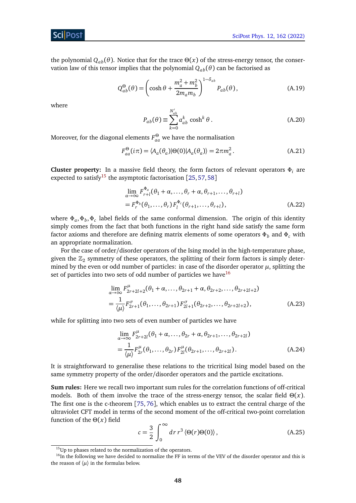the polynomial  $Q_{ab}(\theta)$ . Notice that for the trace  $Θ(x)$  of the stress-energy tensor, the conservation law of this tensor implies that the polynomial  $Q_{ab}(\theta)$  can be factorised as

$$
Q_{ab}^{\Theta}(\theta) = \left(\cosh\theta + \frac{m_a^2 + m_b^2}{2m_a m_b}\right)^{1 - \delta_{ab}} P_{ab}(\theta), \tag{A.19}
$$

where

$$
P_{ab}(\theta) \equiv \sum_{k=0}^{N'_{ab}} a^k_{ab} \cosh^k \theta.
$$
 (A.20)

Moreover, for the diagonal elements  $F^{\Theta}_{aa}$  we have the normalisation

$$
F_{aa}^{\Theta}(i\pi) = \langle A_a(\theta_a)|\Theta(0)|A_a(\theta_a)\rangle = 2\pi m_a^2.
$$
 (A.21)

**Cluster property:** In a massive field theory, the form factors of relevant operators *Φ<sup>i</sup>* are expected to satisfy<sup>[15](#page-47-1)</sup> the asymptotic factorisation [[25,](#page-55-5)[57,](#page-57-7)[58](#page-57-8)]

$$
\lim_{\alpha \to \infty} F_{r+l}^{\Phi_a}(\theta_1 + \alpha, \dots, \theta_r + \alpha, \theta_{r+1}, \dots, \theta_{r+l})
$$
\n
$$
= F_r^{\Phi_b}(\theta_1, \dots, \theta_r) F_l^{\Phi_c}(\theta_{r+1}, \dots, \theta_{r+l}),
$$
\n(A.22)

where *Φ<sup>a</sup>* ,*Φ<sup>b</sup>* ,*Φ<sup>c</sup>* label fields of the same conformal dimension. The origin of this identity simply comes from the fact that both functions in the right hand side satisfy the same form factor axioms and therefore are defining matrix elements of some operators  $\Phi_b$  and  $\Phi_c$  with an appropriate normalization.

For the case of order/disorder operators of the Ising model in the high-temperature phase, given the  $\mathbb{Z}_2$  symmetry of these operators, the splitting of their form factors is simply determined by the even or odd number of particles: in case of the disorder operator  $\mu$ , splitting the set of particles into two sets of odd number of particles we have  $16$ 

<span id="page-47-0"></span>
$$
\lim_{\alpha \to \infty} F_{2r+2l+2}^{\mu}(\theta_1 + \alpha, \dots, \theta_{2r+1} + \alpha, \theta_{2r+2}, \dots, \theta_{2r+2l+2})
$$
\n
$$
= \frac{1}{\langle \mu \rangle} F_{2r+1}^{\sigma}(\theta_1, \dots, \theta_{2r+1}) F_{2l+1}^{\sigma}(\theta_{2r+2}, \dots, \theta_{2r+2l+2}), \tag{A.23}
$$

while for splitting into two sets of even number of particles we have

$$
\lim_{\alpha \to \infty} F_{2r+2l}^{\mu}(\theta_1 + \alpha, ..., \theta_{2r} + \alpha, \theta_{2r+1}, ..., \theta_{2r+2l})
$$
\n
$$
= \frac{1}{\langle \mu \rangle} F_{2r}^{\mu}(\theta_1, ..., \theta_{2r}) F_{2l}^{\mu}(\theta_{2r+1}, ..., \theta_{2r+2l}). \tag{A.24}
$$

It is straightforward to generalise these relations to the tricritical Ising model based on the same symmetry property of the order/disorder operators and the particle excitations.

**Sum rules:** Here we recall two important sum rules for the correlation functions of off-critical models. Both of them involve the trace of the stress-energy tensor, the scalar field *Θ*(*x*). The first one is the c-theorem [[75,](#page-58-9) [76](#page-58-10)], which enables us to extract the central charge of the ultraviolet CFT model in terms of the second moment of the off-critical two-point correlation function of the *Θ*(*x*) field

$$
c = \frac{3}{2} \int_0^\infty dr \, r^3 \langle \Theta(r) \Theta(0) \rangle, \tag{A.25}
$$

<span id="page-47-2"></span><span id="page-47-1"></span> $^{15}$  Up to phases related to the normalization of the operators.

<sup>&</sup>lt;sup>16</sup>In the following we have decided to normalize the FF in terms of the VEV of the disorder operator and this is the reason of  $\langle \mu \rangle$  in the formulas below.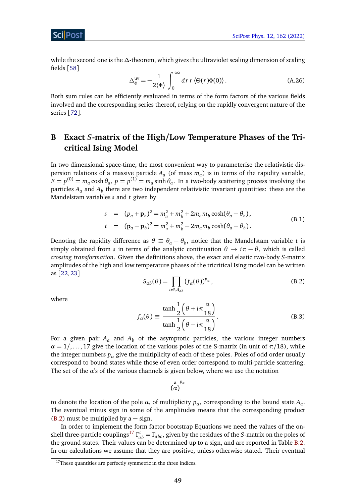ScilPos<sup>.</sup>

<span id="page-48-1"></span>while the second one is the *∆*-theorem, which gives the ultraviolet scaling dimension of scaling fields [[58](#page-57-8)]

$$
\Delta_{\Phi}^{\text{uv}} = -\frac{1}{2\langle \Phi \rangle} \int_0^\infty dr \, r \langle \Theta(r) \Phi(0) \rangle. \tag{A.26}
$$

Both sum rules can be efficiently evaluated in terms of the form factors of the various fields involved and the corresponding series thereof, relying on the rapidly convergent nature of the series [[72](#page-58-6)].

# <span id="page-48-0"></span>**B Exact** *S***-matrix of the High/Low Temperature Phases of the Tricritical Ising Model**

In two dimensional space-time, the most convenient way to parameterise the relativistic dispersion relations of a massive particle *A<sup>a</sup>* (of mass *m<sup>a</sup>* ) is in terms of the rapidity variable,  $E = p^{(0)} = m_a \cosh \theta_a$ ,  $p = p^{(1)} = m_a \sinh \theta_a$ . In a two-body scattering process involving the particles  $A_a$  and  $A_b$  there are two independent relativistic invariant quantities: these are the Mandelstam variables *s* and *t* given by

$$
s = (p_a + \mathbf{p}_b)^2 = m_a^2 + m_b^2 + 2m_a m_b \cosh(\theta_a - \theta_b),
$$
  
\n
$$
t = (\mathbf{p}_a - \mathbf{p}_b)^2 = m_a^2 + m_b^2 - 2m_a m_b \cosh(\theta_a - \theta_b).
$$
 (B.1)

Denoting the rapidity difference as  $\theta \equiv \theta_a - \theta_b$ , notice that the Mandelstam variable *t* is simply obtained from *s* in terms of the analytic continuation  $\theta \rightarrow i\pi - \theta$ , which is called *crossing transformation*. Given the definitions above, the exact and elastic two-body *S*-matrix amplitudes of the high and low temperature phases of the tricritical Ising model can be written as [[22,](#page-55-2)[23](#page-55-3)]

$$
S_{ab}(\theta) = \prod_{\alpha \in \mathcal{A}_{ab}} (f_{\alpha}(\theta))^{p_{\alpha}}, \qquad (B.2)
$$

<span id="page-48-2"></span>where

$$
f_{\alpha}(\theta) \equiv \frac{\tanh\frac{1}{2}\left(\theta + i\pi \frac{\alpha}{18}\right)}{\tanh\frac{1}{2}\left(\theta - i\pi \frac{\alpha}{18}\right)}.
$$
 (B.3)

For a given pair  $A_a$  and  $A_b$  of the asymptotic particles, the various integer numbers  $\alpha = 1, \ldots, 17$  give the location of the various poles of the S-matrix (in unit of  $\pi/18$ ), while the integer numbers  $p_a$  give the multiplicity of each of these poles. Poles of odd order usually correspond to bound states while those of even order correspond to multi-particle scattering. The set of the  $\alpha$ 's of the various channels is given below, where we use the notation

$$
\big(\begin{matrix} \mathbf{a} \\ \alpha \end{matrix}\big)^{p_\alpha}
$$

to denote the location of the pole *α*, of multiplicity *pα*, corresponding to the bound state *A<sup>a</sup>* . The eventual minus sign in some of the amplitudes means that the corresponding product  $(B.2)$  must be multiplied by a – sign.

In order to implement the form factor bootstrap Equations we need the values of the on-shell three-particle couplings<sup>[17](#page-48-3)</sup>  $\Gamma^c_{ab} = \Gamma_{abc}$ , given by the residues of the *S*-matrix on the poles of the ground states. Their values can be determined up to a sign, and are reported in Table [B.2.](#page-50-0) In our calculations we assume that they are positive, unless otherwise stated. Their eventual

<span id="page-48-3"></span> $17$ These quantities are perfectly symmetric in the three indices.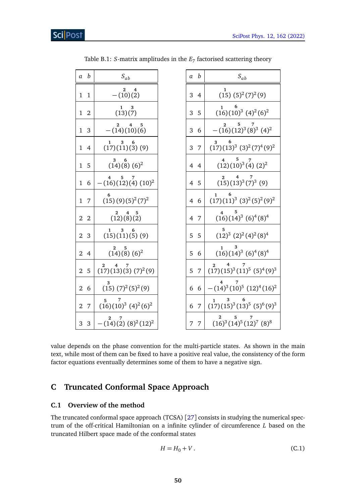| a              | $\boldsymbol{b}$ | $S_{ab}$                                              | $\boldsymbol{b}$<br>a | $S_{ab}$                                            |
|----------------|------------------|-------------------------------------------------------|-----------------------|-----------------------------------------------------|
| $\mathbf{1}$   | $\mathbf{1}$     | $\mathbf{2}$<br>4<br>$-(10)(2)$                       | 3<br>4                | $(15)$ $(5)^{2}(7)^{2}(9)$                          |
| $\mathbf{1}$   | $\overline{2}$   | 3<br>1<br>(13)(7)                                     | 5<br>3                | $\mathbf{1}$<br>$(16)(10)^3$ $(4)^2$ $(6)^2$        |
| $\mathbf{1}$   | 3                | $\overline{4}$<br>$\mathbf{2}$<br>5<br>$-(14)(10)(6)$ | 3<br>6                | $ (16)(12)^3(8)^3(4)^2$                             |
| $\mathbf{1}$   | $\overline{4}$   | 3<br>6<br>1<br>(17)(11)(3)(9)                         | 3<br>7                | 6<br>3<br>$(17)(13)^3$ $(3)^2(7)^4(9)^2$            |
| $\mathbf{1}$   | 5                | 3<br>6<br>$(14)(8)(6)^2$                              | $\overline{4}$<br>4   | 5<br>$(12)(10)^3(4)(2)^2$                           |
|                | 1 6              | 5<br>$-(16)(12)(4)(10)^2$                             | 4 5                   | $\frac{2}{(15)(13)^3}$ $\frac{7}{(7)^3}$ $(9)$      |
| $\mathbf{1}$   | 7                | $(15)(9)(5)^{2}(7)^{2}$                               | -6<br>4               | 6<br>$\mathbf{1}$<br>$(17)(11)^3 (3)^2 (5)^2 (9)^2$ |
| $\overline{2}$ | $\overline{2}$   | 2<br>4<br>5<br>(12)(8)(2)                             | 4 7                   | $(16)(14)^3$ $(6)^4(8)^4$                           |
| $\overline{2}$ | 3                | 3<br>1<br>(15)(11)(5)(9)                              | 5<br>5                | 5.<br>$(12)^3$ $(2)^2$ $(4)^2$ $(8)^4$              |
| $\overline{2}$ | $\overline{4}$   | $\mathbf{2}^-$<br>5<br>$(14)(8)(6)^2$                 | 6<br>5                | 3<br>$(16)(14)^3$ $(6)^4$ $(8)^4$                   |
| $\overline{2}$ | 5                | 2<br>(17)(13)(3)(7) <sup>2</sup> (9)                  | 5<br>7                | 4<br>$\mathbf{2}^-$<br>$(17)(15)^3(11)^5(5)^4(9)^3$ |
| $\overline{2}$ | 6                | $(15)$ $(7)^2$ $(5)^2$ $(9)$                          | 6 6                   | $-(14)^3(10)^5(12)^4(16)^2$                         |
| $\overline{2}$ | $\overline{7}$   | 5<br>$(16)(10)^3$ $(4)^2$ $(6)^2$                     | $\overline{7}$<br>6   | $(17)(15)^3(13)^5(5)^6(9)^3$                        |
|                | 3 <sub>3</sub>   | $-(14)(2)(8)^{2}(12)^{2}$                             | 7<br>7                | 5<br>2<br>$(16)^3(14)^5(12)^7(8)^8$                 |

Table B.1: *S*-matrix amplitudes in the  $E_7$  factorised scattering theory

value depends on the phase convention for the multi-particle states. As shown in the main text, while most of them can be fixed to have a positive real value, the consistency of the form factor equations eventually determines some of them to have a negative sign.

# <span id="page-49-0"></span>**C Truncated Conformal Space Approach**

## <span id="page-49-1"></span>**C.1 Overview of the method**

The truncated conformal space approach (TCSA) [[27](#page-55-7)] consists in studying the numerical spectrum of the off-critical Hamiltonian on a infinite cylinder of circumference *L* based on the truncated Hilbert space made of the conformal states

<span id="page-49-2"></span>
$$
H = H_0 + V. \tag{C.1}
$$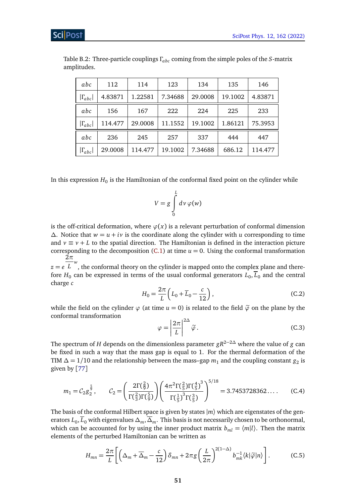| abc              | 112     | 114     | 123     | 134     | 135     | 146     |
|------------------|---------|---------|---------|---------|---------|---------|
| $ \Gamma_{abc} $ | 4.83871 | 1.22581 | 7.34688 | 29.0008 | 19.1002 | 4.83871 |
| abc              | 156     | 167     | 222     | 224     | 225     | 233     |
| $ \Gamma_{abc} $ | 114.477 | 29.0008 | 11.1552 | 19.1002 | 1.86121 | 75.3953 |
| abc              | 236     | 245     | 257     | 337     | 444     | 447     |
| $ \Gamma_{abc} $ | 29.0008 | 114.477 | 19.1002 | 7.34688 | 686.12  | 114.477 |

<span id="page-50-0"></span>Table B.2: Three-particle couplings *Γabc* coming from the simple poles of the *S*-matrix amplitudes.

In this expression  $H_0$  is the Hamiltonian of the conformal fixed point on the cylinder while

$$
V = g \int\limits_{0}^{L} dv \, \varphi(w)
$$

is the off-critical deformation, where  $\varphi(x)$  is a relevant perturbation of conformal dimension *∆*. Notice that *w* = *u* + *iv* is the coordinate along the cylinder with *u* corresponding to time and  $v \equiv v + L$  to the spatial direction. The Hamiltonian is defined in the interaction picture corresponding to the decomposition  $(C.1)$  at time  $u = 0$ . Using the conformal transformation  $2\pi$ 

 $z = e^{\overline{L}^w}$ , the conformal theory on the cylinder is mapped onto the complex plane and therefore  $H_0$  can be expressed in terms of the usual conformal generators  $L_0, L_0$  and the central charge *c*

$$
H_0 = \frac{2\pi}{L} \left( L_0 + \overline{L}_0 - \frac{c}{12} \right),
$$
 (C.2)

while the field on the cylinder  $\varphi$  (at time  $u = 0$ ) is related to the field  $\tilde{\varphi}$  on the plane by the conformal transformation

$$
\varphi = \left| \frac{2\pi}{L} \right|^{2\Delta} \tilde{\varphi} \,. \tag{C.3}
$$

The spectrum of *H* depends on the dimensionless parameter *gR*2−2*<sup>∆</sup>* where the value of *g* can be fixed in such a way that the mass gap is equal to 1. For the thermal deformation of the TIM  $\Delta = 1/10$  and the relationship between the mass–gap  $m_1$  and the coupling constant  $g_2$  is given by [[77](#page-58-11)]

<span id="page-50-1"></span>
$$
m_1 = C_2 g_2^{\frac{5}{9}}, \qquad C_2 = \left(\frac{2\Gamma(\frac{2}{9})}{\Gamma(\frac{2}{3})\Gamma(\frac{5}{9})}\right) \left(\frac{4\pi^2 \Gamma(\frac{2}{5})\Gamma(\frac{4}{5})^3}{\Gamma(\frac{1}{5})^3 \Gamma(\frac{3}{5})}\right)^{5/18} = 3.7453728362\dots
$$
 (C.4)

The basis of the conformal Hilbert space is given by states  $|m\rangle$  which are eigenstates of the generators  $L_0, L_0$  with eigenvalues  $\Delta_m, \Delta_m.$  This basis is not necessarily chosen to be orthonormal, which can be accounted for by using the inner product matrix  $b_{ml} = \langle m | l \rangle$ . Then the matrix elements of the perturbed Hamiltonian can be written as

$$
H_{mn} = \frac{2\pi}{L} \left[ \left( \Delta_m + \overline{\Delta}_m - \frac{c}{12} \right) \delta_{mn} + 2\pi g \left( \frac{L}{2\pi} \right)^{2(1-\Delta)} b_{mk}^{-1} \langle k | \tilde{\varphi} | n \rangle \right]. \tag{C.5}
$$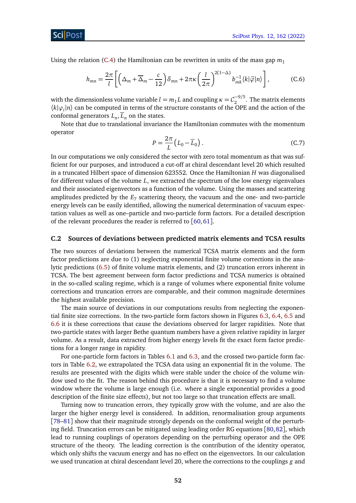Sci Post

Using the relation [\(C.4\)](#page-50-1) the Hamiltonian can be rewritten in units of the mass gap  $m_1$ 

$$
h_{mn} = \frac{2\pi}{l} \left[ \left( \Delta_m + \overline{\Delta}_m - \frac{c}{12} \right) \delta_{mn} + 2\pi \kappa \left( \frac{l}{2\pi} \right)^{2(1-\Delta)} b_{mk}^{-1} \langle k|\tilde{\varphi}|n \rangle \right],
$$
 (C.6)

with the dimensionless volume variable *l* =  $m_1 L$  and coupling  $\kappa = C_2^{-9/5}$  $\int_{2}^{1.5}$ . The matrix elements  $\langle k|\varphi_i|n\rangle$  can be computed in terms of the structure constants of the OPE and the action of the conformal generators  $L_n, L_n$  on the states.

Note that due to translational invariance the Hamiltonian commutes with the momentum operator

$$
P = \frac{2\pi}{L} \left( L_0 - \overline{L}_0 \right). \tag{C.7}
$$

In our computations we only considered the sector with zero total momentum as that was sufficient for our purposes, and introduced a cut-off at chiral descendant level 20 which resulted in a truncated Hilbert space of dimension 623552. Once the Hamiltonian *H* was diagonalised for different values of the volume *L*, we extracted the spectrum of the low energy eigenvalues and their associated eigenvectors as a function of the volume. Using the masses and scattering amplitudes predicted by the *E*<sup>7</sup> scattering theory, the vacuum and the one- and two-particle energy levels can be easily identified, allowing the numerical determination of vacuum expectation values as well as one–particle and two-particle form factors. For a detailed description of the relevant procedures the reader is referred to [[60,](#page-57-10)[61](#page-57-11)].

#### <span id="page-51-0"></span>**C.2 Sources of deviations between predicted matrix elements and TCSA results**

The two sources of deviations between the numerical TCSA matrix elements and the form factor predictions are due to (1) neglecting exponential finite volume corrections in the analytic predictions [\(6.5\)](#page-30-2) of finite volume matrix elements, and (2) truncation errors inherent in TCSA. The best agreement between form factor predictions and TCSA numerics is obtained in the so-called scaling regime, which is a range of volumes where exponential finite volume corrections and truncation errors are comparable, and their common magnitude determines the highest available precision.

The main source of deviations in our computations results from neglecting the exponential finite size corrections. In the two-particle form factors shown in Figures [6.3,](#page-34-1) [6.4,](#page-35-0) [6.5](#page-38-1) and [6.6](#page-39-0) it is these corrections that cause the deviations observed for larger rapidities. Note that two-particle states with larger Bethe quantum numbers have a given relative rapidity in larger volume. As a result, data extracted from higher energy levels fit the exact form factor predictions for a longer range in rapidity.

For one-particle form factors in Tables [6.1](#page-31-3) and [6.3,](#page-37-0) and the crossed two-particle form factors in Table [6.2,](#page-36-3) we extrapolated the TCSA data using an exponential fit in the volume. The results are presented with the digits which were stable under the choice of the volume window used to the fit. The reason behind this procedure is that it is necessary to find a volume window where the volume is large enough (i.e. where a single exponential provides a good description of the finite size effects), but not too large so that truncation effects are small.

Turning now to truncation errors, they typically grow with the volume, and are also the larger the higher energy level is considered. In addition, renormalisation group arguments [[78](#page-58-12)[–81](#page-59-0)] show that their magnitude strongly depends on the conformal weight of the perturbing field. Truncation errors can be mitigated using leading order RG equations [[80,](#page-58-13)[82](#page-59-1)], which lead to running couplings of operators depending on the perturbing operator and the OPE structure of the theory. The leading correction is the contribution of the identity operator, which only shifts the vacuum energy and has no effect on the eigenvectors. In our calculation we used truncation at chiral descendant level 20, where the corrections to the couplings *g* and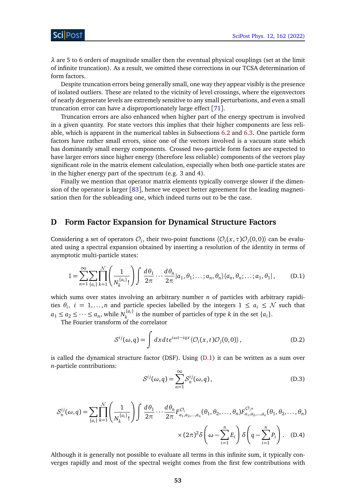*λ* are 5 to 6 orders of magnitude smaller then the eventual physical couplings (set at the limit of infinite truncation). As a result, we omitted these corrections in our TCSA determination of form factors.

Despite truncation errors being generally small, one way they appear visibly is the presence of isolated outliers. These are related to the vicinity of level crossings, where the eigenvectors of nearly degenerate levels are extremely sensitive to any small perturbations, and even a small truncation error can have a disproportionately large effect [[71](#page-58-5)].

Truncation errors are also enhanced when higher part of the energy spectrum is involved in a given quantity. For state vectors this implies that their higher components are less reliable, which is apparent in the numerical tables in Subsections [6.2](#page-31-0) and [6.3.](#page-34-0) One particle form factors have rather small errors, since one of the vectors involved is a vacuum state which has dominantly small energy components. Crossed two-particle form factors are expected to have larger errors since higher energy (therefore less reliable) components of the vectors play significant role in the matrix element calculation, especially when both one-particle states are in the higher energy part of the spectrum (e.g. 3 and 4).

Finally we mention that operator matrix elements typically converge slower if the dimension of the operator is larger [[83](#page-59-2)], hence we expect better agreement for the leading magnetisation then for the subleading one, which indeed turns out to be the case.

## <span id="page-52-0"></span>**D Form Factor Expansion for Dynamical Structure Factors**

Considering a set of operators  $\mathcal{O}_i$ , their two-point functions  $\langle \mathcal{O}_i(x, \tau) \mathcal{O}_j(0, 0) \rangle$  can be evaluated using a spectral expansion obtained by inserting a resolution of the identity in terms of asymptotic multi-particle states:

<span id="page-52-1"></span>
$$
\mathbb{I} = \sum_{n=1}^{\infty} \sum_{\{a_i\}} \prod_{k=1}^{\mathcal{N}} \left( \frac{1}{N_k^{\{a_i\}}!} \right) \int \frac{d\theta_1}{2\pi} \cdots \frac{d\theta_n}{2\pi} |a_1, \theta_1; \dots; a_n, \theta_n \rangle \langle a_n, \theta_n; \dots; a_1, \theta_1 |,
$$
 (D.1)

which sums over states involving an arbitrary number *n* of particles with arbitrary rapidities  $\theta_i$ ,  $i = 1,...,n$  and particle species labelled by the integers  $1 \le a_i \le N$  such that  $a_1 \le a_2 \le \cdots \le a_n$ , while  $N_k^{\{a_i\}}$  $\{a_i\}$  is the number of particles of type *k* in the set  $\{a_i\}$ .

The Fourier transform of the correlator

$$
S^{ij}(\omega, q) = \int dx dt e^{i\omega t - iqx} \langle \mathcal{O}_i(x, t) \mathcal{O}_j(0, 0) \rangle, \tag{D.2}
$$

is called the dynamical structure factor (DSF). Using [\(D.1\)](#page-52-1) it can be written as a sum over *n*-particle contributions:

$$
S^{ij}(\omega, q) = \sum_{n=1}^{\infty} S_n^{ij}(\omega, q),
$$
 (D.3)

$$
S_n^{ij}(\omega, q) = \sum_{\{a_i\}} \prod_{k=1}^N \left( \frac{1}{N_k^{\{a_i\}}!} \right) \int \frac{d\theta_1}{2\pi} \cdots \frac{d\theta_n}{2\pi} F_{a_1, a_2, \dots, a_n}^{\mathcal{O}_i}(\theta_1, \theta_2, \dots, \theta_n) F_{a_1, a_2, \dots, a_n}^{\mathcal{O}_{j^*}}(\theta_1, \theta_2, \dots, \theta_n)
$$

$$
\times (2\pi)^2 \delta \left( \omega - \sum_{i=1}^n E_i \right) \delta \left( q - \sum_{i=1}^n P_i \right). \quad (D.4)
$$

Although it is generally not possible to evaluate all terms in this infinite sum, it typically converges rapidly and most of the spectral weight comes from the first few contributions with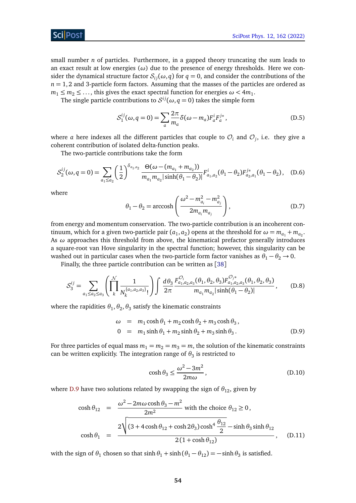

small number *n* of particles. Furthermore, in a gapped theory truncating the sum leads to an exact result at low energies (*ω*) due to the presence of energy thresholds. Here we consider the dynamical structure factor  $S_{ij}(\omega, q)$  for  $q = 0$ , and consider the contributions of the  $n = 1, 2$  and 3-particle form factors. Assuming that the masses of the particles are ordered as  $m_1 \leq m_2 \leq \ldots$ , this gives the exact spectral function for energies  $\omega < 4m_1$ .

The single particle contributions to  $S^{ij}(\omega, q = 0)$  takes the simple form

<span id="page-53-2"></span>
$$
S_1^{ij}(\omega, q=0) = \sum_a \frac{2\pi}{m_a} \delta(\omega - m_a) F_a^i F_a^{j*}, \qquad (D.5)
$$

where  $a$  here indexes all the different particles that couple to  $\mathcal{O}_i$  and  $\mathcal{O}_j$ , i.e. they give a coherent contribution of isolated delta-function peaks.

The two-particle contributions take the form

$$
S_2^{ij}(\omega, q=0) = \sum_{a_1 \le a_2} \left(\frac{1}{2}\right)^{\delta_{a_1, a_2}} \frac{\Theta(\omega - (m_{a_1} + m_{a_2}))}{m_{a_1} m_{a_2} |\sinh(\theta_1 - \theta_2)|} F_{a_1, a_2}^i(\theta_1 - \theta_2) F_{a_2, a_1}^{j*}(\theta_1 - \theta_2), \quad (D.6)
$$

where

<span id="page-53-1"></span>
$$
\theta_1 - \theta_2 = \operatorname{arccosh}\left(\frac{\omega^2 - m_{a_i}^2 - m_{a_j}^2}{2m_{a_i}m_{a_j}}\right),\tag{D.7}
$$

from energy and momentum conservation. The two-particle contribution is an incoherent continuum, which for a given two-particle pair  $(a_1, a_2)$  opens at the threshold for  $\omega = m_{a_1} + m_{a_2}$ . As *ω* approaches this threshold from above, the kinematical prefactor generally introduces a square-root van Hove singularity in the spectral function; however, this singularity can be washed out in particular cases when the two-particle form factor vanishes as  $\theta_1 - \theta_2 \rightarrow 0$ .

Finally, the three particle contribution can be written as [[38](#page-56-4)]

<span id="page-53-3"></span>
$$
S_3^{ij} = \sum_{a_1 \le a_2 \le a_3} \left( \prod_{k}^{N} \frac{1}{N_k^{a_1, a_2, a_3}!} \right) \int \frac{d\theta_3}{2\pi} \frac{F_{a_1, a_2, a_3}^{O_i}(\theta_1, \theta_2, \theta_3) F_{a_1, a_2, a_3}^{O_j*}(\theta_1, \theta_2, \theta_3)}{m_{a_1} m_{a_2} |\sinh(\theta_1 - \theta_2)|}, \quad (D.8)
$$

where the rapidities  $\theta_1, \theta_2, \theta_3$  satisfy the kinematic constraints

<span id="page-53-4"></span>
$$
\omega = m_1 \cosh \theta_1 + m_2 \cosh \theta_2 + m_3 \cosh \theta_3,
$$
  
\n
$$
0 = m_1 \sinh \theta_1 + m_2 \sinh \theta_2 + m_3 \sinh \theta_3.
$$
 (D.9)

For three particles of equal mass  $m_1 = m_2 = m_3 = m$ , the solution of the kinematic constraints can be written explicitly. The integration range of  $\theta_3$  is restricted to

$$
\cosh \theta_3 \le \frac{\omega^2 - 3m^2}{2m\omega},\tag{D.10}
$$

where [D.9](#page-53-4) have two solutions related by swapping the sign of  $\theta_{12}$ , given by

<span id="page-53-0"></span>
$$
\cosh \theta_{12} = \frac{\omega^2 - 2m\omega \cosh \theta_3 - m^2}{2m^2} \text{ with the choice } \theta_{12} \ge 0,
$$
  

$$
\cosh \theta_1 = \frac{2\sqrt{(3 + 4\cosh \theta_{12} + \cosh 2\theta_3)\cosh^4 \frac{\theta_{12}}{2} - \sinh \theta_3 \sinh \theta_{12}}}{2(1 + \cosh \theta_{12})}, \quad \text{(D.11)}
$$

with the sign of  $\theta_1$  chosen so that  $\sinh \theta_1 + \sinh(\theta_1 - \theta_{12}) = -\sinh \theta_3$  is satisfied.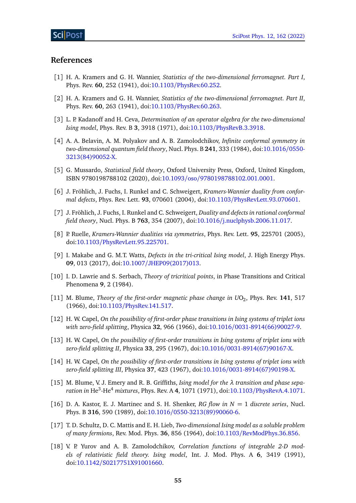## **References**

- <span id="page-54-0"></span>[1] H. A. Kramers and G. H. Wannier, *Statistics of the two-dimensional ferromagnet. Part I*, Phys. Rev. **60**, 252 (1941), doi:10.1103/[PhysRev.60.252.](https://doi.org/10.1103/PhysRev.60.252)
- <span id="page-54-1"></span>[2] H. A. Kramers and G. H. Wannier, *Statistics of the two-dimensional ferromagnet. Part II*, Phys. Rev. **60**, 263 (1941), doi:10.1103/[PhysRev.60.263.](https://doi.org/10.1103/PhysRev.60.263)
- <span id="page-54-2"></span>[3] L. P. Kadanoff and H. Ceva, *Determination of an operator algebra for the two-dimensional Ising model*, Phys. Rev. B **3**, 3918 (1971), doi:10.1103/[PhysRevB.3.3918.](https://doi.org/10.1103/PhysRevB.3.3918)
- <span id="page-54-3"></span>[4] A. A. Belavin, A. M. Polyakov and A. B. Zamolodchikov, *Infinite conformal symmetry in two-dimensional quantum field theory*, Nucl. Phys. B **241**, 333 (1984), doi[:10.1016](https://doi.org/10.1016/0550-3213(84)90052-X)/0550- [3213\(84\)90052-X.](https://doi.org/10.1016/0550-3213(84)90052-X)
- <span id="page-54-4"></span>[5] G. Mussardo, *Statistical field theory*, Oxford University Press, Oxford, United Kingdom, ISBN 9780198788102 (2020), doi:10.1093/oso/[9780198788102.001.0001.](https://doi.org/10.1093/oso/9780198788102.001.0001)
- <span id="page-54-5"></span>[6] J. Fröhlich, J. Fuchs, I. Runkel and C. Schweigert, *Kramers-Wannier duality from conformal defects*, Phys. Rev. Lett. **93**, 070601 (2004), doi:10.1103/[PhysRevLett.93.070601.](https://doi.org/10.1103/PhysRevLett.93.070601)
- [7] J. Fröhlich, J. Fuchs, I. Runkel and C. Schweigert, *Duality and defects in rational conformal field theory*, Nucl. Phys. B **763**, 354 (2007), doi:10.1016/[j.nuclphysb.2006.11.017.](https://doi.org/10.1016/j.nuclphysb.2006.11.017)
- [8] P. Ruelle, *Kramers-Wannier dualities via symmetries*, Phys. Rev. Lett. **95**, 225701 (2005), doi:10.1103/[PhysRevLett.95.225701.](https://doi.org/10.1103/PhysRevLett.95.225701)
- <span id="page-54-6"></span>[9] I. Makabe and G. M.T. Watts, *Defects in the tri-critical Ising model*, J. High Energy Phys. **09**, 013 (2017), doi:10.1007/[JHEP09\(2017\)013.](https://doi.org/10.1007/JHEP09(2017)013)
- <span id="page-54-7"></span>[10] I. D. Lawrie and S. Serbach, *Theory of tricritical points*, in Phase Transitions and Critical Phenomena **9**, 2 (1984).
- <span id="page-54-8"></span>[11] M. Blume, *Theory of the first-order magnetic phase change in UO*<sub>2</sub>, Phys. Rev. 141, 517 (1966), doi:10.1103/[PhysRev.141.517.](https://doi.org/10.1103/PhysRev.141.517)
- [12] H. W. Capel, *On the possibility of first-order phase transitions in Ising systems of triplet ions with zero-field splitting*, Physica **32**, 966 (1966), doi:10.1016/[0031-8914\(66\)90027-9.](https://doi.org/10.1016/0031-8914(66)90027-9)
- [13] H. W. Capel, *On the possibility of first-order transitions in Ising systems of triplet ions with zero-field splitting II*, Physica **33**, 295 (1967), doi:10.1016/[0031-8914\(67\)90167-X.](https://doi.org/10.1016/0031-8914(67)90167-X)
- [14] H. W. Capel, *On the possibility of first-order transitions in Ising systems of triplet ions with zero-field splitting III*, Physica **37**, 423 (1967), doi:10.1016/[0031-8914\(67\)90198-X.](https://doi.org/10.1016/0031-8914(67)90198-X)
- <span id="page-54-9"></span>[15] M. Blume, V. J. Emery and R. B. Griffiths, *Ising model for the λ transition and phase separation in* He<sup>3</sup> *-*He<sup>4</sup> *mixtures*, Phys. Rev. A **4**, 1071 (1971), doi:10.1103/[PhysRevA.4.1071.](https://doi.org/10.1103/PhysRevA.4.1071)
- <span id="page-54-12"></span>[16] D. A. Kastor, E. J. Martinec and S. H. Shenker, *RG flow in N* = 1 *discrete series*, Nucl. Phys. B **316**, 590 (1989), doi:10.1016/[0550-3213\(89\)90060-6.](https://doi.org/10.1016/0550-3213(89)90060-6)
- <span id="page-54-10"></span>[17] T. D. Schultz, D. C. Mattis and E. H. Lieb, *Two-dimensional Ising model as a soluble problem of many fermions*, Rev. Mod. Phys. **36**, 856 (1964), doi:10.1103/[RevModPhys.36.856.](https://doi.org/10.1103/RevModPhys.36.856)
- <span id="page-54-11"></span>[18] V. P. Yurov and A. B. Zamolodchikov, *Correlation functions of integrable 2-D models of relativistic field theory. Ising model*, Int. J. Mod. Phys. A **6**, 3419 (1991), doi:10.1142/[S0217751X91001660.](https://doi.org/10.1142/S0217751X91001660)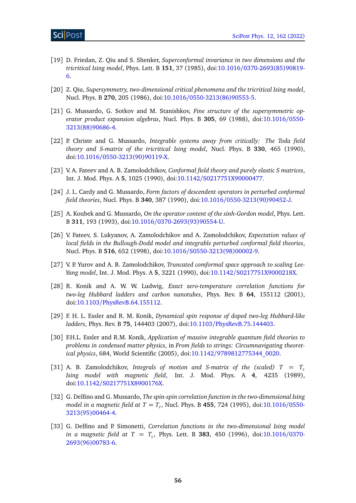- <span id="page-55-0"></span>[19] D. Friedan, Z. Qiu and S. Shenker, *Superconformal invariance in two dimensions and the tricritical Ising model*, Phys. Lett. B **151**, 37 (1985), doi:10.1016/[0370-2693\(85\)90819-](https://doi.org/10.1016/0370-2693(85)90819-6) [6.](https://doi.org/10.1016/0370-2693(85)90819-6)
- [20] Z. Qiu, *Supersymmetry, two-dimensional critical phenomena and the tricritical Ising model*, Nucl. Phys. B **270**, 205 (1986), doi:10.1016/[0550-3213\(86\)90553-5.](https://doi.org/10.1016/0550-3213(86)90553-5)
- <span id="page-55-1"></span>[21] G. Mussardo, G. Sotkov and M. Stanishkov, *Fine structure of the supersymmetric operator product expansion algebras*, Nucl. Phys. B **305**, 69 (1988), doi[:10.1016](https://doi.org/10.1016/0550-3213(88)90686-4)/0550- [3213\(88\)90686-4.](https://doi.org/10.1016/0550-3213(88)90686-4)
- <span id="page-55-2"></span>[22] P. Christe and G. Mussardo, *Integrable systems away from critically: The Toda field theory and S-matrix of the tricritical Ising model*, Nucl. Phys. B **330**, 465 (1990), doi:10.1016/[0550-3213\(90\)90119-X.](https://doi.org/10.1016/0550-3213(90)90119-X)
- <span id="page-55-3"></span>[23] V. A. Fateev and A. B. Zamolodchikov, *Conformal field theory and purely elastic S matrices*, Int. J. Mod. Phys. A **5**, 1025 (1990), doi:10.1142/[S0217751X90000477.](https://doi.org/10.1142/S0217751X90000477)
- <span id="page-55-4"></span>[24] J. L. Cardy and G. Mussardo, *Form factors of descendent operators in perturbed conformal field theories*, Nucl. Phys. B **340**, 387 (1990), doi:10.1016/[0550-3213\(90\)90452-J.](https://doi.org/10.1016/0550-3213(90)90452-J)
- <span id="page-55-5"></span>[25] A. Koubek and G. Mussardo, *On the operator content of the sinh-Gordon model*, Phys. Lett. B **311**, 193 (1993), doi:10.1016/[0370-2693\(93\)90554-U.](https://doi.org/10.1016/0370-2693(93)90554-U)
- <span id="page-55-6"></span>[26] V. Fateev, S. Lukyanov, A. Zamolodchikov and A. Zamolodchikov, *Expectation values of local fields in the Bullough-Dodd model and integrable perturbed conformal field theories*, Nucl. Phys. B **516**, 652 (1998), doi:10.1016/[S0550-3213\(98\)00002-9.](https://doi.org/10.1016/S0550-3213(98)00002-9)
- <span id="page-55-7"></span>[27] V. P. Yurov and A. B. Zamolodchikov, *Truncated comformal space approach to scaling Lee-Yang model*, Int. J. Mod. Phys. A **5**, 3221 (1990), doi:10.1142/[S0217751X9000218X.](https://doi.org/10.1142/S0217751X9000218X)
- <span id="page-55-8"></span>[28] R. Konik and A. W. W. Ludwig, *Exact zero-temperature correlation functions for two-leg Hubbard ladders and carbon nanotubes*, Phys. Rev. B **64**, 155112 (2001), doi:10.1103/[PhysRevB.64.155112.](https://doi.org/10.1103/PhysRevB.64.155112)
- [29] F. H. L. Essler and R. M. Konik, *Dynamical spin response of doped two-leg Hubbard-like ladders*, Phys. Rev. B **75**, 144403 (2007), doi:10.1103/[PhysRevB.75.144403.](https://doi.org/10.1103/PhysRevB.75.144403)
- <span id="page-55-9"></span>[30] F.H.L. Essler and R.M. Konik, *Application of massive integrable quantum field theories to problems in condensed matter physics*, in *From fields to strings: Circumnavigating theoretical physics*, 684, World Scientific (2005), doi:10.1142/[9789812775344\\_0020.](https://doi.org/10.1142/9789812775344_0020)
- <span id="page-55-10"></span>[31] A. B. Zamolodchikov, *Integrals of motion and S-matrix of the (scaled)*  $T = T_c$ *Ising model with magnetic field*, Int. J. Mod. Phys. A **4**, 4235 (1989), doi:10.1142/[S0217751X8900176X.](https://doi.org/10.1142/S0217751X8900176X)
- <span id="page-55-11"></span>[32] G. Delfino and G. Mussardo, *The spin-spin correlation function in the two-dimensional Ising model in a magnetic field at T* = *T<sup>c</sup>* , Nucl. Phys. B **455**, 724 (1995), doi[:10.1016](https://doi.org/10.1016/0550-3213(95)00464-4)/0550- [3213\(95\)00464-4.](https://doi.org/10.1016/0550-3213(95)00464-4)
- <span id="page-55-12"></span>[33] G. Delfino and P. Simonetti, *Correlation functions in the two-dimensional Ising model in a magnetic field at T* = *T<sup>c</sup>* , Phys. Lett. B **383**, 450 (1996), doi[:10.1016](https://doi.org/10.1016/0370-2693(96)00783-6)/0370- [2693\(96\)00783-6.](https://doi.org/10.1016/0370-2693(96)00783-6)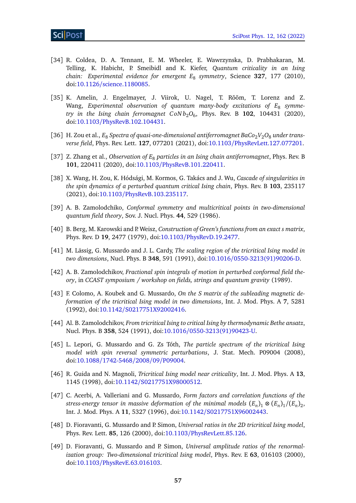- <span id="page-56-0"></span>[34] R. Coldea, D. A. Tennant, E. M. Wheeler, E. Wawrzynska, D. Prabhakaran, M. Telling, K. Habicht, P. Smeibidl and K. Kiefer, *Quantum criticality in an Ising chain: Experimental evidence for emergent E*<sup>8</sup> *symmetry*, Science **327**, 177 (2010), doi:10.1126/[science.1180085.](https://doi.org/10.1126/science.1180085)
- <span id="page-56-1"></span>[35] K. Amelin, J. Engelmayer, J. Viirok, U. Nagel, T. Rõõm, T. Lorenz and Z. Wang, Experimental observation of quantum many-body excitations of E<sub>8</sub> symme*try in the Ising chain ferromagnet C oN b*2*O*<sup>6</sup> , Phys. Rev. B **102**, 104431 (2020), doi:10.1103/[PhysRevB.102.104431.](https://doi.org/10.1103/PhysRevB.102.104431)
- <span id="page-56-2"></span>[36] H. Zou et al.,  $E_8$  *Spectra of quasi-one-dimensional antiferromagnet BaCo*<sub>2</sub> $V_2O_8$  *under transverse field*, Phys. Rev. Lett. **127**, 077201 (2021), doi:10.1103/[PhysRevLett.127.077201.](https://doi.org/10.1103/PhysRevLett.127.077201)
- <span id="page-56-3"></span>[37] Z. Zhang et al., *Observation of E*<sup>8</sup> *particles in an Ising chain antiferromagnet*, Phys. Rev. B **101**, 220411 (2020), doi:10.1103/[PhysRevB.101.220411.](https://doi.org/10.1103/PhysRevB.101.220411)
- <span id="page-56-4"></span>[38] X. Wang, H. Zou, K. Hódsági, M. Kormos, G. Takács and J. Wu, *Cascade of singularities in the spin dynamics of a perturbed quantum critical Ising chain*, Phys. Rev. B **103**, 235117 (2021), doi:10.1103/[PhysRevB.103.235117.](https://doi.org/10.1103/PhysRevB.103.235117)
- <span id="page-56-5"></span>[39] A. B. Zamolodchiko, *Conformal symmetry and multicritical points in two-dimensional quantum field theory*, Sov. J. Nucl. Phys. **44**, 529 (1986).
- <span id="page-56-6"></span>[40] B. Berg, M. Karowski and P. Weisz, *Construction of Green's functions from an exact s matrix*, Phys. Rev. D **19**, 2477 (1979), doi:10.1103/[PhysRevD.19.2477.](https://doi.org/10.1103/PhysRevD.19.2477)
- <span id="page-56-7"></span>[41] M. Lässig, G. Mussardo and J. L. Cardy, *The scaling region of the tricritical Ising model in two dimensions*, Nucl. Phys. B **348**, 591 (1991), doi:10.1016/[0550-3213\(91\)90206-D.](https://doi.org/10.1016/0550-3213(91)90206-D)
- <span id="page-56-12"></span>[42] A. B. Zamolodchikov, *Fractional spin integrals of motion in perturbed conformal field theory*, in *CCAST symposium / workshop on fields, strings and quantum gravity* (1989).
- [43] F. Colomo, A. Koubek and G. Mussardo, *On the S matrix of the subleading magnetic deformation of the tricritical Ising model in two dimensions*, Int. J. Mod. Phys. A **7**, 5281 (1992), doi:10.1142/[S0217751X92002416.](https://doi.org/10.1142/S0217751X92002416)
- <span id="page-56-10"></span>[44] Al. B. Zamolodchikov, *From tricritical Ising to critical Ising by thermodynamic Bethe ansatz*, Nucl. Phys. B **358**, 524 (1991), doi:10.1016/[0550-3213\(91\)90423-U.](https://doi.org/10.1016/0550-3213(91)90423-U)
- <span id="page-56-11"></span>[45] L. Lepori, G. Mussardo and G. Zs Tóth, *The particle spectrum of the tricritical Ising model with spin reversal symmetric perturbations*, J. Stat. Mech. P09004 (2008), doi:10.1088/[1742-5468](https://doi.org/10.1088/1742-5468/2008/09/P09004)/2008/09/P09004.
- [46] R. Guida and N. Magnoli, *Tricritical Ising model near criticality*, Int. J. Mod. Phys. A **13**, 1145 (1998), doi:10.1142/[S0217751X98000512.](https://doi.org/10.1142/S0217751X98000512)
- <span id="page-56-13"></span>[47] C. Acerbi, A. Valleriani and G. Mussardo, *Form factors and correlation functions of the stress-energy tensor in massive deformation of the minimal models*  $(E_n)_1 \otimes (E_n)_1/(E_n)_2$ *,* Int. J. Mod. Phys. A **11**, 5327 (1996), doi:10.1142/[S0217751X96002443.](https://doi.org/10.1142/S0217751X96002443)
- <span id="page-56-8"></span>[48] D. Fioravanti, G. Mussardo and P. Simon, *Universal ratios in the 2D tricritical Ising model*, Phys. Rev. Lett. **85**, 126 (2000), doi:10.1103/[PhysRevLett.85.126.](https://doi.org/10.1103/PhysRevLett.85.126)
- <span id="page-56-9"></span>[49] D. Fioravanti, G. Mussardo and P. Simon, *Universal amplitude ratios of the renormalization group: Two-dimensional tricritical Ising model*, Phys. Rev. E **63**, 016103 (2000), doi:10.1103/[PhysRevE.63.016103.](https://doi.org/10.1103/PhysRevE.63.016103)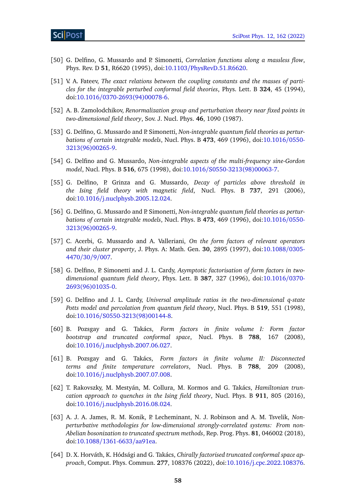- <span id="page-57-0"></span>[50] G. Delfino, G. Mussardo and P. Simonetti, *Correlation functions along a massless flow*, Phys. Rev. D **51**, R6620 (1995), doi:10.1103/[PhysRevD.51.R6620.](https://doi.org/10.1103/PhysRevD.51.R6620)
- <span id="page-57-1"></span>[51] V. A. Fateev, *The exact relations between the coupling constants and the masses of particles for the integrable perturbed conformal field theories*, Phys. Lett. B **324**, 45 (1994), doi:10.1016/[0370-2693\(94\)00078-6.](https://doi.org/10.1016/0370-2693(94)00078-6)
- <span id="page-57-2"></span>[52] A. B. Zamolodchikov, *Renormalization group and perturbation theory near fixed points in two-dimensional field theory*, Sov. J. Nucl. Phys. **46**, 1090 (1987).
- <span id="page-57-3"></span>[53] G. Delfino, G. Mussardo and P. Simonetti, *Non-integrable quantum field theories as perturbations of certain integrable models*, Nucl. Phys. B **473**, 469 (1996), doi[:10.1016](https://doi.org/10.1016/0550-3213(96)00265-9)/0550- [3213\(96\)00265-9.](https://doi.org/10.1016/0550-3213(96)00265-9)
- <span id="page-57-5"></span>[54] G. Delfino and G. Mussardo, *Non-integrable aspects of the multi-frequency sine-Gordon model*, Nucl. Phys. B **516**, 675 (1998), doi:10.1016/[S0550-3213\(98\)00063-7.](https://doi.org/10.1016/S0550-3213(98)00063-7)
- <span id="page-57-4"></span>[55] G. Delfino, P. Grinza and G. Mussardo, *Decay of particles above threshold in the Ising field theory with magnetic field*, Nucl. Phys. B **737**, 291 (2006), doi:10.1016/[j.nuclphysb.2005.12.024.](https://doi.org/10.1016/j.nuclphysb.2005.12.024)
- <span id="page-57-6"></span>[56] G. Delfino, G. Mussardo and P. Simonetti, *Non-integrable quantum field theories as perturbations of certain integrable models*, Nucl. Phys. B **473**, 469 (1996), doi[:10.1016](https://doi.org/10.1016/0550-3213(96)00265-9)/0550- [3213\(96\)00265-9.](https://doi.org/10.1016/0550-3213(96)00265-9)
- <span id="page-57-7"></span>[57] C. Acerbi, G. Mussardo and A. Valleriani, *On the form factors of relevant operators and their cluster property*, J. Phys. A: Math. Gen. **30**, 2895 (1997), doi[:10.1088](https://doi.org/10.1088/0305-4470/30/9/007)/0305- [4470](https://doi.org/10.1088/0305-4470/30/9/007)/30/9/007.
- <span id="page-57-8"></span>[58] G. Delfino, P. Simonetti and J. L. Cardy, *Asymptotic factorisation of form factors in twodimensional quantum field theory*, Phys. Lett. B **387**, 327 (1996), doi[:10.1016](https://doi.org/10.1016/0370-2693(96)01035-0)/0370- [2693\(96\)01035-0.](https://doi.org/10.1016/0370-2693(96)01035-0)
- <span id="page-57-9"></span>[59] G. Delfino and J. L. Cardy, *Universal amplitude ratios in the two-dimensional q-state Potts model and percolation from quantum field theory*, Nucl. Phys. B **519**, 551 (1998), doi:10.1016/[S0550-3213\(98\)00144-8.](https://doi.org/10.1016/S0550-3213(98)00144-8)
- <span id="page-57-10"></span>[60] B. Pozsgay and G. Takács, *Form factors in finite volume I: Form factor bootstrap and truncated conformal space*, Nucl. Phys. B **788**, 167 (2008), doi:10.1016/[j.nuclphysb.2007.06.027.](https://doi.org/10.1016/j.nuclphysb.2007.06.027)
- <span id="page-57-11"></span>[61] B. Pozsgay and G. Takács, *Form factors in finite volume II: Disconnected terms and finite temperature correlators*, Nucl. Phys. B **788**, 209 (2008), doi:10.1016/[j.nuclphysb.2007.07.008.](https://doi.org/10.1016/j.nuclphysb.2007.07.008)
- <span id="page-57-12"></span>[62] T. Rakovszky, M. Mestyán, M. Collura, M. Kormos and G. Takács, *Hamiltonian truncation approach to quenches in the Ising field theory*, Nucl. Phys. B **911**, 805 (2016), doi:10.1016/[j.nuclphysb.2016.08.024.](https://doi.org/10.1016/j.nuclphysb.2016.08.024)
- <span id="page-57-13"></span>[63] A. J. A. James, R. M. Konik, P. Lecheminant, N. J. Robinson and A. M. Tsvelik, *Nonperturbative methodologies for low-dimensional strongly-correlated systems: From non-Abelian bosonization to truncated spectrum methods*, Rep. Prog. Phys. **81**, 046002 (2018), doi:10.1088/[1361-6633](https://doi.org/10.1088/1361-6633/aa91ea)/aa91ea.
- <span id="page-57-14"></span>[64] D. X. Horváth, K. Hódsági and G. Takács, *Chirally factorised truncated conformal space approach*, Comput. Phys. Commun. **277**, 108376 (2022), doi:10.1016/[j.cpc.2022.108376.](https://doi.org/10.1016/j.cpc.2022.108376)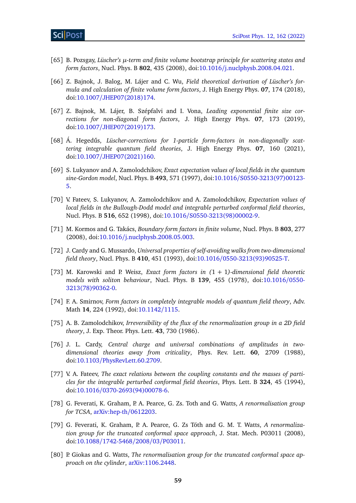- <span id="page-58-0"></span>[65] B. Pozsgay, *Lüscher's µ-term and finite volume bootstrap principle for scattering states and form factors*, Nucl. Phys. B **802**, 435 (2008), doi:10.1016/[j.nuclphysb.2008.04.021.](https://doi.org/10.1016/j.nuclphysb.2008.04.021)
- <span id="page-58-1"></span>[66] Z. Bajnok, J. Balog, M. Lájer and C. Wu, *Field theoretical derivation of Lüscher's formula and calculation of finite volume form factors*, J. High Energy Phys. **07**, 174 (2018), doi:10.1007/[JHEP07\(2018\)174.](https://doi.org/10.1007/JHEP07(2018)174)
- [67] Z. Bajnok, M. Lájer, B. Szépfalvi and I. Vona, *Leading exponential finite size corrections for non-diagonal form factors*, J. High Energy Phys. **07**, 173 (2019), doi:10.1007/[JHEP07\(2019\)173.](https://doi.org/10.1007/JHEP07(2019)173)
- <span id="page-58-2"></span>[68] Á. Hegedűs, *Lüscher-corrections for 1-particle form-factors in non-diagonally scattering integrable quantum field theories*, J. High Energy Phys. **07**, 160 (2021), doi:10.1007/[JHEP07\(2021\)160.](https://doi.org/10.1007/JHEP07(2021)160)
- <span id="page-58-3"></span>[69] S. Lukyanov and A. Zamolodchikov, *Exact expectation values of local fields in the quantum sine-Gordon model*, Nucl. Phys. B **493**, 571 (1997), doi:10.1016/[S0550-3213\(97\)00123-](https://doi.org/10.1016/S0550-3213(97)00123-5) [5.](https://doi.org/10.1016/S0550-3213(97)00123-5)
- <span id="page-58-4"></span>[70] V. Fateev, S. Lukyanov, A. Zamolodchikov and A. Zamolodchikov, *Expectation values of local fields in the Bullough-Dodd model and integrable perturbed conformal field theories*, Nucl. Phys. B **516**, 652 (1998), doi:10.1016/[S0550-3213\(98\)00002-9.](https://doi.org/10.1016/S0550-3213(98)00002-9)
- <span id="page-58-5"></span>[71] M. Kormos and G. Takács, *Boundary form factors in finite volume*, Nucl. Phys. B **803**, 277 (2008), doi:10.1016/[j.nuclphysb.2008.05.003.](https://doi.org/10.1016/j.nuclphysb.2008.05.003)
- <span id="page-58-6"></span>[72] J. Cardy and G. Mussardo, *Universal properties of self-avoiding walks from two-dimensional field theory*, Nucl. Phys. B **410**, 451 (1993), doi:10.1016/[0550-3213\(93\)90525-T.](https://doi.org/10.1016/0550-3213(93)90525-T)
- <span id="page-58-7"></span>[73] M. Karowski and P. Weisz, *Exact form factors in (*1 + 1*)-dimensional field theoretic models with soliton behaviour*, Nucl. Phys. B **139**, 455 (1978), doi[:10.1016](https://doi.org/10.1016/0550-3213(78)90362-0)/0550- [3213\(78\)90362-0.](https://doi.org/10.1016/0550-3213(78)90362-0)
- <span id="page-58-8"></span>[74] F. A. Smirnov, *Form factors in completely integrable models of quantum field theory*, Adv. Math **14**, 224 (1992), doi[:10.1142](https://doi.org/10.1142/1115)/1115.
- <span id="page-58-9"></span>[75] A. B. Zamolodchikov, *Irreversibility of the flux of the renormalization group in a 2D field theory*, J. Exp. Theor. Phys. Lett. **43**, 730 (1986).
- <span id="page-58-10"></span>[76] J. L. Cardy, *Central charge and universal combinations of amplitudes in twodimensional theories away from criticality*, Phys. Rev. Lett. **60**, 2709 (1988), doi:10.1103/[PhysRevLett.60.2709.](https://doi.org/10.1103/PhysRevLett.60.2709)
- <span id="page-58-11"></span>[77] V. A. Fateev, *The exact relations between the coupling constants and the masses of particles for the integrable perturbed conformal field theories*, Phys. Lett. B **324**, 45 (1994), doi:10.1016/[0370-2693\(94\)00078-6.](https://doi.org/10.1016/0370-2693(94)00078-6)
- <span id="page-58-12"></span>[78] G. Feverati, K. Graham, P. A. Pearce, G. Zs. Toth and G. Watts, *A renormalisation group for TCSA*, [arXiv:hep-th](https://arxiv.org/abs/hep-th/0612203)/0612203.
- [79] G. Feverati, K. Graham, P. A. Pearce, G. Zs Tóth and G. M. T. Watts, *A renormalization group for the truncated conformal space approach*, J. Stat. Mech. P03011 (2008), doi:10.1088/[1742-5468](https://doi.org/10.1088/1742-5468/2008/03/P03011)/2008/03/P03011.
- <span id="page-58-13"></span>[80] P. Giokas and G. Watts, *The renormalisation group for the truncated conformal space approach on the cylinder*, [arXiv:1106.2448.](https://arxiv.org/abs/1106.2448)